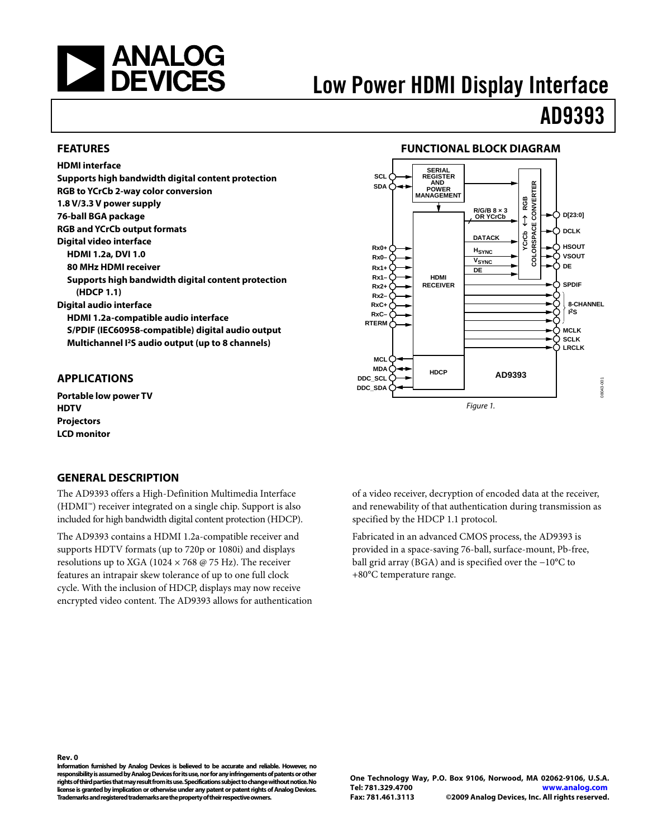<span id="page-0-0"></span>

# Low Power HDMI Display Interface

# AD9393

## **FEATURES**

**HDMI interface Supports high bandwidth digital content protection RGB to YCrCb 2-way color conversion 1.8 V/3.3 V power supply 76-ball BGA package RGB and YCrCb output formats Digital video interface HDMI 1.2a, DVI 1.0 80 MHz HDMI receiver Supports high bandwidth digital content protection (HDCP 1.1) Digital audio interface HDMI 1.2a-compatible audio interface S/PDIF (IEC60958-compatible) digital audio output Multichannel I2S audio output (up to 8 channels)** 

# **APPLICATIONS**

**Portable low power TV HDTV Projectors LCD monitor** 

## **GENERAL DESCRIPTION**

The AD9393 offers a High-Definition Multimedia Interface (HDMI™) receiver integrated on a single chip. Support is also included for high bandwidth digital content protection (HDCP).

The AD9393 contains a HDMI 1.2a-compatible receiver and supports HDTV formats (up to 720p or 1080i) and displays resolutions up to XGA (1024  $\times$  768 @ 75 Hz). The receiver features an intrapair skew tolerance of up to one full clock cycle. With the inclusion of HDCP, displays may now receive encrypted video content. The AD9393 allows for authentication

# **FUNCTIONAL BLOCK DIAGRAM**



of a video receiver, decryption of encoded data at the receiver, and renewability of that authentication during transmission as specified by the HDCP 1.1 protocol.

Fabricated in an advanced CMOS process, the AD9393 is provided in a space-saving 76-ball, surface-mount, Pb-free, ball grid array (BGA) and is specified over the −10°C to +80°C temperature range.

**Information furnished by Analog Devices is believed to be accurate and reliable. However, no responsibility is assumed by Analog Devices for its use, nor for any infringements of patents or other rights of third parties that may result from its use. Specifications subject to change without notice. No license is granted by implication or otherwise under any patent or patent rights of Analog Devices. Trademarks and registered trademarks are the property of their respective owners.**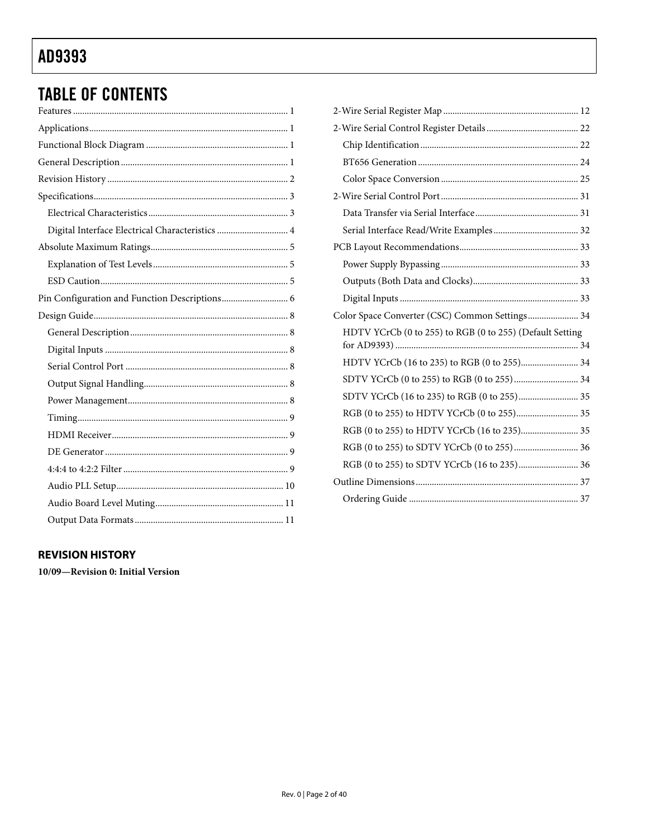# **TABLE OF CONTENTS**

| Digital Interface Electrical Characteristics  4 |
|-------------------------------------------------|
|                                                 |
|                                                 |
|                                                 |
|                                                 |
|                                                 |
|                                                 |
|                                                 |
|                                                 |
|                                                 |
|                                                 |
|                                                 |
|                                                 |
|                                                 |
|                                                 |
|                                                 |
|                                                 |
|                                                 |

| Color Space Converter (CSC) Common Settings 34           |
|----------------------------------------------------------|
| HDTV YCrCb (0 to 255) to RGB (0 to 255) (Default Setting |
|                                                          |
|                                                          |
|                                                          |
|                                                          |
|                                                          |
|                                                          |
|                                                          |
| RGB (0 to 255) to SDTV YCrCb (16 to 235) 36              |
|                                                          |

# **REVISION HISTORY**

10/09-Revision 0: Initial Version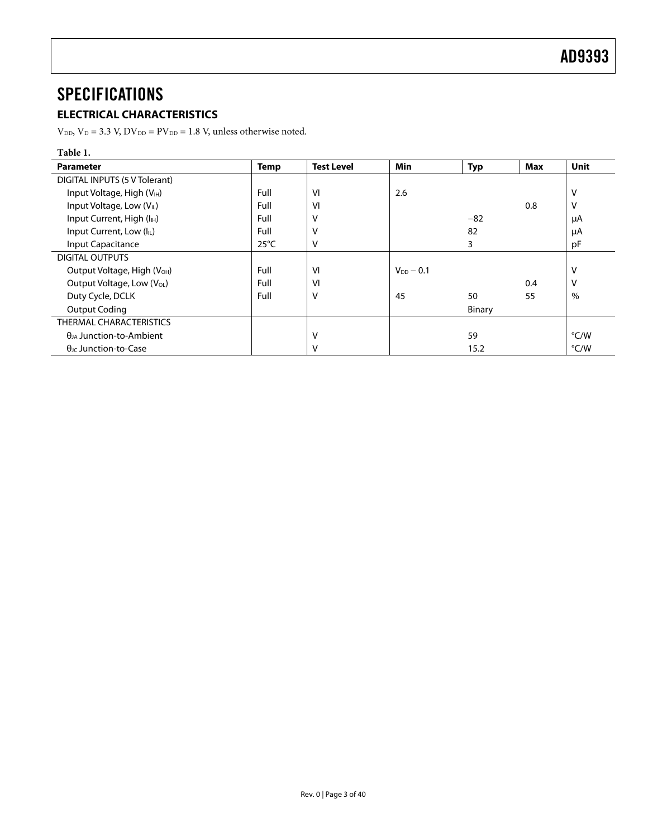# <span id="page-2-0"></span>**SPECIFICATIONS**

# **ELECTRICAL CHARACTERISTICS**

 $\rm V_{\rm DD},\rm V_{\rm D}$  = 3.3 V,  $\rm DV_{\rm DD}$  = PV  $_{\rm DD}$  = 1.8 V, unless otherwise noted.

| Table 1.                                   |                |                   |                  |               |     |      |
|--------------------------------------------|----------------|-------------------|------------------|---------------|-----|------|
| <b>Parameter</b>                           | <b>Temp</b>    | <b>Test Level</b> | Min              | <b>Typ</b>    | Max | Unit |
| DIGITAL INPUTS (5 V Tolerant)              |                |                   |                  |               |     |      |
| Input Voltage, High (V <sub>IH</sub> )     | Full           | VI                | 2.6              |               |     | v    |
| Input Voltage, Low (VL)                    | Full           | VI                |                  |               | 0.8 | v    |
| Input Current, High (I <sub>H</sub> )      | Full           | ٧                 |                  | $-82$         |     | μA   |
| Input Current, Low (IL)                    | Full           | ٧                 |                  | 82            |     | μA   |
| <b>Input Capacitance</b>                   | $25^{\circ}$ C | ٧                 |                  | 3             |     | pF   |
| DIGITAL OUTPUTS                            |                |                   |                  |               |     |      |
| Output Voltage, High (V <sub>OH</sub> )    | Full           | VI                | $V_{DD}$ $-$ 0.1 |               |     | v    |
| Output Voltage, Low (V <sub>OL</sub> )     | Full           | VI                |                  |               | 0.4 | v    |
| Duty Cycle, DCLK                           | Full           | v                 | 45               | 50            | 55  | $\%$ |
| <b>Output Coding</b>                       |                |                   |                  | <b>Binary</b> |     |      |
| THERMAL CHARACTERISTICS                    |                |                   |                  |               |     |      |
| $\theta$ <sub>IA</sub> Junction-to-Ambient |                | ٧                 |                  | 59            |     | °C/W |
| $\theta$ <sub>IC</sub> Junction-to-Case    |                | ٧                 |                  | 15.2          |     | °C/W |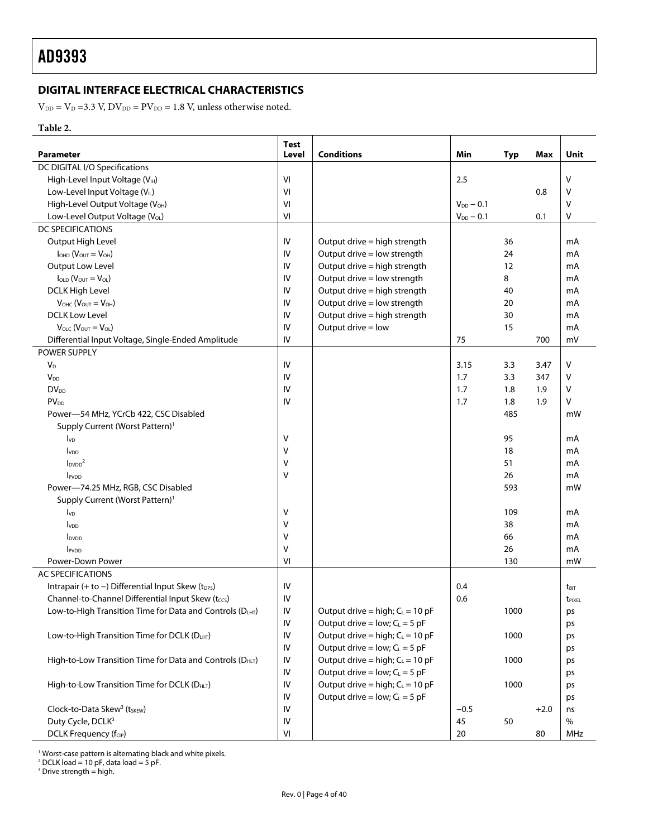# <span id="page-3-0"></span>**DIGITAL INTERFACE ELECTRICAL CHARACTERISTICS**

 $V_{DD} = V_D = 3.3$  V,  $DV_{DD} = PV_{DD} = 1.8$  V, unless otherwise noted.

# **Table 2.**

<span id="page-3-1"></span>

| <b>Parameter</b>                                            | <b>Test</b><br>Level | <b>Conditions</b>                            | Min              | Typ  | Max    | Unit             |
|-------------------------------------------------------------|----------------------|----------------------------------------------|------------------|------|--------|------------------|
| DC DIGITAL I/O Specifications                               |                      |                                              |                  |      |        |                  |
| High-Level Input Voltage (VIH)                              | VI                   |                                              | 2.5              |      |        | v                |
| Low-Level Input Voltage (VL)                                | VI                   |                                              |                  |      | 0.8    | V                |
| High-Level Output Voltage (V <sub>OH</sub> )                | VI                   |                                              | $V_{DD}$ $-$ 0.1 |      |        | V                |
| Low-Level Output Voltage (VOL)                              | VI                   |                                              | $V_{DD}$ - 0.1   |      | 0.1    | V                |
| <b>DC SPECIFICATIONS</b>                                    |                      |                                              |                  |      |        |                  |
| Output High Level                                           | IV                   | Output drive = high strength                 |                  | 36   |        | mA               |
| $IOHD$ ( $VOUT = VOH$ )                                     | IV                   | Output drive = low strength                  |                  | 24   |        | mA               |
| Output Low Level                                            | IV                   | Output drive = high strength                 |                  | 12   |        | mA               |
| $I_{\text{OLD}}(V_{\text{OUT}}=V_{\text{OL}})$              | IV                   | Output drive = low strength                  |                  | 8    |        | mA               |
| <b>DCLK High Level</b>                                      | IV                   | Output drive = high strength                 |                  | 40   |        | mA               |
| $V_{OHC}$ ( $V_{OUT} = V_{OH}$ )                            | IV                   | Output drive = low strength                  |                  | 20   |        | mA               |
| <b>DCLK Low Level</b>                                       | IV                   | Output drive = high strength                 |                  | 30   |        | mA               |
| $V_{\text{OLC}} (V_{\text{OUT}} = V_{\text{OL}})$           | IV                   | Output drive = low                           |                  | 15   |        | mA               |
|                                                             | IV                   |                                              |                  |      | 700    | mV               |
| Differential Input Voltage, Single-Ended Amplitude          |                      |                                              | 75               |      |        |                  |
| POWER SUPPLY                                                |                      |                                              |                  |      |        |                  |
| $V_D$                                                       | IV                   |                                              | 3.15             | 3.3  | 3.47   | V                |
| <b>V<sub>DD</sub></b>                                       | IV                   |                                              | 1.7              | 3.3  | 347    | V                |
| $DV_{DD}$                                                   | IV                   |                                              | 1.7              | 1.8  | 1.9    | v                |
| <b>PV<sub>DD</sub></b>                                      | IV                   |                                              | 1.7              | 1.8  | 1.9    | V                |
| Power-54 MHz, YCrCb 422, CSC Disabled                       |                      |                                              |                  | 485  |        | mW               |
| Supply Current (Worst Pattern) <sup>1</sup>                 |                      |                                              |                  |      |        |                  |
| $I_{VD}$                                                    | V                    |                                              |                  | 95   |        | mA               |
| <b>I</b> v <sub>DD</sub>                                    | V                    |                                              |                  | 18   |        | mA               |
| I <sub>DVDD</sub> <sup>2</sup>                              | V                    |                                              |                  | 51   |        | mA               |
| <b>IPVDD</b>                                                | V                    |                                              |                  | 26   |        | mA               |
| Power-74.25 MHz, RGB, CSC Disabled                          |                      |                                              |                  | 593  |        | mW               |
| Supply Current (Worst Pattern) <sup>1</sup>                 |                      |                                              |                  |      |        |                  |
| $I_{VD}$                                                    | V                    |                                              |                  | 109  |        | mA               |
| <b>I</b> v <sub>DD</sub>                                    | V                    |                                              |                  | 38   |        | mA               |
| l <sub>DVDD</sub>                                           | V                    |                                              |                  | 66   |        | mA               |
| <b>IPVDD</b>                                                | V                    |                                              |                  | 26   |        | mA               |
| Power-Down Power                                            | VI                   |                                              |                  | 130  |        | mW               |
| <b>AC SPECIFICATIONS</b>                                    |                      |                                              |                  |      |        |                  |
| Intrapair (+ to $-$ ) Differential Input Skew ( $t_{DPS}$ ) | IV                   |                                              | 0.4              |      |        | t <sub>BIT</sub> |
| Channel-to-Channel Differential Input Skew (tccs)           | IV                   |                                              | 0.6              |      |        | <b>TPIXEL</b>    |
| Low-to-High Transition Time for Data and Controls (DLHT)    | IV                   | Output drive = high; $C_L$ = 10 pF           |                  | 1000 |        | ps               |
|                                                             | IV                   | Output drive = $low; C_L = 5 pF$             |                  |      |        | ps               |
| Low-to-High Transition Time for DCLK (DLHT)                 | IV                   | Output drive = high; $C_L = 10$ pF           |                  | 1000 |        | ps               |
|                                                             | IV                   | Output drive = $low$ ; C <sub>L</sub> = 5 pF |                  |      |        | ps               |
| High-to-Low Transition Time for Data and Controls (DHLT)    | IV                   | Output drive = high; $C_L = 10$ pF           |                  | 1000 |        | ps               |
|                                                             | IV                   | Output drive = $low$ ; C <sub>L</sub> = 5 pF |                  |      |        | ps               |
| High-to-Low Transition Time for DCLK (DHLT)                 | IV                   | Output drive = high; $C_L = 10$ pF           |                  | 1000 |        | ps               |
|                                                             | IV                   | Output drive = $low$ ; C <sub>L</sub> = 5 pF |                  |      |        | ps               |
| Clock-to-Data Skew <sup>3</sup> (t <sub>SKEW</sub> )        | IV                   |                                              | $-0.5$           |      | $+2.0$ | ns               |
| Duty Cycle, DCLK <sup>3</sup>                               | IV                   |                                              | 45               | 50   |        | $\%$             |
| DCLK Frequency (fcip)                                       | VI                   |                                              | 20               |      | 80     | MHz              |

<sup>1</sup> Worst-case pattern is alternating black and white pixels.<br><sup>2</sup> DCLK load = 10 pF, data load = 5 pF.<br><sup>3</sup> Drive strength = high.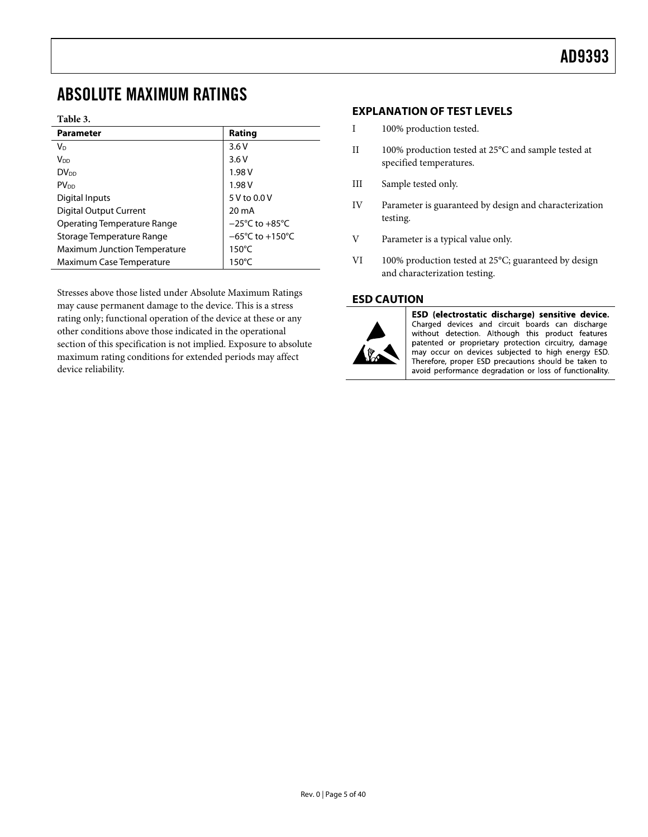# <span id="page-4-1"></span><span id="page-4-0"></span>ABSOLUTE MAXIMUM RATINGS

## **Table 3.**

| <b>Parameter</b>                    | Rating                               |
|-------------------------------------|--------------------------------------|
| <b>V<sub>D</sub></b>                | 3.6V                                 |
| V <sub>DD</sub>                     | 3.6V                                 |
| DV <sub>DD</sub>                    | 1.98 V                               |
| <b>PV<sub>DD</sub></b>              | 1.98 V                               |
| Digital Inputs                      | 5 V to 0.0 V                         |
| <b>Digital Output Current</b>       | 20 mA                                |
| <b>Operating Temperature Range</b>  | $-25^{\circ}$ C to $+85^{\circ}$ C   |
| Storage Temperature Range           | $-65^{\circ}$ C to +150 $^{\circ}$ C |
| <b>Maximum Junction Temperature</b> | $150^{\circ}$ C                      |
| Maximum Case Temperature            | $150^{\circ}$ C                      |

Stresses above those listed under Absolute Maximum Ratings may cause permanent damage to the device. This is a stress rating only; functional operation of the device at these or any other conditions above those indicated in the operational section of this specification is not implied. Exposure to absolute maximum rating conditions for extended periods may affect device reliability.

# **EXPLANATION OF TEST LEVELS**

- I 100% production tested.
- II 100% production tested at 25°C and sample tested at specified temperatures.
- III Sample tested only.
- IV Parameter is guaranteed by design and characterization testing.
- V Parameter is a typical value only.
- VI 100% production tested at 25°C; guaranteed by design and characterization testing.

# **ESD CAUTION**



ESD (electrostatic discharge) sensitive device. Charged devices and circuit boards can discharge without detection. Although this product features patented or proprietary protection circuitry, damage may occur on devices subjected to high energy ESD. Therefore, proper ESD precautions should be taken to avoid performance degradation or loss of functionality.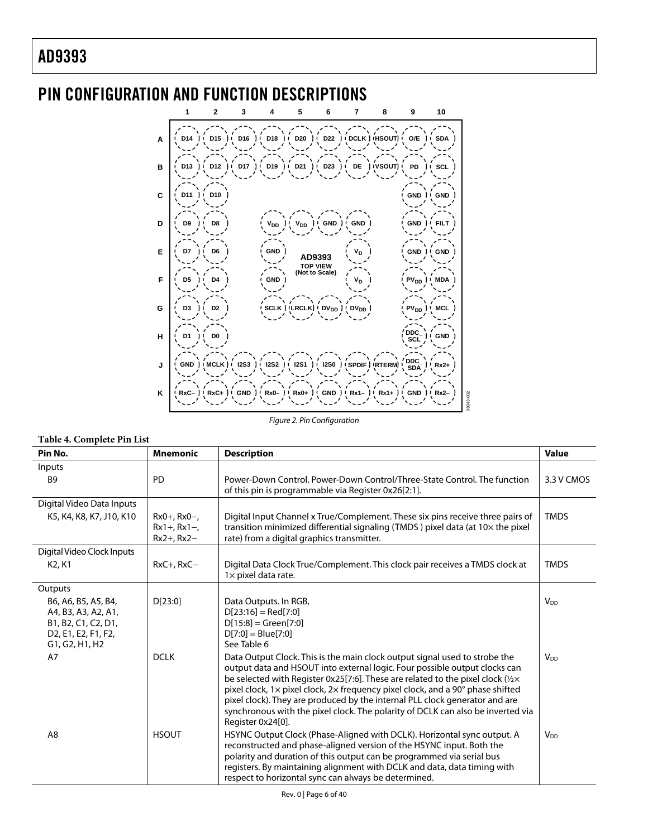

# <span id="page-5-0"></span>PIN CONFIGURATION AND FUNCTION DESCRIPTIONS

Figure 2. Pin Configuration

## **Table 4. Complete Pin List**

| Pin No.                                                                                                                                                                     | <b>Mnemonic</b>                                   | <b>Description</b>                                                                                                                                                                                                                                                                                                                                                                                                                                                                                                   | <b>Value</b>          |
|-----------------------------------------------------------------------------------------------------------------------------------------------------------------------------|---------------------------------------------------|----------------------------------------------------------------------------------------------------------------------------------------------------------------------------------------------------------------------------------------------------------------------------------------------------------------------------------------------------------------------------------------------------------------------------------------------------------------------------------------------------------------------|-----------------------|
| Inputs<br><b>B9</b>                                                                                                                                                         | <b>PD</b>                                         | Power-Down Control, Power-Down Control/Three-State Control, The function<br>of this pin is programmable via Register 0x26[2:1].                                                                                                                                                                                                                                                                                                                                                                                      | 3.3 V CMOS            |
| Digital Video Data Inputs<br>K5, K4, K8, K7, J10, K10                                                                                                                       | $Rx0+, Rx0-,$<br>$Rx1+, Rx1-,$<br>$Rx2+$ , $Rx2-$ | Digital Input Channel x True/Complement. These six pins receive three pairs of<br>transition minimized differential signaling (TMDS) pixel data (at 10x the pixel<br>rate) from a digital graphics transmitter.                                                                                                                                                                                                                                                                                                      | <b>TMDS</b>           |
| Digital Video Clock Inputs<br>K <sub>2</sub> , K <sub>1</sub>                                                                                                               | $RxC+$ , $RxC-$                                   | Digital Data Clock True/Complement. This clock pair receives a TMDS clock at<br>$1 \times$ pixel data rate.                                                                                                                                                                                                                                                                                                                                                                                                          | <b>TMDS</b>           |
| Outputs                                                                                                                                                                     |                                                   |                                                                                                                                                                                                                                                                                                                                                                                                                                                                                                                      |                       |
| B6, A6, B5, A5, B4,<br>A4, B3, A3, A2, A1,<br>B1, B2, C1, C2, D1,<br>D <sub>2</sub> , E <sub>1</sub> , E <sub>2</sub> , F <sub>1</sub> , F <sub>2</sub> ,<br>G1, G2, H1, H2 | D[23:0]                                           | Data Outputs. In RGB,<br>$D[23:16] = Red[7:0]$<br>$D[15:8] = Green[7:0]$<br>$D[7:0] = Blue[7:0]$<br>See Table 6                                                                                                                                                                                                                                                                                                                                                                                                      | V <sub>DD</sub>       |
| A7                                                                                                                                                                          | <b>DCLK</b>                                       | Data Output Clock. This is the main clock output signal used to strobe the<br>output data and HSOUT into external logic. Four possible output clocks can<br>be selected with Register 0x25[7:6]. These are related to the pixel clock (1/2×<br>pixel clock, 1x pixel clock, 2x frequency pixel clock, and a 90° phase shifted<br>pixel clock). They are produced by the internal PLL clock generator and are<br>synchronous with the pixel clock. The polarity of DCLK can also be inverted via<br>Register 0x24[0]. | V <sub>DD</sub>       |
| A <sub>8</sub>                                                                                                                                                              | <b>HSOUT</b>                                      | HSYNC Output Clock (Phase-Aligned with DCLK). Horizontal sync output. A<br>reconstructed and phase-aligned version of the HSYNC input. Both the<br>polarity and duration of this output can be programmed via serial bus<br>registers. By maintaining alignment with DCLK and data, data timing with<br>respect to horizontal sync can always be determined.                                                                                                                                                         | <b>V<sub>DD</sub></b> |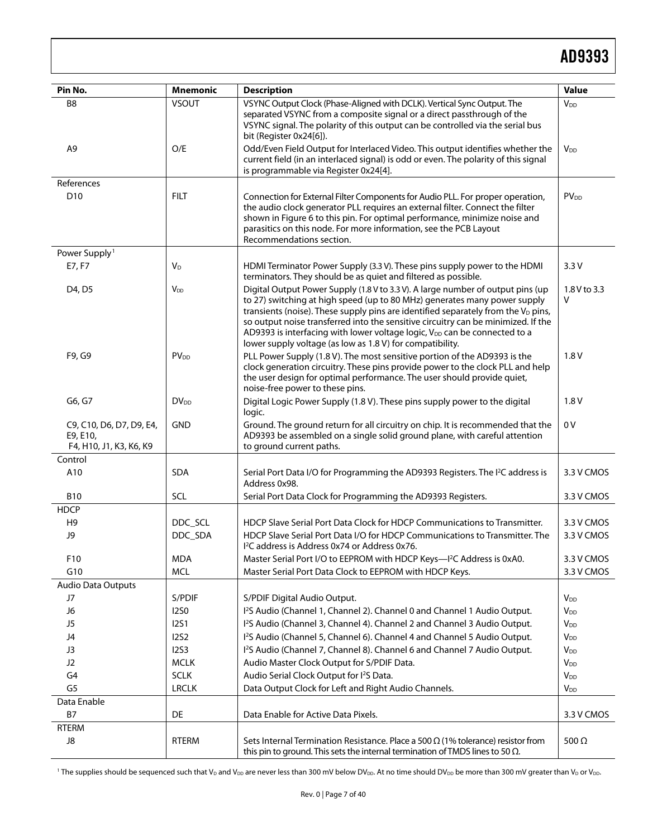| Pin No.                                                         | <b>Mnemonic</b>        | <b>Description</b>                                                                                                                                                                                                                                                                                                                                                                                                                                                                              | <b>Value</b>           |
|-----------------------------------------------------------------|------------------------|-------------------------------------------------------------------------------------------------------------------------------------------------------------------------------------------------------------------------------------------------------------------------------------------------------------------------------------------------------------------------------------------------------------------------------------------------------------------------------------------------|------------------------|
| B8                                                              | <b>VSOUT</b>           | VSYNC Output Clock (Phase-Aligned with DCLK). Vertical Sync Output. The<br>separated VSYNC from a composite signal or a direct passthrough of the<br>VSYNC signal. The polarity of this output can be controlled via the serial bus<br>bit (Register 0x24[6]).                                                                                                                                                                                                                                  | <b>V</b> <sub>DD</sub> |
| A <sub>9</sub>                                                  | O/E                    | Odd/Even Field Output for Interlaced Video. This output identifies whether the<br>current field (in an interlaced signal) is odd or even. The polarity of this signal<br>is programmable via Register 0x24[4].                                                                                                                                                                                                                                                                                  | V <sub>DD</sub>        |
| References                                                      |                        |                                                                                                                                                                                                                                                                                                                                                                                                                                                                                                 |                        |
| D <sub>10</sub>                                                 | <b>FILT</b>            | Connection for External Filter Components for Audio PLL. For proper operation,<br>the audio clock generator PLL requires an external filter. Connect the filter<br>shown in Figure 6 to this pin. For optimal performance, minimize noise and<br>parasitics on this node. For more information, see the PCB Layout<br>Recommendations section.                                                                                                                                                  | <b>PV<sub>DD</sub></b> |
| Power Supply <sup>1</sup>                                       |                        |                                                                                                                                                                                                                                                                                                                                                                                                                                                                                                 |                        |
| E7, F7                                                          | $V_D$                  | HDMI Terminator Power Supply (3.3 V). These pins supply power to the HDMI<br>terminators. They should be as quiet and filtered as possible.                                                                                                                                                                                                                                                                                                                                                     | 3.3V                   |
| D4, D5                                                          | <b>V<sub>DD</sub></b>  | Digital Output Power Supply (1.8 V to 3.3 V). A large number of output pins (up<br>to 27) switching at high speed (up to 80 MHz) generates many power supply<br>transients (noise). These supply pins are identified separately from the $V_D$ pins,<br>so output noise transferred into the sensitive circuitry can be minimized. If the<br>AD9393 is interfacing with lower voltage logic, V <sub>DD</sub> can be connected to a<br>lower supply voltage (as low as 1.8 V) for compatibility. | 1.8 V to 3.3<br>v      |
| F9, G9                                                          | <b>PV<sub>DD</sub></b> | PLL Power Supply (1.8 V). The most sensitive portion of the AD9393 is the<br>clock generation circuitry. These pins provide power to the clock PLL and help<br>the user design for optimal performance. The user should provide quiet,<br>noise-free power to these pins.                                                                                                                                                                                                                       | 1.8V                   |
| G6, G7                                                          | <b>DV<sub>DD</sub></b> | Digital Logic Power Supply (1.8 V). These pins supply power to the digital<br>logic.                                                                                                                                                                                                                                                                                                                                                                                                            | 1.8V                   |
| C9, C10, D6, D7, D9, E4,<br>E9, E10,<br>F4, H10, J1, K3, K6, K9 | <b>GND</b>             | Ground. The ground return for all circuitry on chip. It is recommended that the<br>AD9393 be assembled on a single solid ground plane, with careful attention<br>to ground current paths.                                                                                                                                                                                                                                                                                                       | 0V                     |
| Control                                                         |                        |                                                                                                                                                                                                                                                                                                                                                                                                                                                                                                 |                        |
| A10                                                             | <b>SDA</b>             | Serial Port Data I/O for Programming the AD9393 Registers. The I <sup>2</sup> C address is<br>Address 0x98.                                                                                                                                                                                                                                                                                                                                                                                     | 3.3 V CMOS             |
| <b>B10</b>                                                      | SCL                    | Serial Port Data Clock for Programming the AD9393 Registers.                                                                                                                                                                                                                                                                                                                                                                                                                                    | 3.3 V CMOS             |
| <b>HDCP</b>                                                     |                        |                                                                                                                                                                                                                                                                                                                                                                                                                                                                                                 |                        |
| H <sub>9</sub>                                                  | DDC_SCL                | HDCP Slave Serial Port Data Clock for HDCP Communications to Transmitter.                                                                                                                                                                                                                                                                                                                                                                                                                       | 3.3 V CMOS             |
| J9                                                              | DDC_SDA                | HDCP Slave Serial Port Data I/O for HDCP Communications to Transmitter. The<br>I <sup>2</sup> C address is Address 0x74 or Address 0x76.                                                                                                                                                                                                                                                                                                                                                        | 3.3 V CMOS             |
| F10                                                             | <b>MDA</b>             | Master Serial Port I/O to EEPROM with HDCP Keys-' <sup>2</sup> C Address is 0xA0.                                                                                                                                                                                                                                                                                                                                                                                                               | 3.3 V CMOS             |
| G10                                                             | <b>MCL</b>             | Master Serial Port Data Clock to EEPROM with HDCP Keys.                                                                                                                                                                                                                                                                                                                                                                                                                                         | 3.3 V CMOS             |
| <b>Audio Data Outputs</b>                                       |                        |                                                                                                                                                                                                                                                                                                                                                                                                                                                                                                 |                        |
| J7                                                              | S/PDIF                 | S/PDIF Digital Audio Output.                                                                                                                                                                                                                                                                                                                                                                                                                                                                    | <b>V</b> <sub>DD</sub> |
| J6                                                              | <b>I2S0</b>            | 1 <sup>2</sup> S Audio (Channel 1, Channel 2). Channel 0 and Channel 1 Audio Output.                                                                                                                                                                                                                                                                                                                                                                                                            | $V_{DD}$               |
| J5                                                              | <b>I2S1</b>            | I <sup>2</sup> S Audio (Channel 3, Channel 4). Channel 2 and Channel 3 Audio Output.                                                                                                                                                                                                                                                                                                                                                                                                            | <b>V</b> <sub>DD</sub> |
| J4                                                              | <b>I2S2</b>            | I <sup>2</sup> S Audio (Channel 5, Channel 6). Channel 4 and Channel 5 Audio Output.                                                                                                                                                                                                                                                                                                                                                                                                            | <b>V</b> <sub>DD</sub> |
| J3                                                              | 1253                   | I <sup>2</sup> S Audio (Channel 7, Channel 8). Channel 6 and Channel 7 Audio Output.                                                                                                                                                                                                                                                                                                                                                                                                            | <b>V</b> <sub>DD</sub> |
| J2                                                              | <b>MCLK</b>            | Audio Master Clock Output for S/PDIF Data.                                                                                                                                                                                                                                                                                                                                                                                                                                                      | <b>V</b> <sub>DD</sub> |
| G <sub>4</sub>                                                  | <b>SCLK</b>            | Audio Serial Clock Output for I <sup>2</sup> S Data.                                                                                                                                                                                                                                                                                                                                                                                                                                            | $V_{DD}$               |
| G <sub>5</sub>                                                  | <b>LRCLK</b>           | Data Output Clock for Left and Right Audio Channels.                                                                                                                                                                                                                                                                                                                                                                                                                                            | <b>V</b> <sub>DD</sub> |
| Data Enable                                                     |                        |                                                                                                                                                                                                                                                                                                                                                                                                                                                                                                 |                        |
| <b>B7</b>                                                       | DE                     | Data Enable for Active Data Pixels.                                                                                                                                                                                                                                                                                                                                                                                                                                                             | 3.3 V CMOS             |
| RTERM                                                           |                        |                                                                                                                                                                                                                                                                                                                                                                                                                                                                                                 |                        |
| J8                                                              | <b>RTERM</b>           | Sets Internal Termination Resistance. Place a 500 $\Omega$ (1% tolerance) resistor from<br>this pin to ground. This sets the internal termination of TMDS lines to 50 $\Omega$ .                                                                                                                                                                                                                                                                                                                | 500 $\Omega$           |

 $^{\rm 1}$  The supplies should be sequenced such that V $_{\rm D}$  and V $_{\rm DD}$  are never less than 300 mV below DV $_{\rm DD}$ . At no time should DV $_{\rm DD}$  be more than 300 mV greater than V $_{\rm D}$  or V $_{\rm DD}$ .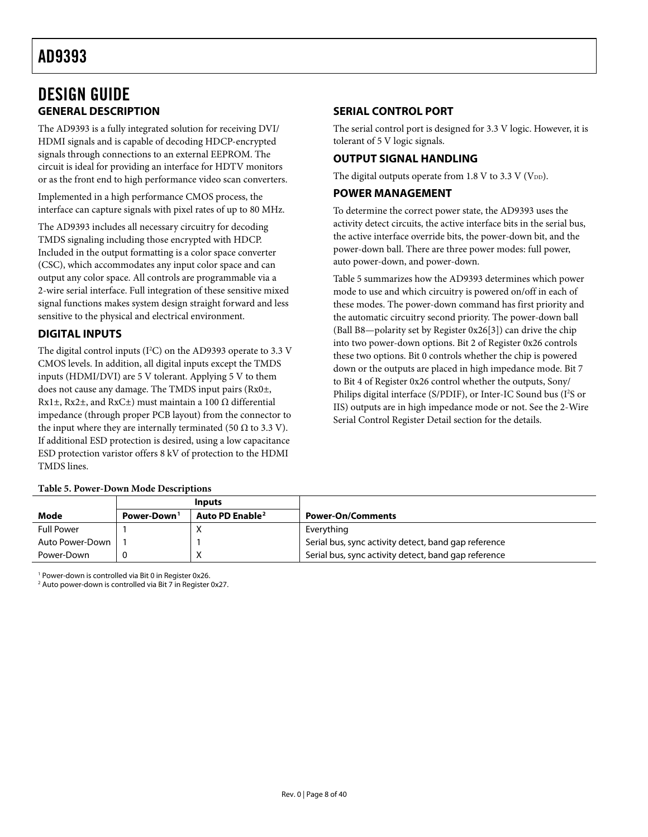# <span id="page-7-1"></span><span id="page-7-0"></span>DESIGN GUIDE **GENERAL DESCRIPTION**

The AD9393 is a fully integrated solution for receiving DVI/ HDMI signals and is capable of decoding HDCP-encrypted signals through connections to an external EEPROM. The circuit is ideal for providing an interface for HDTV monitors or as the front end to high performance video scan converters.

Implemented in a high performance CMOS process, the interface can capture signals with pixel rates of up to 80 MHz.

The AD9393 includes all necessary circuitry for decoding TMDS signaling including those encrypted with HDCP. Included in the output formatting is a color space converter (CSC), which accommodates any input color space and can output any color space. All controls are programmable via a 2-wire serial interface. Full integration of these sensitive mixed signal functions makes system design straight forward and less sensitive to the physical and electrical environment.

# **DIGITAL INPUTS**

The digital control inputs ( $I^2C$ ) on the AD9393 operate to 3.3 V CMOS levels. In addition, all digital inputs except the TMDS inputs (HDMI/DVI) are 5 V tolerant. Applying 5 V to them does not cause any damage. The TMDS input pairs (Rx0±, Rx1 $\pm$ , Rx2 $\pm$ , and RxC $\pm$ ) must maintain a 100  $\Omega$  differential impedance (through proper PCB layout) from the connector to the input where they are internally terminated (50  $\Omega$  to 3.3 V). If additional ESD protection is desired, using a low capacitance ESD protection varistor offers 8 kV of protection to the HDMI TMDS lines.

# **Table 5. Power-Down Mode Descriptions**

# **SERIAL CONTROL PORT**

The serial control port is designed for 3.3 V logic. However, it is tolerant of 5 V logic signals.

# **OUTPUT SIGNAL HANDLING**

The digital outputs operate from 1.8 V to 3.3 V ( $V_{DD}$ ).

# **POWER MANAGEMENT**

To determine the correct power state, the AD9393 uses the activity detect circuits, the active interface bits in the serial bus, the active interface override bits, the power-down bit, and the power-down ball. There are three power modes: full power, auto power-down, and power-down.

[Table 5](#page-7-2) summarizes how the AD9393 determines which power mode to use and which circuitry is powered on/off in each of these modes. The power-down command has first priority and the automatic circuitry second priority. The power-down ball (Ball B8—polarity set by Register 0x26[3]) can drive the chip into two power-down options. Bit 2 of Register 0x26 controls these two options. Bit 0 controls whether the chip is powered down or the outputs are placed in high impedance mode. Bit 7 to Bit 4 of Register 0x26 control whether the outputs, Sony/ Philips digital interface (S/PDIF), or Inter-IC Sound bus (I<sup>2</sup>S or IIS) outputs are in high impedance mode or not. See the [2-Wire](#page-21-1)  [Serial Control Register Detail](#page-21-1) section for the details.

<span id="page-7-2"></span>

|                   |                         | <b>Inputs</b>               |                                                      |
|-------------------|-------------------------|-----------------------------|------------------------------------------------------|
| Mode              | Power-Down <sup>1</sup> | Auto PD Enable <sup>2</sup> | <b>Power-On/Comments</b>                             |
| <b>Full Power</b> |                         |                             | Everything                                           |
| Auto Power-Down   |                         |                             | Serial bus, sync activity detect, band gap reference |
| Power-Down        |                         |                             | Serial bus, sync activity detect, band gap reference |

1 Power-down is controlled via Bit 0 in Register 0x26.

2 Auto power-down is controlled via Bit 7 in Register 0x27.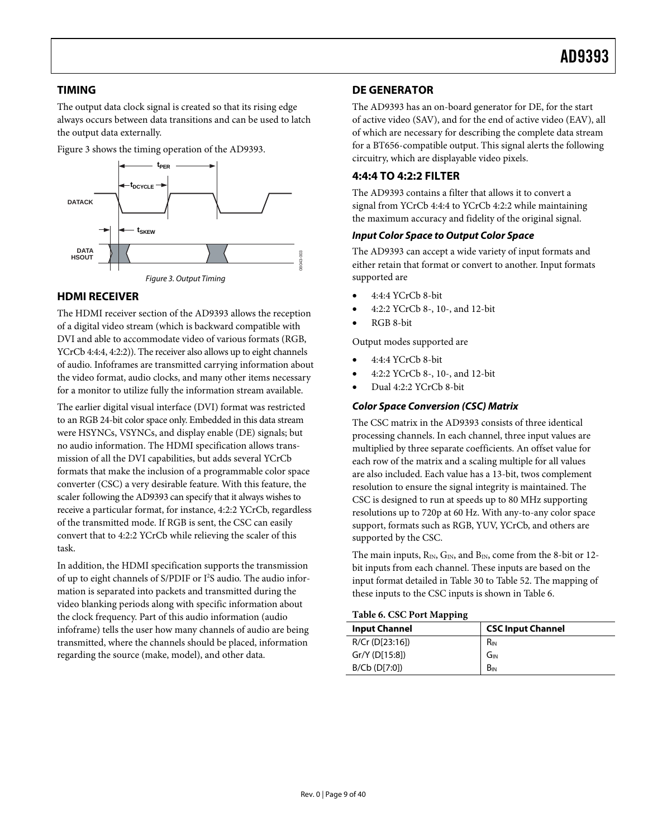# <span id="page-8-1"></span><span id="page-8-0"></span>**TIMING**

The output data clock signal is created so that its rising edge always occurs between data transitions and can be used to latch the output data externally.

[Figure 3](#page-8-3) shows the timing operation of the AD9393.



# <span id="page-8-3"></span>**HDMI RECEIVER**

The HDMI receiver section of the AD9393 allows the reception of a digital video stream (which is backward compatible with DVI and able to accommodate video of various formats (RGB, YCrCb 4:4:4, 4:2:2)). The receiver also allows up to eight channels of audio. Infoframes are transmitted carrying information about the video format, audio clocks, and many other items necessary for a monitor to utilize fully the information stream available.

The earlier digital visual interface (DVI) format was restricted to an RGB 24-bit color space only. Embedded in this data stream were HSYNCs, VSYNCs, and display enable (DE) signals; but no audio information. The HDMI specification allows transmission of all the DVI capabilities, but adds several YCrCb formats that make the inclusion of a programmable color space converter (CSC) a very desirable feature. With this feature, the scaler following the AD9393 can specify that it always wishes to receive a particular format, for instance, 4:2:2 YCrCb, regardless of the transmitted mode. If RGB is sent, the CSC can easily convert that to 4:2:2 YCrCb while relieving the scaler of this task.

<span id="page-8-2"></span>In addition, the HDMI specification supports the transmission of up to eight channels of S/PDIF or I<sup>2</sup>S audio. The audio information is separated into packets and transmitted during the video blanking periods along with specific information about the clock frequency. Part of this audio information (audio infoframe) tells the user how many channels of audio are being transmitted, where the channels should be placed, information regarding the source (make, model), and other data.

# **DE GENERATOR**

The AD9393 has an on-board generator for DE, for the start of active video (SAV), and for the end of active video (EAV), all of which are necessary for describing the complete data stream for a BT656-compatible output. This signal alerts the following circuitry, which are displayable video pixels.

# **4:4:4 TO 4:2:2 FILTER**

The AD9393 contains a filter that allows it to convert a signal from YCrCb 4:4:4 to YCrCb 4:2:2 while maintaining the maximum accuracy and fidelity of the original signal.

# **Input Color Space to Output Color Space**

The AD9393 can accept a wide variety of input formats and either retain that format or convert to another. Input formats supported are

- 4:4:4 YCrCb 8-bit
- 4:2:2 YCrCb 8-, 10-, and 12-bit
- RGB 8-bit

Output modes supported are

- 4:4:4 YCrCb 8-bit
- 4:2:2 YCrCb 8-, 10-, and 12-bit
- Dual 4:2:2 YCrCb 8-bit

# **Color Space Conversion (CSC) Matrix**

The CSC matrix in the AD9393 consists of three identical processing channels. In each channel, three input values are multiplied by three separate coefficients. An offset value for each row of the matrix and a scaling multiple for all values are also included. Each value has a 13-bit, twos complement resolution to ensure the signal integrity is maintained. The CSC is designed to run at speeds up to 80 MHz supporting resolutions up to 720p at 60 Hz. With any-to-any color space support, formats such as RGB, YUV, YCrCb, and others are supported by the CSC.

The main inputs,  $R_{IN}$ ,  $G_{IN}$ , and  $B_{IN}$ , come from the 8-bit or 12bit inputs from each channel. These inputs are based on the input format detailed in [Table 30](#page-33-2) to [Table 52](#page-35-2). The mapping of these inputs to the CSC inputs is shown in [Table 6](#page-8-2).

# **Table 6. CSC Port Mapping**

| Table 0. CoC I oft mapping |                          |
|----------------------------|--------------------------|
| <b>Input Channel</b>       | <b>CSC Input Channel</b> |
| $R/Cr$ (D[23:16])          | R <sub>IN</sub>          |
| Gr/Y (D[15:8])             | אוכ                      |
| B/Cb (D[7:0])              | B <sub>IN</sub>          |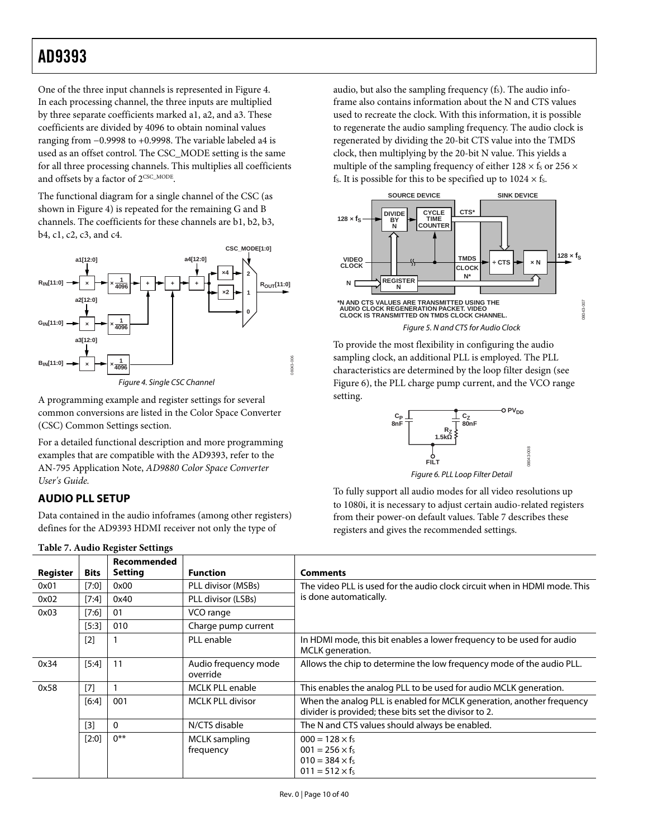<span id="page-9-0"></span>One of the three input channels is represented in [Figure 4](#page-9-2). In each processing channel, the three inputs are multiplied by three separate coefficients marked a1, a2, and a3. These coefficients are divided by 4096 to obtain nominal values ranging from −0.9998 to +0.9998. The variable labeled a4 is used as an offset control. The CSC\_MODE setting is the same for all three processing channels. This multiplies all coefficients and offsets by a factor of  $2^{\text{CSC\_MODE}}$ .

The functional diagram for a single channel of the CSC (as shown in [Figure 4](#page-9-2)) is repeated for the remaining G and B channels. The coefficients for these channels are b1, b2, b3, b4, c1, c2, c3, and c4.



Figure 4. Single CSC Channel

<span id="page-9-2"></span>A programming example and register settings for several common conversions are listed in the [Color Space Converter](#page-33-3)  [\(CSC\) Common Settings](#page-33-3) section.

For a detailed functional description and more programming examples that are compatible with the AD9393, refer to the AN-795 Application Note, *AD9880 Color Space Converter User's Guide.*

# <span id="page-9-1"></span>**AUDIO PLL SETUP**

Data contained in the audio infoframes (among other registers) defines for the AD9393 HDMI receiver not only the type of

audio, but also the sampling frequency  $(f<sub>s</sub>)$ . The audio infoframe also contains information about the N and CTS values used to recreate the clock. With this information, it is possible to regenerate the audio sampling frequency. The audio clock is regenerated by dividing the 20-bit CTS value into the TMDS clock, then multiplying by the 20-bit N value. This yields a multiple of the sampling frequency of either  $128 \times f_s$  or  $256 \times$ fs. It is possible for this to be specified up to  $1024 \times$  fs.



To provide the most flexibility in configuring the audio sampling clock, an additional PLL is employed. The PLL characteristics are determined by the loop filter design (see [Figure 6](#page-9-1)), the PLL charge pump current, and the VCO range setting.



Figure 6. PLL Loop Filter Detail

To fully support all audio modes for all video resolutions up to 1080i, it is necessary to adjust certain audio-related registers from their power-on default values. [Table 7](#page-9-3) describes these registers and gives the recommended settings.

<span id="page-9-3"></span>

|          |             | Recommended    |                                   |                                                                                                                                |
|----------|-------------|----------------|-----------------------------------|--------------------------------------------------------------------------------------------------------------------------------|
| Register | <b>Bits</b> | <b>Setting</b> | <b>Function</b>                   | <b>Comments</b>                                                                                                                |
| 0x01     | [7:0]       | 0x00           | PLL divisor (MSBs)                | The video PLL is used for the audio clock circuit when in HDMI mode. This                                                      |
| 0x02     | [7:4]       | 0x40           | PLL divisor (LSBs)                | is done automatically.                                                                                                         |
| 0x03     | [7:6]       | 01             | VCO range                         |                                                                                                                                |
|          | [5:3]       | 010            | Charge pump current               |                                                                                                                                |
|          | [2]         |                | PLL enable                        | In HDMI mode, this bit enables a lower frequency to be used for audio<br>MCLK generation.                                      |
| 0x34     | [5:4]       | 11             | Audio frequency mode<br>override  | Allows the chip to determine the low frequency mode of the audio PLL.                                                          |
| 0x58     | [7]         |                | <b>MCLK PLL enable</b>            | This enables the analog PLL to be used for audio MCLK generation.                                                              |
|          | [6:4]       | 001            | <b>MCLK PLL divisor</b>           | When the analog PLL is enabled for MCLK generation, another frequency<br>divider is provided; these bits set the divisor to 2. |
|          | [3]         | $\mathbf{0}$   | N/CTS disable                     | The N and CTS values should always be enabled.                                                                                 |
|          | $[2:0]$     | $0***$         | <b>MCLK</b> sampling<br>frequency | $000 = 128 \times f_s$<br>$001 = 256 \times f_s$<br>$010 = 384 \times f_s$<br>$011 = 512 \times f_s$                           |

#### **Table 7. Audio Register Settings**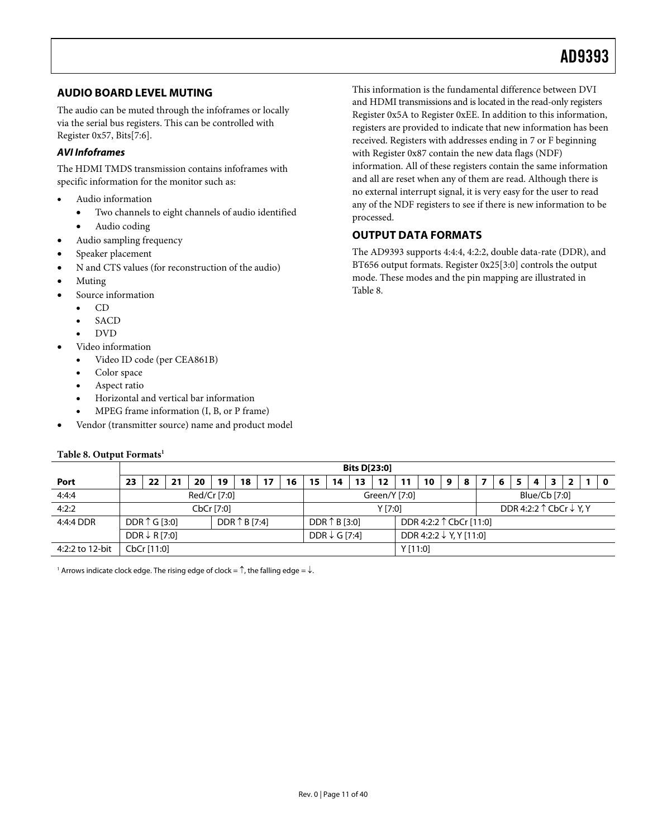# <span id="page-10-1"></span><span id="page-10-0"></span>**AUDIO BOARD LEVEL MUTING**

The audio can be muted through the infoframes or locally via the serial bus registers. This can be controlled with Register 0x57, Bits[7:6].

# **AVI Infoframes**

The HDMI TMDS transmission contains infoframes with specific information for the monitor such as:

- Audio information
	- Two channels to eight channels of audio identified
	- Audio coding
	- Audio sampling frequency
- Speaker placement
- N and CTS values (for reconstruction of the audio)
- Muting
- Source information
	- CD
	- **SACD**
	- DVD
- Video information
	- Video ID code (per CEA861B)
	- Color space
	- Aspect ratio
	- Horizontal and vertical bar information
	- MPEG frame information (I, B, or P frame)
- Vendor (transmitter source) name and product model

#### **Table 8. Output Formats1**

This information is the fundamental difference between DVI and HDMI transmissions and is located in the read-only registers Register 0x5A to Register 0xEE. In addition to this information, registers are provided to indicate that new information has been received. Registers with addresses ending in 7 or F beginning with Register 0x87 contain the new data flags (NDF) information. All of these registers contain the same information and all are reset when any of them are read. Although there is no external interrupt signal, it is very easy for the user to read any of the NDF registers to see if there is new information to be processed.

# **OUTPUT DATA FORMATS**

The AD9393 supports 4:4:4, 4:2:2, double data-rate (DDR), and BT656 output formats. Register 0x25[3:0] controls the output mode. These modes and the pin mapping are illustrated in Table 8.

|                 | <b>Bits D[23:0]</b>                              |    |    |    |    |    |                                                                |         |    |    |    |         |  |    |               |                                             |  |  |  |   |  |  |  |     |
|-----------------|--------------------------------------------------|----|----|----|----|----|----------------------------------------------------------------|---------|----|----|----|---------|--|----|---------------|---------------------------------------------|--|--|--|---|--|--|--|-----|
| Port            | 23                                               | 22 | 21 | 20 | 19 | 18 |                                                                | 16      | 15 | 14 | 13 | 12      |  | 10 | 9             | 8                                           |  |  |  | 4 |  |  |  | - 0 |
| 4:4:4           | Red/Cr [7:0]                                     |    |    |    |    |    | Green/Y [7:0]                                                  |         |    |    |    |         |  |    | Blue/Cb [7:0] |                                             |  |  |  |   |  |  |  |     |
| 4:2:2           | CbCr [7:0]                                       |    |    |    |    |    |                                                                | Y [7:0] |    |    |    |         |  |    |               | DDR 4:2:2 $\uparrow$ CbCr $\downarrow$ Y, Y |  |  |  |   |  |  |  |     |
| 4:4:4 DDR       | DDR $\uparrow$ B [7:4]<br>DDR $\uparrow$ G [3:0] |    |    |    |    |    | DDR $\uparrow$ B [3:0]<br>DDR 4:2:2 ↑ CbCr [11:0]              |         |    |    |    |         |  |    |               |                                             |  |  |  |   |  |  |  |     |
|                 | DDR $\downarrow$ R [7:0]                         |    |    |    |    |    | DDR 4:2:2 $\downarrow$ Y, Y [11:0]<br>DDR $\downarrow$ G [7:4] |         |    |    |    |         |  |    |               |                                             |  |  |  |   |  |  |  |     |
| 4:2:2 to 12-bit | CbCr [11:0]                                      |    |    |    |    |    |                                                                |         |    |    |    | Y[11:0] |  |    |               |                                             |  |  |  |   |  |  |  |     |

 $^{\rm 1}$  Arrows indicate clock edge. The rising edge of clock =  $\uparrow$ , the falling edge =  $\downarrow$ .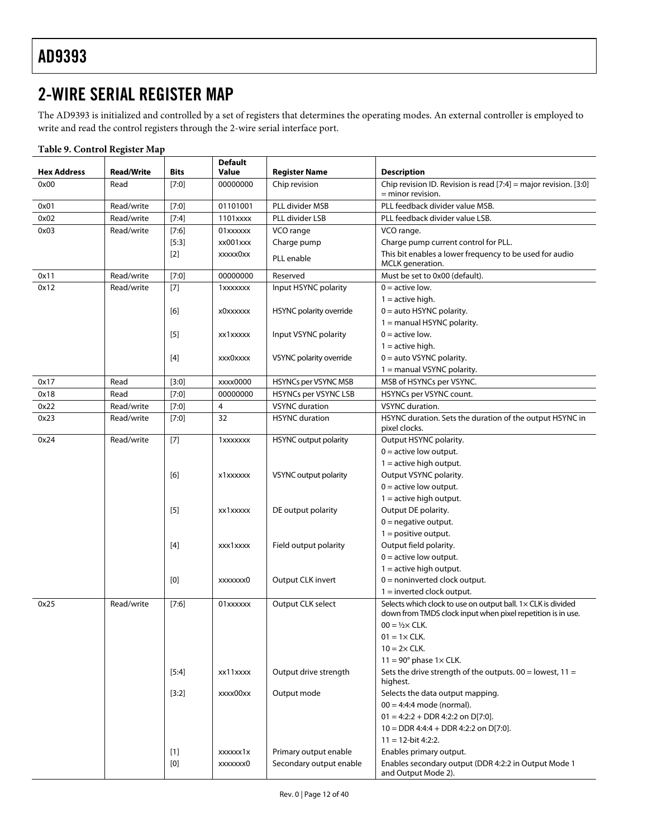# <span id="page-11-0"></span>2-WIRE SERIAL REGISTER MAP

The AD9393 is initialized and controlled by a set of registers that determines the operating modes. An external controller is employed to write and read the control registers through the 2-wire serial interface port.

|                    | <b>Read/Write</b> |         | <b>Default</b><br><b>Value</b> |                              |                                                                                                                             |
|--------------------|-------------------|---------|--------------------------------|------------------------------|-----------------------------------------------------------------------------------------------------------------------------|
| <b>Hex Address</b> |                   | Bits    |                                | <b>Register Name</b>         | <b>Description</b>                                                                                                          |
| 0x00               | Read              | $[7:0]$ | 00000000                       | Chip revision                | Chip revision ID. Revision is read [7:4] = major revision. [3:0]<br>$=$ minor revision.                                     |
| 0x01               | Read/write        | [7:0]   | 01101001                       | PLL divider MSB              | PLL feedback divider value MSB.                                                                                             |
| 0x02               | Read/write        | $[7:4]$ | 1101xxxx                       | PLL divider LSB              | PLL feedback divider value LSB.                                                                                             |
| 0x03               | Read/write        | [7:6]   | 01xxxxxx                       | VCO range                    | VCO range.                                                                                                                  |
|                    |                   | $[5:3]$ | xx001xxx                       | Charge pump                  | Charge pump current control for PLL.                                                                                        |
|                    |                   | $[2]$   | xxxxx0xx                       | PLL enable                   | This bit enables a lower frequency to be used for audio<br>MCLK generation.                                                 |
| 0x11               | Read/write        | $[7:0]$ | 00000000                       | Reserved                     | Must be set to 0x00 (default).                                                                                              |
| 0x12               | Read/write        | $[7]$   | 1xxxxxxx                       | Input HSYNC polarity         | $0 =$ active low.                                                                                                           |
|                    |                   |         |                                |                              | $1 =$ active high.                                                                                                          |
|                    |                   | [6]     | x0xxxxxx                       | HSYNC polarity override      | $0 =$ auto HSYNC polarity.                                                                                                  |
|                    |                   |         |                                |                              | $1 =$ manual HSYNC polarity.                                                                                                |
|                    |                   | $[5]$   | xx1xxxxx                       | Input VSYNC polarity         | $0 =$ active low.                                                                                                           |
|                    |                   |         |                                |                              | $1 =$ active high.                                                                                                          |
|                    |                   | $[4]$   | xxx0xxxx                       | VSYNC polarity override      | $0 =$ auto VSYNC polarity.                                                                                                  |
|                    |                   |         |                                |                              | $1 =$ manual VSYNC polarity.                                                                                                |
| 0x17               | Read              | [3:0]   | xxxx0000                       | <b>HSYNCs per VSYNC MSB</b>  | MSB of HSYNCs per VSYNC.                                                                                                    |
| 0x18               | Read              | $[7:0]$ | 00000000                       | <b>HSYNCs per VSYNC LSB</b>  | HSYNCs per VSYNC count.                                                                                                     |
| 0x22               | Read/write        | $[7:0]$ | 4                              | <b>VSYNC</b> duration        | VSYNC duration.                                                                                                             |
| 0x23               | Read/write        | $[7:0]$ | 32                             | <b>HSYNC</b> duration        | HSYNC duration. Sets the duration of the output HSYNC in<br>pixel clocks.                                                   |
| 0x24               | Read/write        | $[7]$   | 1xxxxxxx                       | <b>HSYNC</b> output polarity | Output HSYNC polarity.                                                                                                      |
|                    |                   |         |                                |                              | $0 =$ active low output.                                                                                                    |
|                    |                   |         |                                |                              | $1 =$ active high output.                                                                                                   |
|                    |                   | [6]     | x1xxxxxx                       | VSYNC output polarity        | Output VSYNC polarity.                                                                                                      |
|                    |                   |         |                                |                              | $0 =$ active low output.                                                                                                    |
|                    |                   |         |                                |                              | $1 =$ active high output.                                                                                                   |
|                    |                   | $[5]$   | xx1xxxxx                       | DE output polarity           | Output DE polarity.                                                                                                         |
|                    |                   |         |                                |                              | $0$ = negative output.                                                                                                      |
|                    |                   |         |                                |                              | $1 =$ positive output.                                                                                                      |
|                    |                   | $[4]$   | xxx1xxxx                       | Field output polarity        | Output field polarity.                                                                                                      |
|                    |                   |         |                                |                              | $0 =$ active low output.                                                                                                    |
|                    |                   |         |                                |                              | $1 =$ active high output.                                                                                                   |
|                    |                   | [0]     | xxxxxxx0                       | Output CLK invert            | $0 =$ noninverted clock output.                                                                                             |
|                    |                   |         |                                |                              | $1 =$ inverted clock output.                                                                                                |
| 0x25               | Read/write        | [7:6]   | 01xxxxxx                       | Output CLK select            | Selects which clock to use on output ball. 1x CLK is divided<br>down from TMDS clock input when pixel repetition is in use. |
|                    |                   |         |                                |                              | $00 = 1/2 \times CLK$ .                                                                                                     |
|                    |                   |         |                                |                              | $01 = 1 \times CLK$ .                                                                                                       |
|                    |                   |         |                                |                              | $10 = 2 \times$ CLK.                                                                                                        |
|                    |                   |         |                                |                              | $11 = 90^\circ$ phase $1 \times$ CLK.                                                                                       |
|                    |                   | $[5:4]$ | xx11xxxx                       | Output drive strength        | Sets the drive strength of the outputs. $00 =$ lowest, $11 =$                                                               |
|                    |                   |         |                                |                              | highest.                                                                                                                    |
|                    |                   | [3:2]   | xxxx00xx                       | Output mode                  | Selects the data output mapping.                                                                                            |
|                    |                   |         |                                |                              | $00 = 4:4:4$ mode (normal).                                                                                                 |
|                    |                   |         |                                |                              | $01 = 4:2:2 + DDR 4:2:2$ on $D[7:0]$ .                                                                                      |
|                    |                   |         |                                |                              | $10 =$ DDR 4:4:4 + DDR 4:2:2 on D[7:0].                                                                                     |
|                    |                   |         |                                |                              | $11 = 12$ -bit 4:2:2.                                                                                                       |
|                    |                   | $[1]$   | xxxxxx1x                       | Primary output enable        | Enables primary output.                                                                                                     |
|                    |                   | [0]     | xxxxxxx0                       | Secondary output enable      | Enables secondary output (DDR 4:2:2 in Output Mode 1                                                                        |
|                    |                   |         |                                |                              | and Output Mode 2).                                                                                                         |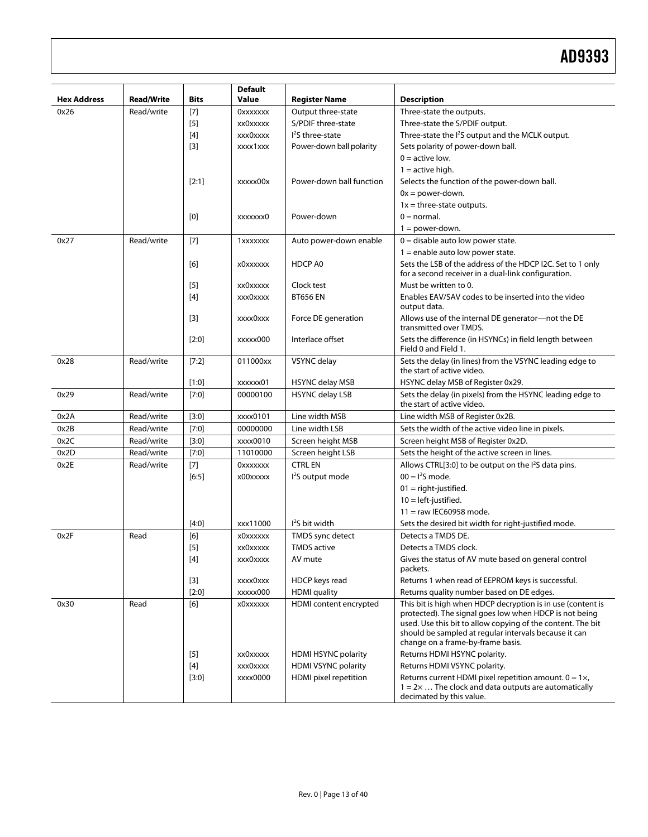| Three-state the outputs.<br>Read/write<br>$[7]$<br><b>OXXXXXXX</b><br>Output three-state<br>0x26<br>S/PDIF three-state<br>$[5]$<br>xx0xxxxx<br>Three-state the S/PDIF output.<br>$[4]$<br>$l2S$ three-state<br>Three-state the I <sup>2</sup> S output and the MCLK output.<br>xxx0xxxx<br>$[3]$<br>Sets polarity of power-down ball.<br>xxxx1xxx<br>Power-down ball polarity<br>$0 =$ active low.<br>$1 =$ active high.<br>Power-down ball function<br>[2:1]<br>Selects the function of the power-down ball.<br>xxxxx00x<br>$0x = power-down$ .<br>$1x =$ three-state outputs.<br>$0 = normal$ .<br>[0]<br>Power-down<br>xxxxxxx0<br>$1 = power-down$ .<br>Read/write<br>$[7]$<br>Auto power-down enable<br>$0 =$ disable auto low power state.<br>0x27<br>1xxxxxxx<br>$1$ = enable auto low power state.<br>HDCP A0<br>Sets the LSB of the address of the HDCP I2C. Set to 1 only<br>[6]<br>x0xxxxxx<br>for a second receiver in a dual-link configuration.<br>$[5]$<br>Clock test<br>Must be written to 0.<br>xx0xxxxx<br>Enables EAV/SAV codes to be inserted into the video<br>[4]<br><b>BT656 EN</b><br>xxx0xxxx<br>output data.<br>Allows use of the internal DE generator-not the DE<br>$[3]$<br>Force DE generation<br>xxxx0xxx<br>transmitted over TMDS.<br>Interlace offset<br>$[2:0]$<br>xxxxx000<br>Field 0 and Field 1.<br>Read/write<br>[7:2]<br>VSYNC delay<br>0x28<br>011000xx<br>the start of active video.<br>HSYNC delay MSB of Register 0x29.<br>$[1:0]$<br><b>HSYNC delay MSB</b><br>xxxxxx01<br>Read/write<br>$[7:0]$<br><b>HSYNC delay LSB</b><br>Sets the delay (in pixels) from the HSYNC leading edge to<br>0x29<br>00000100<br>the start of active video.<br>Read/write<br>$[3:0]$<br>Line width MSB<br>0x2A<br>xxxx0101<br>Line width MSB of Register 0x2B.<br>0x2B<br>$[7:0]$<br>00000000<br>Line width LSB<br>Sets the width of the active video line in pixels.<br>Read/write<br>$[3:0]$<br>0x2C<br>Read/write<br>xxxx0010<br>Screen height MSB<br>Screen height MSB of Register 0x2D.<br>$[7:0]$<br>Sets the height of the active screen in lines.<br>0x2D<br>Read/write<br>11010000<br>Screen height LSB<br>$[7]$<br><b>CTRL EN</b><br>Allows CTRL[3:0] to be output on the I <sup>2</sup> S data pins.<br>Read/write<br>0x2E<br><b>OXXXXXXX</b><br>$00 = 12S$ mode.<br>I <sup>2</sup> S output mode<br>[6:5]<br>x00xxxxx<br>$01 =$ right-justified.<br>$10 = left$ -justified.<br>$11 =$ raw IEC60958 mode.<br>$I2S$ bit width<br>$[4:0]$<br>xxx11000<br>Sets the desired bit width for right-justified mode.<br>[6]<br>TMDS sync detect<br>Detects a TMDS DE.<br>0x2F<br>Read<br>x0xxxxxx<br><b>TMDS</b> active<br>Detects a TMDS clock.<br>$[5]$<br>xx0xxxxx<br>[4]<br>xxx0xxxx<br>AV mute<br>Gives the status of AV mute based on general control<br>packets.<br>Returns 1 when read of EEPROM keys is successful.<br>$[3]$<br>HDCP keys read<br>xxxx0xxx<br>$[2:0]$<br>xxxxx000<br><b>HDMI</b> quality<br>Returns quality number based on DE edges.<br>[6]<br>HDMI content encrypted<br>0x30<br>Read<br>x0xxxxxx<br>should be sampled at regular intervals because it can | <b>Hex Address</b> | <b>Read/Write</b> | <b>Bits</b> | <b>Default</b><br>Value | <b>Register Name</b> | <b>Description</b>                                                                                                                                                                                                        |
|------------------------------------------------------------------------------------------------------------------------------------------------------------------------------------------------------------------------------------------------------------------------------------------------------------------------------------------------------------------------------------------------------------------------------------------------------------------------------------------------------------------------------------------------------------------------------------------------------------------------------------------------------------------------------------------------------------------------------------------------------------------------------------------------------------------------------------------------------------------------------------------------------------------------------------------------------------------------------------------------------------------------------------------------------------------------------------------------------------------------------------------------------------------------------------------------------------------------------------------------------------------------------------------------------------------------------------------------------------------------------------------------------------------------------------------------------------------------------------------------------------------------------------------------------------------------------------------------------------------------------------------------------------------------------------------------------------------------------------------------------------------------------------------------------------------------------------------------------------------------------------------------------------------------------------------------------------------------------------------------------------------------------------------------------------------------------------------------------------------------------------------------------------------------------------------------------------------------------------------------------------------------------------------------------------------------------------------------------------------------------------------------------------------------------------------------------------------------------------------------------------------------------------------------------------------------------------------------------------------------------------------------------------------------------------------------------------------------------------------------------------------------------------------------------------------------------------------------------------------------------------------------------------------------------------------------------------------------------------------------------------------------------------------------------------------------------------------------------------------|--------------------|-------------------|-------------|-------------------------|----------------------|---------------------------------------------------------------------------------------------------------------------------------------------------------------------------------------------------------------------------|
|                                                                                                                                                                                                                                                                                                                                                                                                                                                                                                                                                                                                                                                                                                                                                                                                                                                                                                                                                                                                                                                                                                                                                                                                                                                                                                                                                                                                                                                                                                                                                                                                                                                                                                                                                                                                                                                                                                                                                                                                                                                                                                                                                                                                                                                                                                                                                                                                                                                                                                                                                                                                                                                                                                                                                                                                                                                                                                                                                                                                                                                                                                                  |                    |                   |             |                         |                      |                                                                                                                                                                                                                           |
|                                                                                                                                                                                                                                                                                                                                                                                                                                                                                                                                                                                                                                                                                                                                                                                                                                                                                                                                                                                                                                                                                                                                                                                                                                                                                                                                                                                                                                                                                                                                                                                                                                                                                                                                                                                                                                                                                                                                                                                                                                                                                                                                                                                                                                                                                                                                                                                                                                                                                                                                                                                                                                                                                                                                                                                                                                                                                                                                                                                                                                                                                                                  |                    |                   |             |                         |                      |                                                                                                                                                                                                                           |
|                                                                                                                                                                                                                                                                                                                                                                                                                                                                                                                                                                                                                                                                                                                                                                                                                                                                                                                                                                                                                                                                                                                                                                                                                                                                                                                                                                                                                                                                                                                                                                                                                                                                                                                                                                                                                                                                                                                                                                                                                                                                                                                                                                                                                                                                                                                                                                                                                                                                                                                                                                                                                                                                                                                                                                                                                                                                                                                                                                                                                                                                                                                  |                    |                   |             |                         |                      |                                                                                                                                                                                                                           |
|                                                                                                                                                                                                                                                                                                                                                                                                                                                                                                                                                                                                                                                                                                                                                                                                                                                                                                                                                                                                                                                                                                                                                                                                                                                                                                                                                                                                                                                                                                                                                                                                                                                                                                                                                                                                                                                                                                                                                                                                                                                                                                                                                                                                                                                                                                                                                                                                                                                                                                                                                                                                                                                                                                                                                                                                                                                                                                                                                                                                                                                                                                                  |                    |                   |             |                         |                      |                                                                                                                                                                                                                           |
|                                                                                                                                                                                                                                                                                                                                                                                                                                                                                                                                                                                                                                                                                                                                                                                                                                                                                                                                                                                                                                                                                                                                                                                                                                                                                                                                                                                                                                                                                                                                                                                                                                                                                                                                                                                                                                                                                                                                                                                                                                                                                                                                                                                                                                                                                                                                                                                                                                                                                                                                                                                                                                                                                                                                                                                                                                                                                                                                                                                                                                                                                                                  |                    |                   |             |                         |                      |                                                                                                                                                                                                                           |
|                                                                                                                                                                                                                                                                                                                                                                                                                                                                                                                                                                                                                                                                                                                                                                                                                                                                                                                                                                                                                                                                                                                                                                                                                                                                                                                                                                                                                                                                                                                                                                                                                                                                                                                                                                                                                                                                                                                                                                                                                                                                                                                                                                                                                                                                                                                                                                                                                                                                                                                                                                                                                                                                                                                                                                                                                                                                                                                                                                                                                                                                                                                  |                    |                   |             |                         |                      |                                                                                                                                                                                                                           |
|                                                                                                                                                                                                                                                                                                                                                                                                                                                                                                                                                                                                                                                                                                                                                                                                                                                                                                                                                                                                                                                                                                                                                                                                                                                                                                                                                                                                                                                                                                                                                                                                                                                                                                                                                                                                                                                                                                                                                                                                                                                                                                                                                                                                                                                                                                                                                                                                                                                                                                                                                                                                                                                                                                                                                                                                                                                                                                                                                                                                                                                                                                                  |                    |                   |             |                         |                      |                                                                                                                                                                                                                           |
|                                                                                                                                                                                                                                                                                                                                                                                                                                                                                                                                                                                                                                                                                                                                                                                                                                                                                                                                                                                                                                                                                                                                                                                                                                                                                                                                                                                                                                                                                                                                                                                                                                                                                                                                                                                                                                                                                                                                                                                                                                                                                                                                                                                                                                                                                                                                                                                                                                                                                                                                                                                                                                                                                                                                                                                                                                                                                                                                                                                                                                                                                                                  |                    |                   |             |                         |                      |                                                                                                                                                                                                                           |
|                                                                                                                                                                                                                                                                                                                                                                                                                                                                                                                                                                                                                                                                                                                                                                                                                                                                                                                                                                                                                                                                                                                                                                                                                                                                                                                                                                                                                                                                                                                                                                                                                                                                                                                                                                                                                                                                                                                                                                                                                                                                                                                                                                                                                                                                                                                                                                                                                                                                                                                                                                                                                                                                                                                                                                                                                                                                                                                                                                                                                                                                                                                  |                    |                   |             |                         |                      |                                                                                                                                                                                                                           |
|                                                                                                                                                                                                                                                                                                                                                                                                                                                                                                                                                                                                                                                                                                                                                                                                                                                                                                                                                                                                                                                                                                                                                                                                                                                                                                                                                                                                                                                                                                                                                                                                                                                                                                                                                                                                                                                                                                                                                                                                                                                                                                                                                                                                                                                                                                                                                                                                                                                                                                                                                                                                                                                                                                                                                                                                                                                                                                                                                                                                                                                                                                                  |                    |                   |             |                         |                      |                                                                                                                                                                                                                           |
|                                                                                                                                                                                                                                                                                                                                                                                                                                                                                                                                                                                                                                                                                                                                                                                                                                                                                                                                                                                                                                                                                                                                                                                                                                                                                                                                                                                                                                                                                                                                                                                                                                                                                                                                                                                                                                                                                                                                                                                                                                                                                                                                                                                                                                                                                                                                                                                                                                                                                                                                                                                                                                                                                                                                                                                                                                                                                                                                                                                                                                                                                                                  |                    |                   |             |                         |                      |                                                                                                                                                                                                                           |
|                                                                                                                                                                                                                                                                                                                                                                                                                                                                                                                                                                                                                                                                                                                                                                                                                                                                                                                                                                                                                                                                                                                                                                                                                                                                                                                                                                                                                                                                                                                                                                                                                                                                                                                                                                                                                                                                                                                                                                                                                                                                                                                                                                                                                                                                                                                                                                                                                                                                                                                                                                                                                                                                                                                                                                                                                                                                                                                                                                                                                                                                                                                  |                    |                   |             |                         |                      |                                                                                                                                                                                                                           |
|                                                                                                                                                                                                                                                                                                                                                                                                                                                                                                                                                                                                                                                                                                                                                                                                                                                                                                                                                                                                                                                                                                                                                                                                                                                                                                                                                                                                                                                                                                                                                                                                                                                                                                                                                                                                                                                                                                                                                                                                                                                                                                                                                                                                                                                                                                                                                                                                                                                                                                                                                                                                                                                                                                                                                                                                                                                                                                                                                                                                                                                                                                                  |                    |                   |             |                         |                      |                                                                                                                                                                                                                           |
|                                                                                                                                                                                                                                                                                                                                                                                                                                                                                                                                                                                                                                                                                                                                                                                                                                                                                                                                                                                                                                                                                                                                                                                                                                                                                                                                                                                                                                                                                                                                                                                                                                                                                                                                                                                                                                                                                                                                                                                                                                                                                                                                                                                                                                                                                                                                                                                                                                                                                                                                                                                                                                                                                                                                                                                                                                                                                                                                                                                                                                                                                                                  |                    |                   |             |                         |                      |                                                                                                                                                                                                                           |
|                                                                                                                                                                                                                                                                                                                                                                                                                                                                                                                                                                                                                                                                                                                                                                                                                                                                                                                                                                                                                                                                                                                                                                                                                                                                                                                                                                                                                                                                                                                                                                                                                                                                                                                                                                                                                                                                                                                                                                                                                                                                                                                                                                                                                                                                                                                                                                                                                                                                                                                                                                                                                                                                                                                                                                                                                                                                                                                                                                                                                                                                                                                  |                    |                   |             |                         |                      |                                                                                                                                                                                                                           |
|                                                                                                                                                                                                                                                                                                                                                                                                                                                                                                                                                                                                                                                                                                                                                                                                                                                                                                                                                                                                                                                                                                                                                                                                                                                                                                                                                                                                                                                                                                                                                                                                                                                                                                                                                                                                                                                                                                                                                                                                                                                                                                                                                                                                                                                                                                                                                                                                                                                                                                                                                                                                                                                                                                                                                                                                                                                                                                                                                                                                                                                                                                                  |                    |                   |             |                         |                      |                                                                                                                                                                                                                           |
|                                                                                                                                                                                                                                                                                                                                                                                                                                                                                                                                                                                                                                                                                                                                                                                                                                                                                                                                                                                                                                                                                                                                                                                                                                                                                                                                                                                                                                                                                                                                                                                                                                                                                                                                                                                                                                                                                                                                                                                                                                                                                                                                                                                                                                                                                                                                                                                                                                                                                                                                                                                                                                                                                                                                                                                                                                                                                                                                                                                                                                                                                                                  |                    |                   |             |                         |                      |                                                                                                                                                                                                                           |
|                                                                                                                                                                                                                                                                                                                                                                                                                                                                                                                                                                                                                                                                                                                                                                                                                                                                                                                                                                                                                                                                                                                                                                                                                                                                                                                                                                                                                                                                                                                                                                                                                                                                                                                                                                                                                                                                                                                                                                                                                                                                                                                                                                                                                                                                                                                                                                                                                                                                                                                                                                                                                                                                                                                                                                                                                                                                                                                                                                                                                                                                                                                  |                    |                   |             |                         |                      |                                                                                                                                                                                                                           |
|                                                                                                                                                                                                                                                                                                                                                                                                                                                                                                                                                                                                                                                                                                                                                                                                                                                                                                                                                                                                                                                                                                                                                                                                                                                                                                                                                                                                                                                                                                                                                                                                                                                                                                                                                                                                                                                                                                                                                                                                                                                                                                                                                                                                                                                                                                                                                                                                                                                                                                                                                                                                                                                                                                                                                                                                                                                                                                                                                                                                                                                                                                                  |                    |                   |             |                         |                      | Sets the difference (in HSYNCs) in field length between                                                                                                                                                                   |
|                                                                                                                                                                                                                                                                                                                                                                                                                                                                                                                                                                                                                                                                                                                                                                                                                                                                                                                                                                                                                                                                                                                                                                                                                                                                                                                                                                                                                                                                                                                                                                                                                                                                                                                                                                                                                                                                                                                                                                                                                                                                                                                                                                                                                                                                                                                                                                                                                                                                                                                                                                                                                                                                                                                                                                                                                                                                                                                                                                                                                                                                                                                  |                    |                   |             |                         |                      | Sets the delay (in lines) from the VSYNC leading edge to                                                                                                                                                                  |
|                                                                                                                                                                                                                                                                                                                                                                                                                                                                                                                                                                                                                                                                                                                                                                                                                                                                                                                                                                                                                                                                                                                                                                                                                                                                                                                                                                                                                                                                                                                                                                                                                                                                                                                                                                                                                                                                                                                                                                                                                                                                                                                                                                                                                                                                                                                                                                                                                                                                                                                                                                                                                                                                                                                                                                                                                                                                                                                                                                                                                                                                                                                  |                    |                   |             |                         |                      |                                                                                                                                                                                                                           |
|                                                                                                                                                                                                                                                                                                                                                                                                                                                                                                                                                                                                                                                                                                                                                                                                                                                                                                                                                                                                                                                                                                                                                                                                                                                                                                                                                                                                                                                                                                                                                                                                                                                                                                                                                                                                                                                                                                                                                                                                                                                                                                                                                                                                                                                                                                                                                                                                                                                                                                                                                                                                                                                                                                                                                                                                                                                                                                                                                                                                                                                                                                                  |                    |                   |             |                         |                      |                                                                                                                                                                                                                           |
|                                                                                                                                                                                                                                                                                                                                                                                                                                                                                                                                                                                                                                                                                                                                                                                                                                                                                                                                                                                                                                                                                                                                                                                                                                                                                                                                                                                                                                                                                                                                                                                                                                                                                                                                                                                                                                                                                                                                                                                                                                                                                                                                                                                                                                                                                                                                                                                                                                                                                                                                                                                                                                                                                                                                                                                                                                                                                                                                                                                                                                                                                                                  |                    |                   |             |                         |                      |                                                                                                                                                                                                                           |
|                                                                                                                                                                                                                                                                                                                                                                                                                                                                                                                                                                                                                                                                                                                                                                                                                                                                                                                                                                                                                                                                                                                                                                                                                                                                                                                                                                                                                                                                                                                                                                                                                                                                                                                                                                                                                                                                                                                                                                                                                                                                                                                                                                                                                                                                                                                                                                                                                                                                                                                                                                                                                                                                                                                                                                                                                                                                                                                                                                                                                                                                                                                  |                    |                   |             |                         |                      |                                                                                                                                                                                                                           |
|                                                                                                                                                                                                                                                                                                                                                                                                                                                                                                                                                                                                                                                                                                                                                                                                                                                                                                                                                                                                                                                                                                                                                                                                                                                                                                                                                                                                                                                                                                                                                                                                                                                                                                                                                                                                                                                                                                                                                                                                                                                                                                                                                                                                                                                                                                                                                                                                                                                                                                                                                                                                                                                                                                                                                                                                                                                                                                                                                                                                                                                                                                                  |                    |                   |             |                         |                      |                                                                                                                                                                                                                           |
|                                                                                                                                                                                                                                                                                                                                                                                                                                                                                                                                                                                                                                                                                                                                                                                                                                                                                                                                                                                                                                                                                                                                                                                                                                                                                                                                                                                                                                                                                                                                                                                                                                                                                                                                                                                                                                                                                                                                                                                                                                                                                                                                                                                                                                                                                                                                                                                                                                                                                                                                                                                                                                                                                                                                                                                                                                                                                                                                                                                                                                                                                                                  |                    |                   |             |                         |                      |                                                                                                                                                                                                                           |
|                                                                                                                                                                                                                                                                                                                                                                                                                                                                                                                                                                                                                                                                                                                                                                                                                                                                                                                                                                                                                                                                                                                                                                                                                                                                                                                                                                                                                                                                                                                                                                                                                                                                                                                                                                                                                                                                                                                                                                                                                                                                                                                                                                                                                                                                                                                                                                                                                                                                                                                                                                                                                                                                                                                                                                                                                                                                                                                                                                                                                                                                                                                  |                    |                   |             |                         |                      |                                                                                                                                                                                                                           |
|                                                                                                                                                                                                                                                                                                                                                                                                                                                                                                                                                                                                                                                                                                                                                                                                                                                                                                                                                                                                                                                                                                                                                                                                                                                                                                                                                                                                                                                                                                                                                                                                                                                                                                                                                                                                                                                                                                                                                                                                                                                                                                                                                                                                                                                                                                                                                                                                                                                                                                                                                                                                                                                                                                                                                                                                                                                                                                                                                                                                                                                                                                                  |                    |                   |             |                         |                      |                                                                                                                                                                                                                           |
|                                                                                                                                                                                                                                                                                                                                                                                                                                                                                                                                                                                                                                                                                                                                                                                                                                                                                                                                                                                                                                                                                                                                                                                                                                                                                                                                                                                                                                                                                                                                                                                                                                                                                                                                                                                                                                                                                                                                                                                                                                                                                                                                                                                                                                                                                                                                                                                                                                                                                                                                                                                                                                                                                                                                                                                                                                                                                                                                                                                                                                                                                                                  |                    |                   |             |                         |                      |                                                                                                                                                                                                                           |
|                                                                                                                                                                                                                                                                                                                                                                                                                                                                                                                                                                                                                                                                                                                                                                                                                                                                                                                                                                                                                                                                                                                                                                                                                                                                                                                                                                                                                                                                                                                                                                                                                                                                                                                                                                                                                                                                                                                                                                                                                                                                                                                                                                                                                                                                                                                                                                                                                                                                                                                                                                                                                                                                                                                                                                                                                                                                                                                                                                                                                                                                                                                  |                    |                   |             |                         |                      |                                                                                                                                                                                                                           |
|                                                                                                                                                                                                                                                                                                                                                                                                                                                                                                                                                                                                                                                                                                                                                                                                                                                                                                                                                                                                                                                                                                                                                                                                                                                                                                                                                                                                                                                                                                                                                                                                                                                                                                                                                                                                                                                                                                                                                                                                                                                                                                                                                                                                                                                                                                                                                                                                                                                                                                                                                                                                                                                                                                                                                                                                                                                                                                                                                                                                                                                                                                                  |                    |                   |             |                         |                      |                                                                                                                                                                                                                           |
|                                                                                                                                                                                                                                                                                                                                                                                                                                                                                                                                                                                                                                                                                                                                                                                                                                                                                                                                                                                                                                                                                                                                                                                                                                                                                                                                                                                                                                                                                                                                                                                                                                                                                                                                                                                                                                                                                                                                                                                                                                                                                                                                                                                                                                                                                                                                                                                                                                                                                                                                                                                                                                                                                                                                                                                                                                                                                                                                                                                                                                                                                                                  |                    |                   |             |                         |                      |                                                                                                                                                                                                                           |
|                                                                                                                                                                                                                                                                                                                                                                                                                                                                                                                                                                                                                                                                                                                                                                                                                                                                                                                                                                                                                                                                                                                                                                                                                                                                                                                                                                                                                                                                                                                                                                                                                                                                                                                                                                                                                                                                                                                                                                                                                                                                                                                                                                                                                                                                                                                                                                                                                                                                                                                                                                                                                                                                                                                                                                                                                                                                                                                                                                                                                                                                                                                  |                    |                   |             |                         |                      |                                                                                                                                                                                                                           |
|                                                                                                                                                                                                                                                                                                                                                                                                                                                                                                                                                                                                                                                                                                                                                                                                                                                                                                                                                                                                                                                                                                                                                                                                                                                                                                                                                                                                                                                                                                                                                                                                                                                                                                                                                                                                                                                                                                                                                                                                                                                                                                                                                                                                                                                                                                                                                                                                                                                                                                                                                                                                                                                                                                                                                                                                                                                                                                                                                                                                                                                                                                                  |                    |                   |             |                         |                      |                                                                                                                                                                                                                           |
|                                                                                                                                                                                                                                                                                                                                                                                                                                                                                                                                                                                                                                                                                                                                                                                                                                                                                                                                                                                                                                                                                                                                                                                                                                                                                                                                                                                                                                                                                                                                                                                                                                                                                                                                                                                                                                                                                                                                                                                                                                                                                                                                                                                                                                                                                                                                                                                                                                                                                                                                                                                                                                                                                                                                                                                                                                                                                                                                                                                                                                                                                                                  |                    |                   |             |                         |                      |                                                                                                                                                                                                                           |
|                                                                                                                                                                                                                                                                                                                                                                                                                                                                                                                                                                                                                                                                                                                                                                                                                                                                                                                                                                                                                                                                                                                                                                                                                                                                                                                                                                                                                                                                                                                                                                                                                                                                                                                                                                                                                                                                                                                                                                                                                                                                                                                                                                                                                                                                                                                                                                                                                                                                                                                                                                                                                                                                                                                                                                                                                                                                                                                                                                                                                                                                                                                  |                    |                   |             |                         |                      |                                                                                                                                                                                                                           |
|                                                                                                                                                                                                                                                                                                                                                                                                                                                                                                                                                                                                                                                                                                                                                                                                                                                                                                                                                                                                                                                                                                                                                                                                                                                                                                                                                                                                                                                                                                                                                                                                                                                                                                                                                                                                                                                                                                                                                                                                                                                                                                                                                                                                                                                                                                                                                                                                                                                                                                                                                                                                                                                                                                                                                                                                                                                                                                                                                                                                                                                                                                                  |                    |                   |             |                         |                      |                                                                                                                                                                                                                           |
|                                                                                                                                                                                                                                                                                                                                                                                                                                                                                                                                                                                                                                                                                                                                                                                                                                                                                                                                                                                                                                                                                                                                                                                                                                                                                                                                                                                                                                                                                                                                                                                                                                                                                                                                                                                                                                                                                                                                                                                                                                                                                                                                                                                                                                                                                                                                                                                                                                                                                                                                                                                                                                                                                                                                                                                                                                                                                                                                                                                                                                                                                                                  |                    |                   |             |                         |                      |                                                                                                                                                                                                                           |
|                                                                                                                                                                                                                                                                                                                                                                                                                                                                                                                                                                                                                                                                                                                                                                                                                                                                                                                                                                                                                                                                                                                                                                                                                                                                                                                                                                                                                                                                                                                                                                                                                                                                                                                                                                                                                                                                                                                                                                                                                                                                                                                                                                                                                                                                                                                                                                                                                                                                                                                                                                                                                                                                                                                                                                                                                                                                                                                                                                                                                                                                                                                  |                    |                   |             |                         |                      | This bit is high when HDCP decryption is in use (content is<br>protected). The signal goes low when HDCP is not being<br>used. Use this bit to allow copying of the content. The bit<br>change on a frame-by-frame basis. |
| $[5]$<br><b>HDMI HSYNC polarity</b><br>Returns HDMI HSYNC polarity.<br>xx0xxxxx                                                                                                                                                                                                                                                                                                                                                                                                                                                                                                                                                                                                                                                                                                                                                                                                                                                                                                                                                                                                                                                                                                                                                                                                                                                                                                                                                                                                                                                                                                                                                                                                                                                                                                                                                                                                                                                                                                                                                                                                                                                                                                                                                                                                                                                                                                                                                                                                                                                                                                                                                                                                                                                                                                                                                                                                                                                                                                                                                                                                                                  |                    |                   |             |                         |                      |                                                                                                                                                                                                                           |
| $[4]$<br>xxx0xxxx<br><b>HDMI VSYNC polarity</b><br>Returns HDMI VSYNC polarity.                                                                                                                                                                                                                                                                                                                                                                                                                                                                                                                                                                                                                                                                                                                                                                                                                                                                                                                                                                                                                                                                                                                                                                                                                                                                                                                                                                                                                                                                                                                                                                                                                                                                                                                                                                                                                                                                                                                                                                                                                                                                                                                                                                                                                                                                                                                                                                                                                                                                                                                                                                                                                                                                                                                                                                                                                                                                                                                                                                                                                                  |                    |                   |             |                         |                      |                                                                                                                                                                                                                           |
| $[3:0]$<br>HDMI pixel repetition<br>xxxx0000<br>Returns current HDMI pixel repetition amount. $0 = 1 \times$ ,<br>decimated by this value.                                                                                                                                                                                                                                                                                                                                                                                                                                                                                                                                                                                                                                                                                                                                                                                                                                                                                                                                                                                                                                                                                                                                                                                                                                                                                                                                                                                                                                                                                                                                                                                                                                                                                                                                                                                                                                                                                                                                                                                                                                                                                                                                                                                                                                                                                                                                                                                                                                                                                                                                                                                                                                                                                                                                                                                                                                                                                                                                                                       |                    |                   |             |                         |                      | $1 = 2 \times $ The clock and data outputs are automatically                                                                                                                                                              |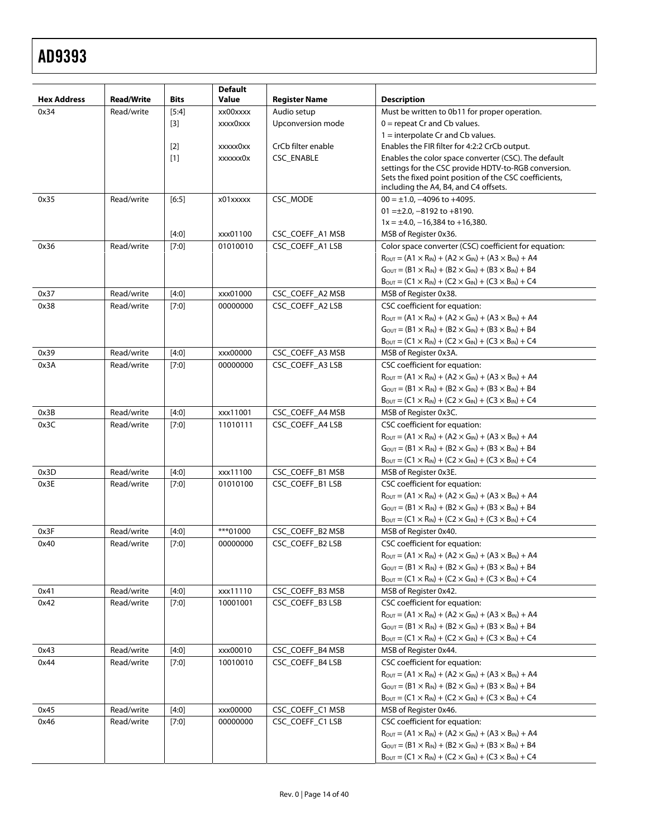|                    |                   |             | <b>Default</b> |                      |                                                                                                                                                                                                                        |
|--------------------|-------------------|-------------|----------------|----------------------|------------------------------------------------------------------------------------------------------------------------------------------------------------------------------------------------------------------------|
| <b>Hex Address</b> | <b>Read/Write</b> | <b>Bits</b> | Value          | <b>Register Name</b> | <b>Description</b>                                                                                                                                                                                                     |
| 0x34               | Read/write        | $[5:4]$     | xx00xxxx       | Audio setup          | Must be written to 0b11 for proper operation.                                                                                                                                                                          |
|                    |                   | $[3]$       | xxxx0xxx       | Upconversion mode    | $0 =$ repeat Cr and Cb values.                                                                                                                                                                                         |
|                    |                   |             |                |                      | $1 =$ interpolate Cr and Cb values.                                                                                                                                                                                    |
|                    |                   | $[2]$       | xxxxx0xx       | CrCb filter enable   | Enables the FIR filter for 4:2:2 CrCb output.                                                                                                                                                                          |
|                    |                   | [1]         | xxxxxx0x       | CSC_ENABLE           | Enables the color space converter (CSC). The default<br>settings for the CSC provide HDTV-to-RGB conversion.                                                                                                           |
|                    |                   |             |                |                      | Sets the fixed point position of the CSC coefficients,                                                                                                                                                                 |
|                    |                   |             |                |                      | including the A4, B4, and C4 offsets.                                                                                                                                                                                  |
| 0x35               | Read/write        | $[6:5]$     | x01xxxxx       | CSC_MODE             | $00 = \pm 1.0, -4096$ to $+4095$ .                                                                                                                                                                                     |
|                    |                   |             |                |                      | $01 = \pm 2.0, -8192$ to $+8190.$                                                                                                                                                                                      |
|                    |                   |             |                |                      | $1x = \pm 4.0, -16,384$ to $+16,380$ .                                                                                                                                                                                 |
|                    |                   | $[4:0]$     | xxx01100       | CSC_COEFF_A1 MSB     | MSB of Register 0x36.                                                                                                                                                                                                  |
| 0x36               | Read/write        | $[7:0]$     | 01010010       | CSC_COEFF_A1 LSB     | Color space converter (CSC) coefficient for equation:                                                                                                                                                                  |
|                    |                   |             |                |                      | $R_{\text{OUT}} = (A1 \times R_{\text{IN}}) + (A2 \times G_{\text{IN}}) + (A3 \times B_{\text{IN}}) + A4$                                                                                                              |
|                    |                   |             |                |                      | $G_{\text{OUT}} = (B1 \times R_{\text{IN}}) + (B2 \times G_{\text{IN}}) + (B3 \times B_{\text{IN}}) + B4$                                                                                                              |
|                    |                   |             |                |                      | $B_{\text{OUT}} = (C1 \times R_{\text{IN}}) + (C2 \times G_{\text{IN}}) + (C3 \times B_{\text{IN}}) + C4$                                                                                                              |
| 0x37               | Read/write        | $[4:0]$     | xxx01000       | CSC_COEFF_A2 MSB     | MSB of Register 0x38.                                                                                                                                                                                                  |
| 0x38               | Read/write        | $[7:0]$     | 00000000       | CSC_COEFF_A2 LSB     | CSC coefficient for equation:                                                                                                                                                                                          |
|                    |                   |             |                |                      | $R_{OUT} = (A1 \times R_{IN}) + (A2 \times G_{IN}) + (A3 \times B_{IN}) + A4$                                                                                                                                          |
|                    |                   |             |                |                      | $G_{\text{OUT}} = (B1 \times R_{\text{IN}}) + (B2 \times G_{\text{IN}}) + (B3 \times B_{\text{IN}}) + B4$                                                                                                              |
|                    |                   |             |                |                      | $B_{\text{OUT}} = (C1 \times R_{\text{IN}}) + (C2 \times G_{\text{IN}}) + (C3 \times B_{\text{IN}}) + C4$                                                                                                              |
| 0x39               | Read/write        | $[4:0]$     | xxx00000       | CSC COEFF A3 MSB     | MSB of Register 0x3A.                                                                                                                                                                                                  |
| 0x3A               | Read/write        | $[7:0]$     | 00000000       | CSC_COEFF_A3 LSB     | CSC coefficient for equation:                                                                                                                                                                                          |
|                    |                   |             |                |                      | $R_{\text{OUT}} = (A1 \times R_{\text{IN}}) + (A2 \times G_{\text{IN}}) + (A3 \times B_{\text{IN}}) + A4$                                                                                                              |
|                    |                   |             |                |                      | $G_{\text{OUT}} = (B1 \times R_{\text{IN}}) + (B2 \times G_{\text{IN}}) + (B3 \times B_{\text{IN}}) + B4$                                                                                                              |
|                    |                   |             |                |                      | $B_{\text{OUT}} = (C1 \times R_{\text{IN}}) + (C2 \times G_{\text{IN}}) + (C3 \times B_{\text{IN}}) + C4$                                                                                                              |
| 0x3B               | Read/write        | $[4:0]$     | xxx11001       | CSC_COEFF_A4 MSB     | MSB of Register 0x3C.                                                                                                                                                                                                  |
| 0x3C               | Read/write        | $[7:0]$     | 11010111       | CSC_COEFF_A4 LSB     | CSC coefficient for equation:                                                                                                                                                                                          |
|                    |                   |             |                |                      | $R_{\text{OUT}} = (A1 \times R_{\text{IN}}) + (A2 \times G_{\text{IN}}) + (A3 \times B_{\text{IN}}) + A4$                                                                                                              |
|                    |                   |             |                |                      | $G_{\text{OUT}} = (B1 \times R_{\text{IN}}) + (B2 \times G_{\text{IN}}) + (B3 \times B_{\text{IN}}) + B4$                                                                                                              |
|                    |                   |             |                |                      | $B_{\text{OUT}} = (C1 \times R_{\text{IN}}) + (C2 \times G_{\text{IN}}) + (C3 \times B_{\text{IN}}) + C4$                                                                                                              |
| 0x3D               | Read/write        | $[4:0]$     | xxx11100       | CSC_COEFF_B1 MSB     | MSB of Register 0x3E.                                                                                                                                                                                                  |
| 0x3E               | Read/write        | $[7:0]$     | 01010100       | CSC_COEFF_B1 LSB     | CSC coefficient for equation:                                                                                                                                                                                          |
|                    |                   |             |                |                      | $R_{OUT} = (A1 \times R_{IN}) + (A2 \times G_{IN}) + (A3 \times B_{IN}) + A4$                                                                                                                                          |
|                    |                   |             |                |                      | $G_{\text{OUT}} = (B1 \times R_{\text{IN}}) + (B2 \times G_{\text{IN}}) + (B3 \times B_{\text{IN}}) + B4$                                                                                                              |
|                    | Read/write        |             | ***01000       |                      | $B_{\text{OUT}} = (C1 \times R_{\text{IN}}) + (C2 \times G_{\text{IN}}) + (C3 \times B_{\text{IN}}) + C4$<br>MSB of Register 0x40.                                                                                     |
| 0x3F               | Read/write        | $[4:0]$     |                | CSC_COEFF_B2 MSB     |                                                                                                                                                                                                                        |
| 0x40               |                   | $[7:0]$     | 00000000       | CSC_COEFF_B2 LSB     | CSC coefficient for equation:                                                                                                                                                                                          |
|                    |                   |             |                |                      | $R_{\text{OUT}} = (A1 \times R_{\text{IN}}) + (A2 \times G_{\text{IN}}) + (A3 \times B_{\text{IN}}) + A4$<br>$G_{\text{OUT}} = (B1 \times R_{\text{IN}}) + (B2 \times G_{\text{IN}}) + (B3 \times B_{\text{IN}}) + B4$ |
|                    |                   |             |                |                      | $B_{\text{OUT}} = (C1 \times R_{\text{IN}}) + (C2 \times G_{\text{IN}}) + (C3 \times B_{\text{IN}}) + C4$                                                                                                              |
| 0x41               | Read/write        | [4:0]       | xxx11110       | CSC_COEFF_B3 MSB     | MSB of Register 0x42.                                                                                                                                                                                                  |
| 0x42               | Read/write        | $[7:0]$     | 10001001       | CSC_COEFF_B3 LSB     | CSC coefficient for equation:                                                                                                                                                                                          |
|                    |                   |             |                |                      | $R_{\text{OUT}} = (A1 \times R_{\text{IN}}) + (A2 \times G_{\text{IN}}) + (A3 \times B_{\text{IN}}) + A4$                                                                                                              |
|                    |                   |             |                |                      | $G_{\text{OUT}} = (B1 \times R_{\text{IN}}) + (B2 \times G_{\text{IN}}) + (B3 \times B_{\text{IN}}) + B4$                                                                                                              |
|                    |                   |             |                |                      | $B_{\text{OUT}} = (C1 \times R_{\text{IN}}) + (C2 \times G_{\text{IN}}) + (C3 \times B_{\text{IN}}) + C4$                                                                                                              |
| 0x43               | Read/write        | [4:0]       | xxx00010       | CSC_COEFF_B4 MSB     | MSB of Register 0x44.                                                                                                                                                                                                  |
| 0x44               | Read/write        | $[7:0]$     | 10010010       | CSC_COEFF_B4 LSB     | CSC coefficient for equation:                                                                                                                                                                                          |
|                    |                   |             |                |                      | $R_{\text{OUT}} = (A1 \times R_{\text{IN}}) + (A2 \times G_{\text{IN}}) + (A3 \times B_{\text{IN}}) + A4$                                                                                                              |
|                    |                   |             |                |                      | $G_{\text{OUT}} = (B1 \times R_{\text{IN}}) + (B2 \times G_{\text{IN}}) + (B3 \times B_{\text{IN}}) + B4$                                                                                                              |
|                    |                   |             |                |                      | $B_{\text{OUT}} = (C1 \times R_{\text{IN}}) + (C2 \times G_{\text{IN}}) + (C3 \times B_{\text{IN}}) + C4$                                                                                                              |
| 0x45               | Read/write        | $[4:0]$     | xxx00000       | CSC_COEFF_C1 MSB     | MSB of Register 0x46.                                                                                                                                                                                                  |
| 0x46               | Read/write        | $[7:0]$     | 00000000       | CSC_COEFF_C1 LSB     | CSC coefficient for equation:                                                                                                                                                                                          |
|                    |                   |             |                |                      | $R_{OUT} = (A1 \times R_{IN}) + (A2 \times G_{IN}) + (A3 \times B_{IN}) + A4$                                                                                                                                          |
|                    |                   |             |                |                      | $G_{\text{OUT}} = (B1 \times R_{\text{IN}}) + (B2 \times G_{\text{IN}}) + (B3 \times B_{\text{IN}}) + B4$                                                                                                              |
|                    |                   |             |                |                      | $B_{\text{OUT}} = (C1 \times R_{\text{IN}}) + (C2 \times G_{\text{IN}}) + (C3 \times B_{\text{IN}}) + C4$                                                                                                              |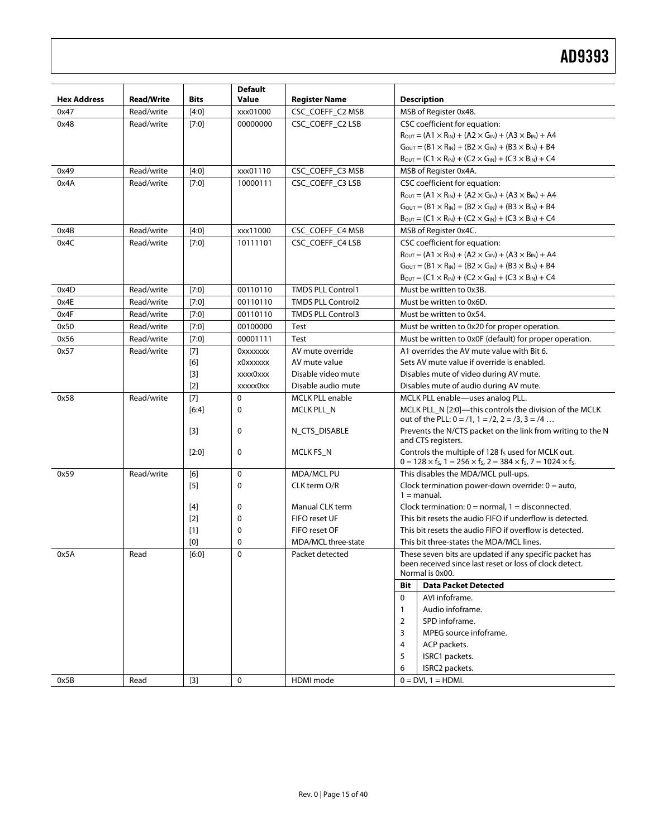| <b>Hex Address</b> |                   |              | <b>Default</b><br>Value |                                  |                                                                                                                    |
|--------------------|-------------------|--------------|-------------------------|----------------------------------|--------------------------------------------------------------------------------------------------------------------|
|                    | <b>Read/Write</b> | <b>Bits</b>  |                         | <b>Register Name</b>             | <b>Description</b><br>MSB of Register 0x48.                                                                        |
| 0x47               | Read/write        | $[4:0]$      | xxx01000                | CSC_COEFF_C2 MSB                 |                                                                                                                    |
| 0x48               | Read/write        | $[7:0]$      | 00000000                | CSC_COEFF_C2 LSB                 | CSC coefficient for equation:                                                                                      |
|                    |                   |              |                         |                                  | $R_{\text{OUT}} = (A1 \times R_{\text{IN}}) + (A2 \times G_{\text{IN}}) + (A3 \times B_{\text{IN}}) + A4$          |
|                    |                   |              |                         |                                  | $G_{\text{OUT}} = (B1 \times R_{\text{IN}}) + (B2 \times G_{\text{IN}}) + (B3 \times B_{\text{IN}}) + B4$          |
|                    |                   |              |                         |                                  | $B_{\text{OUT}} = (C1 \times R_{\text{IN}}) + (C2 \times G_{\text{IN}}) + (C3 \times B_{\text{IN}}) + C4$          |
| 0x49               | Read/write        | $[4:0]$      | xxx01110                | CSC_COEFF_C3 MSB                 | MSB of Register 0x4A.                                                                                              |
| 0x4A               | Read/write        | [7:0]        | 10000111                | CSC_COEFF_C3 LSB                 | CSC coefficient for equation:                                                                                      |
|                    |                   |              |                         |                                  | $R_{\text{OUT}} = (A1 \times R_{\text{IN}}) + (A2 \times G_{\text{IN}}) + (A3 \times B_{\text{IN}}) + A4$          |
|                    |                   |              |                         |                                  | $G_{\text{OUT}} = (B1 \times R_{\text{IN}}) + (B2 \times G_{\text{IN}}) + (B3 \times B_{\text{IN}}) + B4$          |
|                    |                   |              |                         |                                  | $B_{\text{OUT}} = (C1 \times R_{\text{IN}}) + (C2 \times G_{\text{IN}}) + (C3 \times B_{\text{IN}}) + C4$          |
| 0x4B               | Read/write        | $[4:0]$      | xxx11000                | CSC_COEFF_C4 MSB                 | MSB of Register 0x4C.                                                                                              |
| 0x4C               | Read/write        | $[7:0]$      | 10111101                | CSC_COEFF_C4 LSB                 | CSC coefficient for equation:                                                                                      |
|                    |                   |              |                         |                                  | $R_{\text{OUT}} = (A1 \times R_{\text{IN}}) + (A2 \times G_{\text{IN}}) + (A3 \times B_{\text{IN}}) + A4$          |
|                    |                   |              |                         |                                  | $G_{\text{OUT}} = (B1 \times R_{\text{IN}}) + (B2 \times G_{\text{IN}}) + (B3 \times B_{\text{IN}}) + B4$          |
|                    |                   |              |                         |                                  | $B_{\text{OUT}} = (C1 \times R_{\text{IN}}) + (C2 \times G_{\text{IN}}) + (C3 \times B_{\text{IN}}) + C4$          |
| 0x4D               | Read/write        | $[7:0]$      | 00110110                | <b>TMDS PLL Control1</b>         | Must be written to 0x3B.                                                                                           |
| 0x4E               | Read/write        | [7:0]        | 00110110                | <b>TMDS PLL Control2</b>         | Must be written to 0x6D.                                                                                           |
| 0x4F               | Read/write        | $[7:0]$      | 00110110                | <b>TMDS PLL Control3</b>         | Must be written to 0x54.                                                                                           |
| 0x50               | Read/write        | $[7:0]$      | 00100000                | Test                             | Must be written to 0x20 for proper operation.                                                                      |
| 0x56               | Read/write        | $[7:0]$      | 00001111                | <b>Test</b>                      | Must be written to 0x0F (default) for proper operation.                                                            |
| 0x57               | Read/write        | $[7]$        | <b>OXXXXXXX</b>         | AV mute override                 | A1 overrides the AV mute value with Bit 6.                                                                         |
|                    |                   | [6]          | x0xxxxxx                | AV mute value                    | Sets AV mute value if override is enabled.                                                                         |
|                    |                   | $[3]$        | xxxx0xxx                | Disable video mute               | Disables mute of video during AV mute.                                                                             |
|                    |                   | $[2]$        | xxxxx0xx                | Disable audio mute               | Disables mute of audio during AV mute.                                                                             |
| 0x58               | Read/write        | $[7]$        | $\mathbf 0$             | <b>MCLK PLL enable</b>           | MCLK PLL enable-uses analog PLL.                                                                                   |
|                    |                   | [6:4]        | 0                       | MCLK PLL_N                       | MCLK PLL_N [2:0]-this controls the division of the MCLK                                                            |
|                    |                   |              |                         |                                  | out of the PLL: $0 = /1$ , $1 = /2$ , $2 = /3$ , $3 = /4$                                                          |
|                    |                   | $[3]$        | 0                       | N_CTS_DISABLE                    | Prevents the N/CTS packet on the link from writing to the N                                                        |
|                    |                   |              |                         |                                  | and CTS registers.                                                                                                 |
|                    |                   | $[2:0]$      | 0                       | MCLK FS_N                        | Controls the multiple of 128 fs used for MCLK out.                                                                 |
|                    |                   |              |                         |                                  | $0 = 128 \times f_s$ , $1 = 256 \times f_s$ , $2 = 384 \times f_s$ , $7 = 1024 \times f_s$ .                       |
| 0x59               | Read/write        | [6]          | $\mathbf 0$             | <b>MDA/MCLPU</b>                 | This disables the MDA/MCL pull-ups.                                                                                |
|                    |                   | $[5]$        | 0                       | CLK term O/R                     | Clock termination power-down override: $0 =$ auto,                                                                 |
|                    |                   |              | 0                       |                                  | $1 =$ manual.<br>Clock termination: $0 = normal$ , $1 = disconnected$ .                                            |
|                    |                   | [4]<br>$[2]$ | 0                       | Manual CLK term<br>FIFO reset UF | This bit resets the audio FIFO if underflow is detected.                                                           |
|                    |                   |              | 0                       | FIFO reset OF                    | This bit resets the audio FIFO if overflow is detected.                                                            |
|                    |                   | $[1]$<br>[0] | 0                       | MDA/MCL three-state              | This bit three-states the MDA/MCL lines.                                                                           |
|                    |                   |              |                         |                                  |                                                                                                                    |
| 0x5A               | Read              | [6:0]        | $\pmb{0}$               | Packet detected                  | These seven bits are updated if any specific packet has<br>been received since last reset or loss of clock detect. |
|                    |                   |              |                         |                                  | Normal is 0x00.                                                                                                    |
|                    |                   |              |                         |                                  | <b>Data Packet Detected</b><br>Bit                                                                                 |
|                    |                   |              |                         |                                  | AVI infoframe.<br>0                                                                                                |
|                    |                   |              |                         |                                  | Audio infoframe.<br>$\mathbf{1}$                                                                                   |
|                    |                   |              |                         |                                  | SPD infoframe.<br>2                                                                                                |
|                    |                   |              |                         |                                  | MPEG source infoframe.<br>3                                                                                        |
|                    |                   |              |                         |                                  | ACP packets.<br>4                                                                                                  |
|                    |                   |              |                         |                                  | 5<br>ISRC1 packets.                                                                                                |
|                    |                   |              |                         |                                  | ISRC2 packets.<br>6                                                                                                |
| 0x5B               | Read              | $[3]$        | 0                       | HDMI mode                        | $0 = DVI$ , $1 = HDMI$ .                                                                                           |
|                    |                   |              |                         |                                  |                                                                                                                    |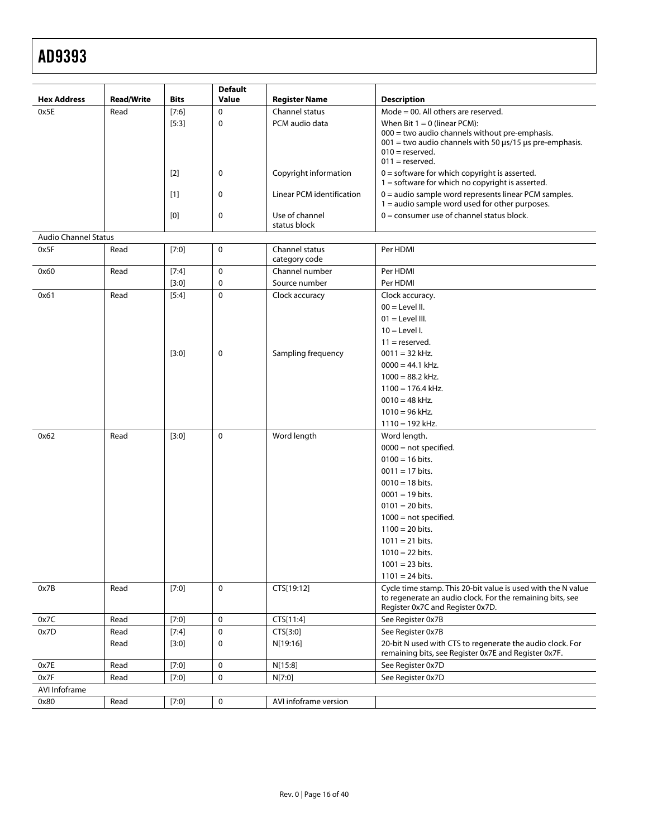| $\Omega$<br>Mode = $00$ . All others are reserved.<br>0x5E<br>$[7:6]$<br>Channel status<br>Read<br>$[5:3]$<br>$\mathbf 0$<br>PCM audio data<br>When Bit $1 = 0$ (linear PCM):<br>$000 =$ two audio channels without pre-emphasis.<br>$001$ = two audio channels with 50 $\mu$ s/15 $\mu$ s pre-emphasis.<br>$010 =$ reserved.<br>$011 =$ reserved.<br>$0 =$ software for which copyright is asserted.<br>Copyright information<br>$\lceil 2 \rceil$<br>0<br>$1 =$ software for which no copyright is asserted.<br>$0 =$ audio sample word represents linear PCM samples.<br>Linear PCM identification<br>$[1]$<br>0<br>$1 =$ audio sample word used for other purposes.<br>$0 =$ consumer use of channel status block.<br>Use of channel<br>[0]<br>0<br>status block<br><b>Audio Channel Status</b><br>0x5F<br>Channel status<br>Per HDMI<br>Read<br>$[7:0]$<br>0<br>category code<br>Channel number<br>Read<br>$\mathbf 0$<br>Per HDMI<br>0x60<br>[7:4]<br>0<br>Source number<br>Per HDMI<br>$[3:0]$<br>$\mathbf 0$<br>Read<br>$[5:4]$<br>Clock accuracy<br>Clock accuracy.<br>0x61 | <b>Hex Address</b> | <b>Read/Write</b> | <b>Bits</b> | <b>Default</b><br><b>Value</b> | <b>Register Name</b> | <b>Description</b> |
|--------------------------------------------------------------------------------------------------------------------------------------------------------------------------------------------------------------------------------------------------------------------------------------------------------------------------------------------------------------------------------------------------------------------------------------------------------------------------------------------------------------------------------------------------------------------------------------------------------------------------------------------------------------------------------------------------------------------------------------------------------------------------------------------------------------------------------------------------------------------------------------------------------------------------------------------------------------------------------------------------------------------------------------------------------------------------------------|--------------------|-------------------|-------------|--------------------------------|----------------------|--------------------|
|                                                                                                                                                                                                                                                                                                                                                                                                                                                                                                                                                                                                                                                                                                                                                                                                                                                                                                                                                                                                                                                                                      |                    |                   |             |                                |                      |                    |
|                                                                                                                                                                                                                                                                                                                                                                                                                                                                                                                                                                                                                                                                                                                                                                                                                                                                                                                                                                                                                                                                                      |                    |                   |             |                                |                      |                    |
|                                                                                                                                                                                                                                                                                                                                                                                                                                                                                                                                                                                                                                                                                                                                                                                                                                                                                                                                                                                                                                                                                      |                    |                   |             |                                |                      |                    |
|                                                                                                                                                                                                                                                                                                                                                                                                                                                                                                                                                                                                                                                                                                                                                                                                                                                                                                                                                                                                                                                                                      |                    |                   |             |                                |                      |                    |
|                                                                                                                                                                                                                                                                                                                                                                                                                                                                                                                                                                                                                                                                                                                                                                                                                                                                                                                                                                                                                                                                                      |                    |                   |             |                                |                      |                    |
|                                                                                                                                                                                                                                                                                                                                                                                                                                                                                                                                                                                                                                                                                                                                                                                                                                                                                                                                                                                                                                                                                      |                    |                   |             |                                |                      |                    |
|                                                                                                                                                                                                                                                                                                                                                                                                                                                                                                                                                                                                                                                                                                                                                                                                                                                                                                                                                                                                                                                                                      |                    |                   |             |                                |                      |                    |
|                                                                                                                                                                                                                                                                                                                                                                                                                                                                                                                                                                                                                                                                                                                                                                                                                                                                                                                                                                                                                                                                                      |                    |                   |             |                                |                      |                    |
|                                                                                                                                                                                                                                                                                                                                                                                                                                                                                                                                                                                                                                                                                                                                                                                                                                                                                                                                                                                                                                                                                      |                    |                   |             |                                |                      |                    |
|                                                                                                                                                                                                                                                                                                                                                                                                                                                                                                                                                                                                                                                                                                                                                                                                                                                                                                                                                                                                                                                                                      |                    |                   |             |                                |                      |                    |
|                                                                                                                                                                                                                                                                                                                                                                                                                                                                                                                                                                                                                                                                                                                                                                                                                                                                                                                                                                                                                                                                                      |                    |                   |             |                                |                      | $00 =$ Level II.   |
| $01 =$ Level III.                                                                                                                                                                                                                                                                                                                                                                                                                                                                                                                                                                                                                                                                                                                                                                                                                                                                                                                                                                                                                                                                    |                    |                   |             |                                |                      |                    |
| $10 =$ Level I.                                                                                                                                                                                                                                                                                                                                                                                                                                                                                                                                                                                                                                                                                                                                                                                                                                                                                                                                                                                                                                                                      |                    |                   |             |                                |                      |                    |
| $11 =$ reserved.                                                                                                                                                                                                                                                                                                                                                                                                                                                                                                                                                                                                                                                                                                                                                                                                                                                                                                                                                                                                                                                                     |                    |                   |             |                                |                      |                    |
| [3:0]<br>Sampling frequency<br>$0011 = 32$ kHz.<br>0                                                                                                                                                                                                                                                                                                                                                                                                                                                                                                                                                                                                                                                                                                                                                                                                                                                                                                                                                                                                                                 |                    |                   |             |                                |                      |                    |
| $0000 = 44.1$ kHz.                                                                                                                                                                                                                                                                                                                                                                                                                                                                                                                                                                                                                                                                                                                                                                                                                                                                                                                                                                                                                                                                   |                    |                   |             |                                |                      |                    |
| $1000 = 88.2$ kHz.                                                                                                                                                                                                                                                                                                                                                                                                                                                                                                                                                                                                                                                                                                                                                                                                                                                                                                                                                                                                                                                                   |                    |                   |             |                                |                      |                    |
| $1100 = 176.4$ kHz.                                                                                                                                                                                                                                                                                                                                                                                                                                                                                                                                                                                                                                                                                                                                                                                                                                                                                                                                                                                                                                                                  |                    |                   |             |                                |                      |                    |
|                                                                                                                                                                                                                                                                                                                                                                                                                                                                                                                                                                                                                                                                                                                                                                                                                                                                                                                                                                                                                                                                                      |                    |                   |             |                                |                      |                    |
| $0010 = 48$ kHz.<br>$1010 = 96$ kHz.                                                                                                                                                                                                                                                                                                                                                                                                                                                                                                                                                                                                                                                                                                                                                                                                                                                                                                                                                                                                                                                 |                    |                   |             |                                |                      |                    |
| $1110 = 192$ kHz.                                                                                                                                                                                                                                                                                                                                                                                                                                                                                                                                                                                                                                                                                                                                                                                                                                                                                                                                                                                                                                                                    |                    |                   |             |                                |                      |                    |
|                                                                                                                                                                                                                                                                                                                                                                                                                                                                                                                                                                                                                                                                                                                                                                                                                                                                                                                                                                                                                                                                                      |                    |                   |             |                                |                      |                    |
| 0<br>Read<br>$[3:0]$<br>Word length<br>Word length.<br>0x62                                                                                                                                                                                                                                                                                                                                                                                                                                                                                                                                                                                                                                                                                                                                                                                                                                                                                                                                                                                                                          |                    |                   |             |                                |                      |                    |
| $0000 = not specified.$                                                                                                                                                                                                                                                                                                                                                                                                                                                                                                                                                                                                                                                                                                                                                                                                                                                                                                                                                                                                                                                              |                    |                   |             |                                |                      |                    |
| $0100 = 16$ bits.                                                                                                                                                                                                                                                                                                                                                                                                                                                                                                                                                                                                                                                                                                                                                                                                                                                                                                                                                                                                                                                                    |                    |                   |             |                                |                      |                    |
| $0011 = 17$ bits.                                                                                                                                                                                                                                                                                                                                                                                                                                                                                                                                                                                                                                                                                                                                                                                                                                                                                                                                                                                                                                                                    |                    |                   |             |                                |                      |                    |
| $0010 = 18$ bits.                                                                                                                                                                                                                                                                                                                                                                                                                                                                                                                                                                                                                                                                                                                                                                                                                                                                                                                                                                                                                                                                    |                    |                   |             |                                |                      |                    |
| $0001 = 19$ bits.                                                                                                                                                                                                                                                                                                                                                                                                                                                                                                                                                                                                                                                                                                                                                                                                                                                                                                                                                                                                                                                                    |                    |                   |             |                                |                      |                    |
| $0101 = 20$ bits.                                                                                                                                                                                                                                                                                                                                                                                                                                                                                                                                                                                                                                                                                                                                                                                                                                                                                                                                                                                                                                                                    |                    |                   |             |                                |                      |                    |
| $1000$ = not specified.                                                                                                                                                                                                                                                                                                                                                                                                                                                                                                                                                                                                                                                                                                                                                                                                                                                                                                                                                                                                                                                              |                    |                   |             |                                |                      |                    |
| $1100 = 20$ bits.                                                                                                                                                                                                                                                                                                                                                                                                                                                                                                                                                                                                                                                                                                                                                                                                                                                                                                                                                                                                                                                                    |                    |                   |             |                                |                      |                    |
| $1011 = 21$ bits.                                                                                                                                                                                                                                                                                                                                                                                                                                                                                                                                                                                                                                                                                                                                                                                                                                                                                                                                                                                                                                                                    |                    |                   |             |                                |                      |                    |
| $1010 = 22$ bits.                                                                                                                                                                                                                                                                                                                                                                                                                                                                                                                                                                                                                                                                                                                                                                                                                                                                                                                                                                                                                                                                    |                    |                   |             |                                |                      |                    |
| $1001 = 23 \text{ bits.}$                                                                                                                                                                                                                                                                                                                                                                                                                                                                                                                                                                                                                                                                                                                                                                                                                                                                                                                                                                                                                                                            |                    |                   |             |                                |                      |                    |
| $1101 = 24$ bits.                                                                                                                                                                                                                                                                                                                                                                                                                                                                                                                                                                                                                                                                                                                                                                                                                                                                                                                                                                                                                                                                    |                    |                   |             |                                |                      |                    |
| $\mathbf 0$<br>Cycle time stamp. This 20-bit value is used with the N value<br>0x7B<br>Read<br>$[7:0]$<br>CTS[19:12]<br>to regenerate an audio clock. For the remaining bits, see<br>Register 0x7C and Register 0x7D.                                                                                                                                                                                                                                                                                                                                                                                                                                                                                                                                                                                                                                                                                                                                                                                                                                                                |                    |                   |             |                                |                      |                    |
| 0<br>CTS[11:4]<br>See Register 0x7B<br>0x7C<br>Read<br>$[7:0]$                                                                                                                                                                                                                                                                                                                                                                                                                                                                                                                                                                                                                                                                                                                                                                                                                                                                                                                                                                                                                       |                    |                   |             |                                |                      |                    |
| $\mathbf 0$<br>0x7D<br>CTS[3:0]<br>See Register 0x7B<br>Read<br>[7:4]                                                                                                                                                                                                                                                                                                                                                                                                                                                                                                                                                                                                                                                                                                                                                                                                                                                                                                                                                                                                                |                    |                   |             |                                |                      |                    |
| 20-bit N used with CTS to regenerate the audio clock. For<br>Read<br>[3:0]<br>0<br>N[19:16]<br>remaining bits, see Register 0x7E and Register 0x7F.                                                                                                                                                                                                                                                                                                                                                                                                                                                                                                                                                                                                                                                                                                                                                                                                                                                                                                                                  |                    |                   |             |                                |                      |                    |
| See Register 0x7D<br>0x7E<br>Read<br>$[7:0]$<br>0<br>N[15:8]                                                                                                                                                                                                                                                                                                                                                                                                                                                                                                                                                                                                                                                                                                                                                                                                                                                                                                                                                                                                                         |                    |                   |             |                                |                      |                    |
| 0x7F<br>0<br>N[7:0]<br>See Register 0x7D<br>Read<br>$[7:0]$                                                                                                                                                                                                                                                                                                                                                                                                                                                                                                                                                                                                                                                                                                                                                                                                                                                                                                                                                                                                                          |                    |                   |             |                                |                      |                    |
| AVI Infoframe                                                                                                                                                                                                                                                                                                                                                                                                                                                                                                                                                                                                                                                                                                                                                                                                                                                                                                                                                                                                                                                                        |                    |                   |             |                                |                      |                    |
| 0<br>AVI infoframe version<br>Read<br>[7:0]<br>0x80                                                                                                                                                                                                                                                                                                                                                                                                                                                                                                                                                                                                                                                                                                                                                                                                                                                                                                                                                                                                                                  |                    |                   |             |                                |                      |                    |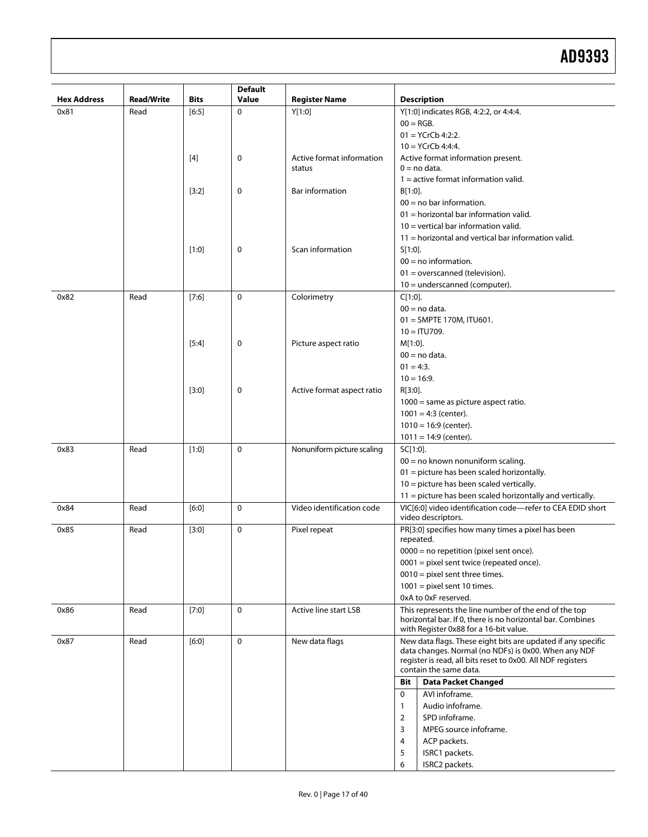| <b>Hex Address</b> | <b>Read/Write</b> | <b>Bits</b> | <b>Default</b><br><b>Value</b> | <b>Register Name</b>       | <b>Description</b>                                                                                                  |
|--------------------|-------------------|-------------|--------------------------------|----------------------------|---------------------------------------------------------------------------------------------------------------------|
| 0x81               | Read              | $[6:5]$     | 0                              | Y[1:0]                     | Y[1:0] indicates RGB, 4:2:2, or 4:4:4.                                                                              |
|                    |                   |             |                                |                            | $00 = RGB$ .                                                                                                        |
|                    |                   |             |                                |                            | $01 = YCrCb 4:2:2.$                                                                                                 |
|                    |                   |             |                                |                            | $10 = YCrCb 4:4:4.$                                                                                                 |
|                    |                   | $[4]$       | 0                              | Active format information  | Active format information present.                                                                                  |
|                    |                   |             |                                | status                     | $0 = no data.$                                                                                                      |
|                    |                   |             |                                |                            | $1 =$ active format information valid.                                                                              |
|                    |                   | $[3:2]$     | 0                              | Bar information            | $B[1:0]$ .                                                                                                          |
|                    |                   |             |                                |                            | $00 = no$ bar information.                                                                                          |
|                    |                   |             |                                |                            | $01$ = horizontal bar information valid.                                                                            |
|                    |                   |             |                                |                            | $10 =$ vertical bar information valid.                                                                              |
|                    |                   |             |                                |                            | $11$ = horizontal and vertical bar information valid.                                                               |
|                    |                   | $[1:0]$     | 0                              | Scan information           | $S[1:0]$ .                                                                                                          |
|                    |                   |             |                                |                            | $00 = no$ information.                                                                                              |
|                    |                   |             |                                |                            | $01 = overscanned (television).$                                                                                    |
|                    |                   |             |                                |                            | $10 =$ underscanned (computer).                                                                                     |
| 0x82               | Read              | $[7:6]$     | $\Omega$                       | Colorimetry                | $C[1:0]$ .                                                                                                          |
|                    |                   |             |                                |                            | $00 = no data.$                                                                                                     |
|                    |                   |             |                                |                            | $01 =$ SMPTE 170M, ITU601.                                                                                          |
|                    |                   |             |                                |                            | $10 = I T U 709.$                                                                                                   |
|                    |                   | $[5:4]$     | 0                              | Picture aspect ratio       | $M[1:0]$ .                                                                                                          |
|                    |                   |             |                                |                            | $00 = no data.$                                                                                                     |
|                    |                   |             |                                |                            | $01 = 4:3.$                                                                                                         |
|                    |                   |             |                                |                            | $10 = 16:9.$                                                                                                        |
|                    |                   | $[3:0]$     | 0                              | Active format aspect ratio | R[3:0].                                                                                                             |
|                    |                   |             |                                |                            | $1000$ = same as picture aspect ratio.                                                                              |
|                    |                   |             |                                |                            | $1001 = 4:3$ (center).                                                                                              |
|                    |                   |             |                                |                            | $1010 = 16.9$ (center).                                                                                             |
|                    |                   |             |                                |                            | $1011 = 14.9$ (center).                                                                                             |
| 0x83               | Read              | $[1:0]$     | 0                              | Nonuniform picture scaling | SC[1:0].                                                                                                            |
|                    |                   |             |                                |                            | $00 = no$ known nonuniform scaling.                                                                                 |
|                    |                   |             |                                |                            | 01 = picture has been scaled horizontally.                                                                          |
|                    |                   |             |                                |                            | $10 =$ picture has been scaled vertically.                                                                          |
|                    |                   |             |                                |                            | 11 = picture has been scaled horizontally and vertically.                                                           |
| 0x84               | Read              | $[6:0]$     | $\mathbf 0$                    | Video identification code  | VIC[6:0] video identification code-refer to CEA EDID short                                                          |
|                    |                   |             |                                |                            | video descriptors.                                                                                                  |
| 0x85               | Read              | $[3:0]$     | 0                              | Pixel repeat               | PR[3:0] specifies how many times a pixel has been<br>repeated.                                                      |
|                    |                   |             |                                |                            | $0000$ = no repetition (pixel sent once).                                                                           |
|                    |                   |             |                                |                            | $0001$ = pixel sent twice (repeated once).                                                                          |
|                    |                   |             |                                |                            | $0010$ = pixel sent three times.                                                                                    |
|                    |                   |             |                                |                            | $1001$ = pixel sent 10 times.                                                                                       |
|                    |                   |             |                                |                            | 0xA to 0xF reserved.                                                                                                |
| 0x86               | Read              | $[7:0]$     | $\mathbf 0$                    | Active line start LSB      | This represents the line number of the end of the top<br>horizontal bar. If 0, there is no horizontal bar. Combines |
|                    |                   |             |                                |                            | with Register 0x88 for a 16-bit value.                                                                              |
| 0x87               | Read              | $[6:0]$     | $\mathbf 0$                    | New data flags             | New data flags. These eight bits are updated if any specific                                                        |
|                    |                   |             |                                |                            | data changes. Normal (no NDFs) is 0x00. When any NDF                                                                |
|                    |                   |             |                                |                            | register is read, all bits reset to 0x00. All NDF registers<br>contain the same data.                               |
|                    |                   |             |                                |                            | <b>Bit</b>                                                                                                          |
|                    |                   |             |                                |                            | <b>Data Packet Changed</b>                                                                                          |
|                    |                   |             |                                |                            | 0<br>AVI infoframe.                                                                                                 |
|                    |                   |             |                                |                            | Audio infoframe.<br>$\mathbf{1}$                                                                                    |
|                    |                   |             |                                |                            | $\overline{2}$<br>SPD infoframe.                                                                                    |
|                    |                   |             |                                |                            | 3<br>MPEG source infoframe.                                                                                         |
|                    |                   |             |                                |                            | 4<br>ACP packets.                                                                                                   |
|                    |                   |             |                                |                            | 5<br>ISRC1 packets.<br>6<br>ISRC2 packets.                                                                          |
|                    |                   |             |                                |                            |                                                                                                                     |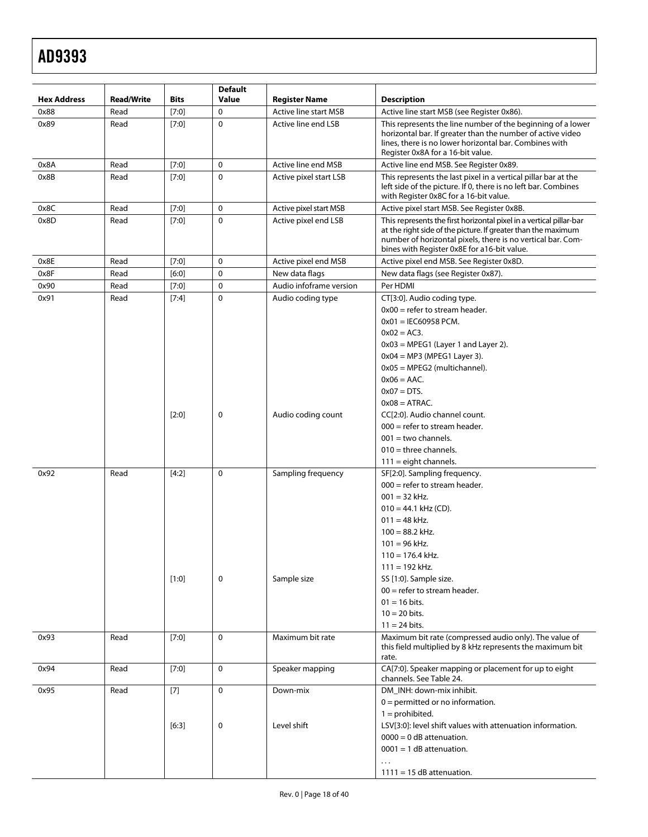| <b>Hex Address</b> | <b>Read/Write</b> | <b>Bits</b>      | <b>Default</b><br>Value    | <b>Register Name</b>              | <b>Description</b>                                                                                                                                                                                                                                                                                                                     |
|--------------------|-------------------|------------------|----------------------------|-----------------------------------|----------------------------------------------------------------------------------------------------------------------------------------------------------------------------------------------------------------------------------------------------------------------------------------------------------------------------------------|
| 0x88               | Read              | $[7:0]$          | $\mathbf 0$                | <b>Active line start MSB</b>      | Active line start MSB (see Register 0x86).                                                                                                                                                                                                                                                                                             |
| 0x89               | Read              | $[7:0]$          | $\mathbf 0$                | Active line end LSB               | This represents the line number of the beginning of a lower<br>horizontal bar. If greater than the number of active video<br>lines, there is no lower horizontal bar. Combines with<br>Register 0x8A for a 16-bit value.                                                                                                               |
| 0x8A               | Read              | $[7:0]$          | $\pmb{0}$                  | Active line end MSB               | Active line end MSB. See Register 0x89.                                                                                                                                                                                                                                                                                                |
| 0x8B               | Read              | $[7:0]$          | $\mathbf 0$                | Active pixel start LSB            | This represents the last pixel in a vertical pillar bar at the<br>left side of the picture. If 0, there is no left bar. Combines<br>with Register 0x8C for a 16-bit value.                                                                                                                                                             |
| 0x8C               | Read              | $[7:0]$          | $\mathbf 0$                | Active pixel start MSB            | Active pixel start MSB. See Register 0x8B.                                                                                                                                                                                                                                                                                             |
| 0x8D               | Read              | [7:0]            | $\mathbf 0$                | Active pixel end LSB              | This represents the first horizontal pixel in a vertical pillar-bar<br>at the right side of the picture. If greater than the maximum<br>number of horizontal pixels, there is no vertical bar. Com-<br>bines with Register 0x8E for a16-bit value.                                                                                     |
| 0x8E               | Read              | $[7:0]$          | $\mathbf 0$                | Active pixel end MSB              | Active pixel end MSB. See Register 0x8D.                                                                                                                                                                                                                                                                                               |
| 0x8F               | Read              | $[6:0]$          | $\mathbf 0$                | New data flags                    | New data flags (see Register 0x87).                                                                                                                                                                                                                                                                                                    |
| 0x90               | Read              | $[7:0]$          | $\pmb{0}$                  | Audio infoframe version           | Per HDMI                                                                                                                                                                                                                                                                                                                               |
| 0x91               | Read              | [7:4]            | $\mathbf 0$                | Audio coding type                 | CT[3:0]. Audio coding type.<br>$0x00$ = refer to stream header.<br>$0x01 =$ IEC60958 PCM.<br>$0x02 = AC3$ .<br>$0x03$ = MPEG1 (Layer 1 and Layer 2).<br>$0x04 = MP3$ (MPEG1 Layer 3).<br>$0x05 = MPEG2$ (multichannel).<br>$0x06 = AAC$ .<br>$0x07 = DTS$ .<br>$0x08 = ATRAC$ .                                                        |
|                    |                   | $[2:0]$          | $\mathbf 0$<br>$\mathbf 0$ | Audio coding count                | CC[2:0]. Audio channel count.<br>$000$ = refer to stream header.<br>$001 =$ two channels.<br>$010$ = three channels.<br>$111 =$ eight channels.                                                                                                                                                                                        |
| 0x92               | Read              | [4:2]<br>$[1:0]$ | 0                          | Sampling frequency<br>Sample size | SF[2:0]. Sampling frequency.<br>$000$ = refer to stream header.<br>$001 = 32$ kHz.<br>$010 = 44.1$ kHz (CD).<br>$011 = 48$ kHz.<br>$100 = 88.2$ kHz.<br>$101 = 96$ kHz.<br>$110 = 176.4$ kHz.<br>$111 = 192$ kHz.<br>SS [1:0]. Sample size.<br>$00 =$ refer to stream header.<br>$01 = 16$ bits.<br>$10 = 20$ bits.<br>$11 = 24$ bits. |
| 0x93               | Read              | $[7:0]$          | $\mathbf 0$                | Maximum bit rate                  | Maximum bit rate (compressed audio only). The value of<br>this field multiplied by 8 kHz represents the maximum bit<br>rate.                                                                                                                                                                                                           |
| 0x94               | Read              | [7:0]            | $\mathbf 0$                | Speaker mapping                   | CA[7:0]. Speaker mapping or placement for up to eight<br>channels. See Table 24.                                                                                                                                                                                                                                                       |
| 0x95               | Read              | $[7]$<br>$[6:3]$ | $\mathbf 0$<br>0           | Down-mix<br>Level shift           | DM INH: down-mix inhibit.<br>$0 =$ permitted or no information.<br>$1 =$ prohibited.<br>LSV[3:0]: level shift values with attenuation information.<br>$0000 = 0$ dB attenuation.<br>$0001 = 1$ dB attenuation.<br>$\ddots$<br>$1111 = 15$ dB attenuation.                                                                              |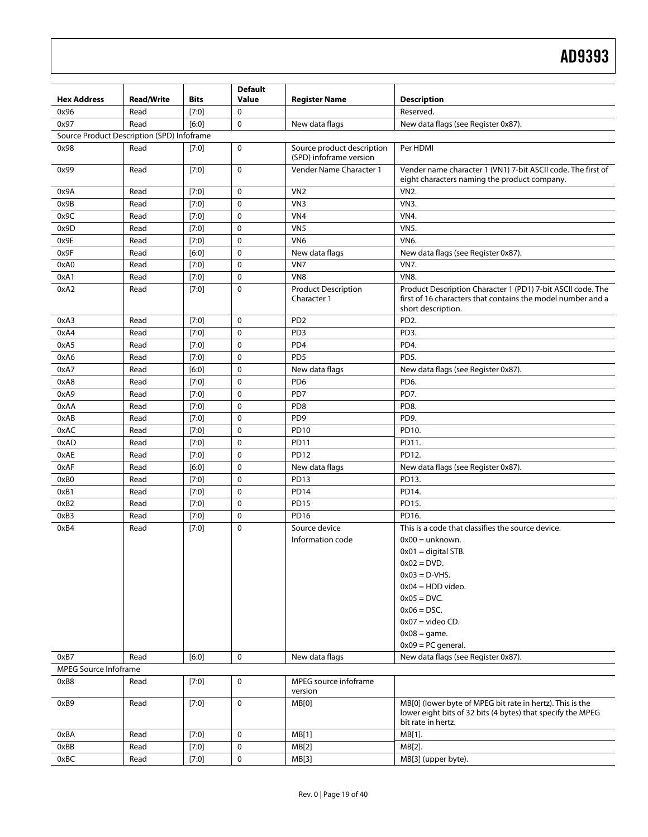| <b>Hex Address</b>           | <b>Read/Write</b>                          | <b>Bits</b> | <b>Default</b><br>Value | <b>Register Name</b>                                  | <b>Description</b>                                                                                                                               |
|------------------------------|--------------------------------------------|-------------|-------------------------|-------------------------------------------------------|--------------------------------------------------------------------------------------------------------------------------------------------------|
| 0x96                         | Read                                       | $[7:0]$     | $\mathbf 0$             |                                                       | Reserved.                                                                                                                                        |
| 0x97                         | Read                                       | $[6:0]$     | $\mathbf 0$             | New data flags                                        | New data flags (see Register 0x87).                                                                                                              |
|                              | Source Product Description (SPD) Infoframe |             |                         |                                                       |                                                                                                                                                  |
| 0x98                         | Read                                       | $[7:0]$     | $\mathbf 0$             | Source product description<br>(SPD) infoframe version | Per HDMI                                                                                                                                         |
| 0x99                         | Read                                       | $[7:0]$     | $\mathbf 0$             | Vender Name Character 1                               | Vender name character 1 (VN1) 7-bit ASCII code. The first of<br>eight characters naming the product company.                                     |
| 0x9A                         | Read                                       | $[7:0]$     | $\mathbf 0$             | VN <sub>2</sub>                                       | VN <sub>2</sub> .                                                                                                                                |
| 0x9B                         | Read                                       | $[7:0]$     | $\mathbf 0$             | VN <sub>3</sub>                                       | VN3.                                                                                                                                             |
| 0x9C                         | Read                                       | $[7:0]$     | $\mathbf 0$             | VN4                                                   | <b>VN4.</b>                                                                                                                                      |
| 0x9D                         | Read                                       | $[7:0]$     | $\mathbf 0$             | VN <sub>5</sub>                                       | <b>VN5.</b>                                                                                                                                      |
| 0x9E                         | Read                                       | $[7:0]$     | $\mathbf 0$             | VN <sub>6</sub>                                       | VN6.                                                                                                                                             |
| 0x9F                         | Read                                       | $[6:0]$     | $\mathbf 0$             | New data flags                                        | New data flags (see Register 0x87).                                                                                                              |
| 0xA0                         | Read                                       | $[7:0]$     | $\mathbf 0$             | VN7                                                   | <b>VN7.</b>                                                                                                                                      |
| 0xA1                         | Read                                       | [7:0]       | 0                       | VN <sub>8</sub>                                       | <b>VN8.</b>                                                                                                                                      |
| 0xA2                         | Read                                       | $[7:0]$     | $\mathbf 0$             | <b>Product Description</b><br>Character 1             | Product Description Character 1 (PD1) 7-bit ASCII code. The<br>first of 16 characters that contains the model number and a<br>short description. |
| 0xA3                         | Read                                       | [7:0]       | $\mathbf 0$             | PD <sub>2</sub>                                       | PD <sub>2</sub> .                                                                                                                                |
| 0xA4                         | Read                                       | [7:0]       | $\mathbf 0$             | PD <sub>3</sub>                                       | PD3.                                                                                                                                             |
| 0xA5                         | Read                                       | [7:0]       | 0                       | PD <sub>4</sub>                                       | PD4.                                                                                                                                             |
| 0xA6                         | Read                                       | [7:0]       | 0                       | PD <sub>5</sub>                                       | PD5.                                                                                                                                             |
| 0xA7                         | Read                                       | $[6:0]$     | $\mathbf 0$             | New data flags                                        | New data flags (see Register 0x87).                                                                                                              |
| 0xA8                         | Read                                       | [7:0]       | $\mathbf 0$             | PD <sub>6</sub>                                       | PD6.                                                                                                                                             |
| 0xA9                         | Read                                       | [7:0]       | $\mathbf 0$             | PD7                                                   | PD7.                                                                                                                                             |
| 0xAA                         | Read                                       | [7:0]       | $\mathbf 0$             | PD <sub>8</sub>                                       | PD8.                                                                                                                                             |
| 0xAB                         | Read                                       | [7:0]       | $\mathbf 0$             | PD <sub>9</sub>                                       | PD9.                                                                                                                                             |
| 0xAC                         | Read                                       | $[7:0]$     | 0                       | <b>PD10</b>                                           | PD10.                                                                                                                                            |
| 0xAD                         | Read                                       | $[7:0]$     | $\mathbf 0$             | <b>PD11</b>                                           | PD11.                                                                                                                                            |
| 0xAE                         | Read                                       | $[7:0]$     | $\mathbf 0$             | <b>PD12</b>                                           | PD12.                                                                                                                                            |
| 0xAF                         | Read                                       | $[6:0]$     | $\mathbf 0$             | New data flags                                        | New data flags (see Register 0x87).                                                                                                              |
| 0xB0                         | Read                                       | $[7:0]$     | $\mathbf 0$             | <b>PD13</b>                                           | PD13.                                                                                                                                            |
| 0xB1                         | Read                                       | [7:0]       | $\mathbf 0$             | <b>PD14</b>                                           | PD14.                                                                                                                                            |
| 0xB2                         | Read                                       | [7:0]       | 0                       | <b>PD15</b>                                           | PD15.                                                                                                                                            |
| 0xB3                         | Read                                       | $[7:0]$     | 0                       | <b>PD16</b>                                           | PD16.                                                                                                                                            |
| 0xB4                         | Read                                       | $[7:0]$     | $\Omega$                | Source device                                         | This is a code that classifies the source device.                                                                                                |
|                              |                                            |             |                         | Information code                                      | $0x00 =$ unknown.                                                                                                                                |
|                              |                                            |             |                         |                                                       | $0x01 =$ digital STB.                                                                                                                            |
|                              |                                            |             |                         |                                                       | $0x02 = DVD.$                                                                                                                                    |
|                              |                                            |             |                         |                                                       | $0x03 = D-VHS$ .                                                                                                                                 |
|                              |                                            |             |                         |                                                       | $0x04 = HDD$ video.                                                                                                                              |
|                              |                                            |             |                         |                                                       | $0x05 = DVC.$                                                                                                                                    |
|                              |                                            |             |                         |                                                       | $0x06 = DSC$ .                                                                                                                                   |
|                              |                                            |             |                         |                                                       | $0x07 =$ video CD.                                                                                                                               |
|                              |                                            |             |                         |                                                       | $0x08 = game.$                                                                                                                                   |
|                              |                                            |             |                         |                                                       | $0x09 = PC$ general.                                                                                                                             |
| 0xB7                         | Read                                       | $[6:0]$     | 0                       | New data flags                                        | New data flags (see Register 0x87).                                                                                                              |
| <b>MPEG Source Infoframe</b> |                                            |             |                         |                                                       |                                                                                                                                                  |
| 0xB8                         | Read                                       | $[7:0]$     | 0                       | MPEG source infoframe                                 |                                                                                                                                                  |
|                              |                                            |             |                         | version                                               |                                                                                                                                                  |
| 0xB9                         | Read                                       | $[7:0]$     | 0                       | MB[0]                                                 | MB[0] (lower byte of MPEG bit rate in hertz). This is the<br>lower eight bits of 32 bits (4 bytes) that specify the MPEG<br>bit rate in hertz.   |
| 0xBA                         | Read                                       | [7:0]       | 0                       | MB[1]                                                 | MB[1].                                                                                                                                           |
| 0xBB                         | Read                                       | [7:0]       | 0                       | MB[2]                                                 | MB[2].                                                                                                                                           |
| 0xBC                         | Read                                       | [7:0]       | 0                       | MB[3]                                                 | MB[3] (upper byte).                                                                                                                              |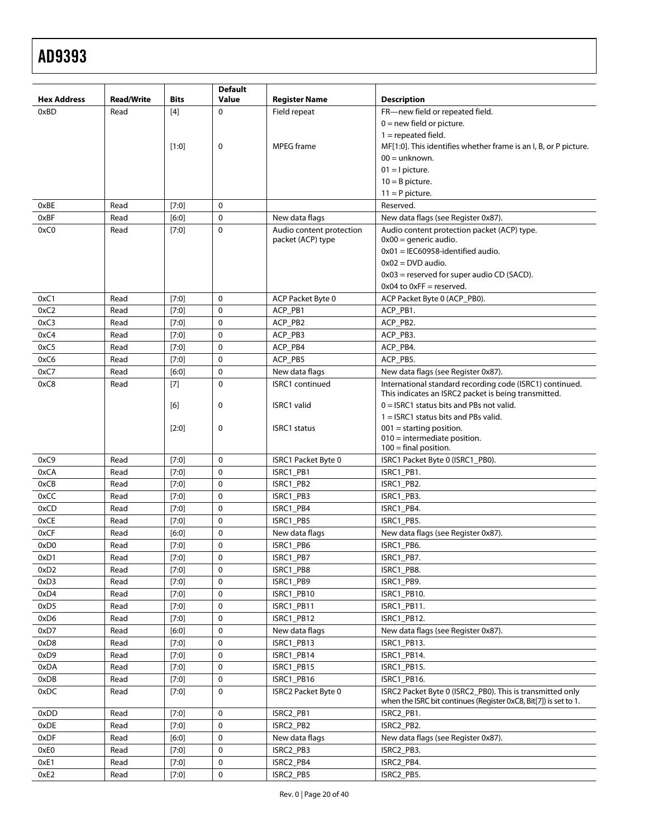| <b>Hex Address</b> | <b>Read/Write</b> | <b>Bits</b>      | <b>Default</b><br>Value | <b>Register Name</b>       | <b>Description</b>                                                       |
|--------------------|-------------------|------------------|-------------------------|----------------------------|--------------------------------------------------------------------------|
| 0xBD               | Read              | [4]              | $\Omega$                | Field repeat               | FR-new field or repeated field.                                          |
|                    |                   |                  |                         |                            | $0 =$ new field or picture.                                              |
|                    |                   |                  |                         |                            | $1 =$ repeated field.                                                    |
|                    |                   | $[1:0]$          | 0                       | <b>MPEG</b> frame          | MF[1:0]. This identifies whether frame is an I, B, or P picture.         |
|                    |                   |                  |                         |                            | $00 =$ unknown.                                                          |
|                    |                   |                  |                         |                            | $01 =$ I picture.                                                        |
|                    |                   |                  |                         |                            | $10 = B$ picture.                                                        |
|                    |                   |                  |                         |                            | $11 = P$ picture.                                                        |
| 0xBE               | Read              |                  | 0                       |                            | Reserved.                                                                |
| 0xBF               | Read              | $[7:0]$<br>[6:0] | 0                       | New data flags             | New data flags (see Register 0x87).                                      |
| 0xC0               | Read              | [7:0]            | $\Omega$                | Audio content protection   | Audio content protection packet (ACP) type.                              |
|                    |                   |                  |                         | packet (ACP) type          | $0x00$ = generic audio.                                                  |
|                    |                   |                  |                         |                            | $0x01 =$ IEC60958-identified audio.                                      |
|                    |                   |                  |                         |                            | $0x02 = DVD$ audio.                                                      |
|                    |                   |                  |                         |                            | $0x03$ = reserved for super audio CD (SACD).                             |
|                    |                   |                  |                         |                            | $0x04$ to $0xFF =$ reserved.                                             |
| 0xC1               | Read              | $[7:0]$          | 0                       | ACP Packet Byte 0          | ACP Packet Byte 0 (ACP PB0).                                             |
| 0xC2               | Read              | $[7:0]$          | 0                       | ACP_PB1                    | ACP_PB1.                                                                 |
| 0xC3               | Read              | $[7:0]$          | 0                       | ACP_PB2                    | ACP_PB2.                                                                 |
| 0xC4               | Read              | $[7:0]$          | 0                       | ACP_PB3                    | ACP_PB3.                                                                 |
| 0xC5               | Read              | [7:0]            | 0                       | ACP_PB4                    | ACP_PB4.                                                                 |
| 0xC6               | Read              | $[7:0]$          | 0                       | ACP_PB5                    | ACP_PB5.                                                                 |
| 0xC7               | Read              | [6:0]            | 0                       | New data flags             | New data flags (see Register 0x87).                                      |
| 0xC8               | Read              | $[7]$            | $\mathbf{0}$            | <b>ISRC1</b> continued     | International standard recording code (ISRC1) continued.                 |
|                    |                   |                  |                         |                            | This indicates an ISRC2 packet is being transmitted.                     |
|                    |                   | [6]              | 0                       | ISRC1 valid                | $0 =$ ISRC1 status bits and PBs not valid.                               |
|                    |                   |                  |                         |                            | 1 = ISRC1 status bits and PBs valid.                                     |
|                    |                   | $[2:0]$          | 0                       | <b>ISRC1</b> status        | $001 =$ starting position.                                               |
|                    |                   |                  |                         |                            | $010$ = intermediate position.                                           |
|                    |                   |                  |                         |                            | $100 =$ final position.                                                  |
| 0xC9               | Read              | $[7:0]$          | $\mathbf 0$             | <b>ISRC1 Packet Byte 0</b> | ISRC1 Packet Byte 0 (ISRC1_PB0).                                         |
| 0xCA               | Read              | $[7:0]$          | 0                       | ISRC1_PB1                  | ISRC1_PB1.                                                               |
| 0xCB               | Read              | $[7:0]$          | $\mathbf 0$             | ISRC1_PB2                  | ISRC1_PB2.                                                               |
| 0xCC               | Read              | [7:0]            | 0                       | ISRC1_PB3                  | ISRC1 PB3.                                                               |
| 0xCD               | Read              | $[7:0]$          | 0                       | ISRC1_PB4                  | ISRC1_PB4.                                                               |
| 0xCE               | Read              | $[7:0]$          | 0                       | ISRC1_PB5                  | ISRC1 PB5.                                                               |
| 0xCF               | Read              | [6:0]            | 0                       | New data flags             | New data flags (see Register 0x87).                                      |
| 0xD <sub>0</sub>   | Read              | $[7:0]$          | 0                       | ISRC1_PB6                  | ISRC1_PB6.                                                               |
| 0xD1               | Read              | [7:0]            | $\pmb{0}$               | ISRC1_PB7                  | ISRC1_PB7.                                                               |
| 0xD <sub>2</sub>   | Read              | $[7:0]$          | 0                       | ISRC1_PB8                  | ISRC1_PB8.                                                               |
| 0xD3               | Read              | [7:0]            | 0                       | ISRC1_PB9                  | ISRC1_PB9.                                                               |
| 0xD4               | Read              | [7:0]            | 0                       | ISRC1_PB10                 | ISRC1_PB10.                                                              |
| 0xD5               | Read              | [7:0]            | 0                       | ISRC1_PB11                 | ISRC1 PB11.                                                              |
| 0xD6               | Read              | [7:0]            | 0                       | ISRC1_PB12                 | ISRC1_PB12.                                                              |
| 0xD7               | Read              | $[6:0]$          | 0                       | New data flags             | New data flags (see Register 0x87).                                      |
| 0xD8               | Read              | [7:0]            | 0                       | ISRC1_PB13                 | ISRC1_PB13.                                                              |
| 0xD9               | Read              | [7:0]            | 0                       | ISRC1_PB14                 | ISRC1_PB14.                                                              |
| 0xDA               | Read              | [7:0]            | 0                       | ISRC1_PB15                 | ISRC1_PB15.                                                              |
| 0xDB               | Read              | [7:0]            | 0<br>0                  | ISRC1_PB16                 | ISRC1_PB16.<br>ISRC2 Packet Byte 0 (ISRC2_PB0). This is transmitted only |
| 0xDC               | Read              | $[7:0]$          |                         | <b>ISRC2 Packet Byte 0</b> | when the ISRC bit continues (Register 0xC8, Bit[7]) is set to 1.         |
| 0xDD               | Read              | $[7:0]$          | $\mathbf 0$             | ISRC2_PB1                  | ISRC2_PB1.                                                               |
| 0xDE               | Read              | [7:0]            | 0                       | ISRC2_PB2                  | ISRC2_PB2.                                                               |
| 0xDF               | Read              | $[6:0]$          | 0                       | New data flags             | New data flags (see Register 0x87).                                      |
| 0xE0               | Read              | $[7:0]$          | 0                       | ISRC2_PB3                  | ISRC2_PB3.                                                               |
| 0xE1               | Read              | [7:0]            | 0                       | ISRC2_PB4                  | ISRC2_PB4.                                                               |
| 0xE2               | Read              | [7:0]            | 0                       | ISRC2_PB5                  | ISRC2_PB5.                                                               |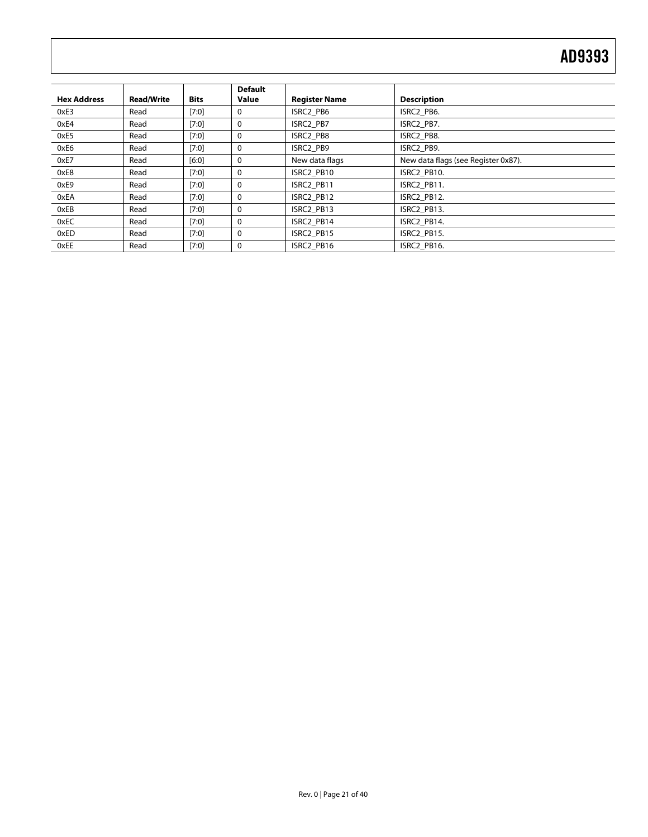| <b>Hex Address</b> | <b>Read/Write</b> | <b>Bits</b> | <b>Default</b><br>Value | <b>Register Name</b> | <b>Description</b>                  |
|--------------------|-------------------|-------------|-------------------------|----------------------|-------------------------------------|
| 0xE3               | Read              | $[7:0]$     | 0                       | ISRC2 PB6            | ISRC2 PB6.                          |
| 0xE4               | Read              | [7:0]       | 0                       | ISRC2 PB7            | ISRC2 PB7.                          |
| 0xE5               | Read              | [7:0]       | 0                       | ISRC2 PB8            | ISRC2 PB8.                          |
| 0xE6               | Read              | $[7:0]$     | 0                       | ISRC2 PB9            | ISRC2 PB9.                          |
| 0xE7               | Read              | $[6:0]$     | 0                       | New data flags       | New data flags (see Register 0x87). |
| 0xE8               | Read              | $[7:0]$     | $\mathbf{0}$            | ISRC2 PB10           | ISRC2 PB10.                         |
| 0xE9               | Read              | [7:0]       | 0                       | ISRC2 PB11           | ISRC2 PB11.                         |
| 0xEA               | Read              | $[7:0]$     | 0                       | ISRC2 PB12           | ISRC2 PB12.                         |
| 0xEB               | Read              | $[7:0]$     | 0                       | ISRC2 PB13           | ISRC2 PB13.                         |
| 0xEC               | Read              | [7:0]       | 0                       | ISRC2 PB14           | ISRC2 PB14.                         |
| 0xED               | Read              | $[7:0]$     | 0                       | ISRC2 PB15           | ISRC2 PB15.                         |
| 0xEE               | Read              | $[7:0]$     | 0                       | ISRC2 PB16           | ISRC2 PB16.                         |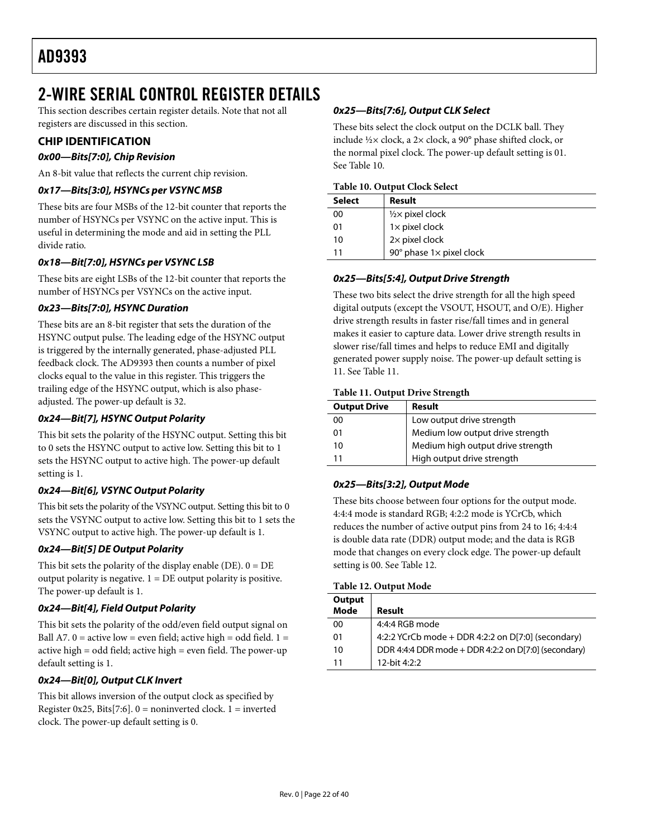# <span id="page-21-1"></span><span id="page-21-0"></span>2-WIRE SERIAL CONTROL REGISTER DETAILS

This section describes certain register details. Note that not all registers are discussed in this section.

# **CHIP IDENTIFICATION**

# **0x00—Bits[7:0], Chip Revision**

An 8-bit value that reflects the current chip revision.

# **0x17—Bits[3:0], HSYNCs per VSYNC MSB**

These bits are four MSBs of the 12-bit counter that reports the number of HSYNCs per VSYNC on the active input. This is useful in determining the mode and aid in setting the PLL divide ratio.

# **0x18—Bit[7:0], HSYNCs per VSYNC LSB**

These bits are eight LSBs of the 12-bit counter that reports the number of HSYNCs per VSYNCs on the active input.

## **0x23—Bits[7:0], HSYNC Duration**

These bits are an 8-bit register that sets the duration of the HSYNC output pulse. The leading edge of the HSYNC output is triggered by the internally generated, phase-adjusted PLL feedback clock. The AD9393 then counts a number of pixel clocks equal to the value in this register. This triggers the trailing edge of the HSYNC output, which is also phaseadjusted. The power-up default is 32.

# **0x24—Bit[7], HSYNC Output Polarity**

This bit sets the polarity of the HSYNC output. Setting this bit to 0 sets the HSYNC output to active low. Setting this bit to 1 sets the HSYNC output to active high. The power-up default setting is 1.

## **0x24—Bit[6], VSYNC Output Polarity**

This bit sets the polarity of the VSYNC output. Setting this bit to 0 sets the VSYNC output to active low. Setting this bit to 1 sets the VSYNC output to active high. The power-up default is 1.

## **0x24—Bit[5] DE Output Polarity**

This bit sets the polarity of the display enable (DE).  $0 = DE$ output polarity is negative.  $1 = DE$  output polarity is positive. The power-up default is 1.

## **0x24—Bit[4], Field Output Polarity**

This bit sets the polarity of the odd/even field output signal on Ball A7.  $0 =$  active low = even field; active high = odd field.  $1 =$ active high = odd field; active high = even field. The power-up default setting is 1.

## **0x24—Bit[0], Output CLK Invert**

This bit allows inversion of the output clock as specified by Register 0x25, Bits[7:6].  $0 =$  noninverted clock. 1 = inverted clock. The power-up default setting is 0.

# **0x25—Bits[7:6], Output CLK Select**

These bits select the clock output on the DCLK ball. They include ½× clock, a 2× clock, a 90° phase shifted clock, or the normal pixel clock. The power-up default setting is 01. See Table 10.

#### **Table 10. Output Clock Select**

| <b>Select</b> | Result                                     |
|---------------|--------------------------------------------|
| 00            | $\frac{1}{2}$ pixel clock                  |
| 01            | $1 \times$ pixel clock                     |
| 10            | $2\times$ pixel clock                      |
| 11            | 90 $^{\circ}$ phase 1 $\times$ pixel clock |

# **0x25—Bits[5:4], Output Drive Strength**

These two bits select the drive strength for all the high speed digital outputs (except the VSOUT, HSOUT, and O/E). Higher drive strength results in faster rise/fall times and in general makes it easier to capture data. Lower drive strength results in slower rise/fall times and helps to reduce EMI and digitally generated power supply noise. The power-up default setting is 11. See Table 11.

#### **Table 11. Output Drive Strength**

| <b>Output Drive</b> | Result                            |
|---------------------|-----------------------------------|
| 00                  | Low output drive strength         |
| 01                  | Medium low output drive strength  |
| 10                  | Medium high output drive strength |
|                     | High output drive strength        |

# **0x25—Bits[3:2], Output Mode**

These bits choose between four options for the output mode. 4:4:4 mode is standard RGB; 4:2:2 mode is YCrCb, which reduces the number of active output pins from 24 to 16; 4:4:4 is double data rate (DDR) output mode; and the data is RGB mode that changes on every clock edge. The power-up default setting is 00. See Table 12.

|  | Table 12. Output Mode |
|--|-----------------------|
|--|-----------------------|

| Output<br><b>Mode</b> | Result                                               |
|-----------------------|------------------------------------------------------|
| 00                    | 4:4:4 RGB mode                                       |
| 01                    | 4:2:2 YCrCb mode + DDR 4:2:2 on D[7:0] (secondary)   |
| 10                    | DDR 4:4:4 DDR mode + DDR 4:2:2 on D[7:0] (secondary) |
| 11                    | 12-bit 4:2:2                                         |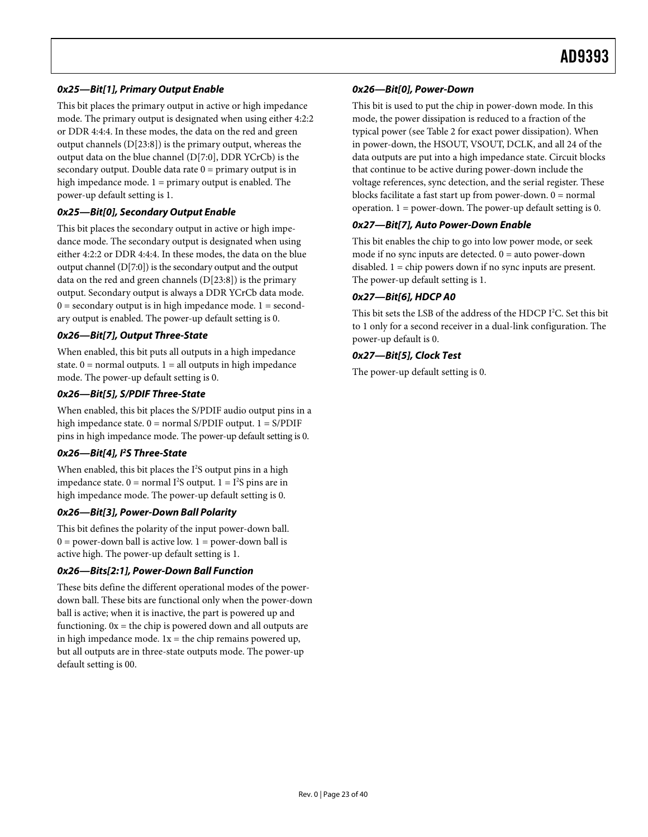# **0x25—Bit[1], Primary Output Enable**

This bit places the primary output in active or high impedance mode. The primary output is designated when using either 4:2:2 or DDR 4:4:4. In these modes, the data on the red and green output channels (D[23:8]) is the primary output, whereas the output data on the blue channel (D[7:0], DDR YCrCb) is the secondary output. Double data rate  $0 =$  primary output is in high impedance mode. 1 = primary output is enabled. The power-up default setting is 1.

## **0x25—Bit[0], Secondary Output Enable**

This bit places the secondary output in active or high impedance mode. The secondary output is designated when using either 4:2:2 or DDR 4:4:4. In these modes, the data on the blue output channel (D[7:0]) is the secondary output and the output data on the red and green channels (D[23:8]) is the primary output. Secondary output is always a DDR YCrCb data mode.  $0 =$  secondary output is in high impedance mode.  $1 =$  secondary output is enabled. The power-up default setting is 0.

## **0x26—Bit[7], Output Three-State**

When enabled, this bit puts all outputs in a high impedance state.  $0 = normal$  outputs.  $1 = all$  outputs in high impedance mode. The power-up default setting is 0.

## **0x26—Bit[5], S/PDIF Three-State**

When enabled, this bit places the S/PDIF audio output pins in a high impedance state.  $0 = normal S/PDIF$  output.  $1 = S/PDIF$ pins in high impedance mode. The power-up default setting is 0.

## **0x26—Bit[4], I2 S Three-State**

When enabled, this bit places the I<sup>2</sup>S output pins in a high impedance state.  $0 = normal I<sup>2</sup>S output. 1 = I<sup>2</sup>S pins are in$ high impedance mode. The power-up default setting is 0.

## **0x26—Bit[3], Power-Down Ball Polarity**

This bit defines the polarity of the input power-down ball.  $0 = power-down ball$  is active low.  $1 = power-down ball$  is active high. The power-up default setting is 1.

## **0x26—Bits[2:1], Power-Down Ball Function**

These bits define the different operational modes of the powerdown ball. These bits are functional only when the power-down ball is active; when it is inactive, the part is powered up and functioning.  $0x =$  the chip is powered down and all outputs are in high impedance mode.  $1x =$  the chip remains powered up, but all outputs are in three-state outputs mode. The power-up default setting is 00.

# **0x26—Bit[0], Power-Down**

This bit is used to put the chip in power-down mode. In this mode, the power dissipation is reduced to a fraction of the typical power (see [Table 2](#page-3-1) for exact power dissipation). When in power-down, the HSOUT, VSOUT, DCLK, and all 24 of the data outputs are put into a high impedance state. Circuit blocks that continue to be active during power-down include the voltage references, sync detection, and the serial register. These blocks facilitate a fast start up from power-down.  $0 = normal$ operation. 1 = power-down. The power-up default setting is 0.

# **0x27—Bit[7], Auto Power-Down Enable**

This bit enables the chip to go into low power mode, or seek mode if no sync inputs are detected.  $0 =$  auto power-down disabled. 1 = chip powers down if no sync inputs are present. The power-up default setting is 1.

# **0x27—Bit[6], HDCP A0**

This bit sets the LSB of the address of the HDCP I<sup>2</sup>C. Set this bit to 1 only for a second receiver in a dual-link configuration. The power-up default is 0.

# **0x27—Bit[5], Clock Test**

The power-up default setting is 0.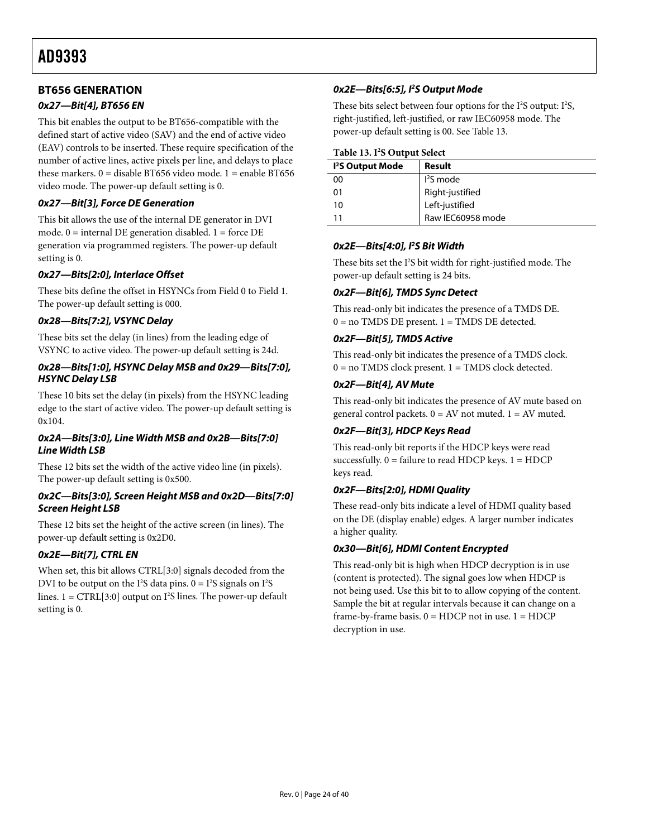# <span id="page-23-0"></span>**BT656 GENERATION**

# **0x27—Bit[4], BT656 EN**

This bit enables the output to be BT656-compatible with the defined start of active video (SAV) and the end of active video (EAV) controls to be inserted. These require specification of the number of active lines, active pixels per line, and delays to place these markers.  $0 =$  disable BT656 video mode.  $1 =$  enable BT656 video mode. The power-up default setting is 0.

# **0x27—Bit[3], Force DE Generation**

This bit allows the use of the internal DE generator in DVI mode.  $0 =$  internal DE generation disabled.  $1 =$  force DE generation via programmed registers. The power-up default setting is 0.

## **0x27—Bits[2:0], Interlace Offset**

These bits define the offset in HSYNCs from Field 0 to Field 1. The power-up default setting is 000.

# **0x28—Bits[7:2], VSYNC Delay**

These bits set the delay (in lines) from the leading edge of VSYNC to active video. The power-up default setting is 24d.

## **0x28—Bits[1:0], HSYNC Delay MSB and 0x29—Bits[7:0], HSYNC Delay LSB**

These 10 bits set the delay (in pixels) from the HSYNC leading edge to the start of active video. The power-up default setting is 0x104.

## **0x2A—Bits[3:0], Line Width MSB and 0x2B—Bits[7:0] Line Width LSB**

These 12 bits set the width of the active video line (in pixels). The power-up default setting is 0x500.

#### **0x2C—Bits[3:0], Screen Height MSB and 0x2D—Bits[7:0] Screen Height LSB**

These 12 bits set the height of the active screen (in lines). The power-up default setting is 0x2D0.

# **0x2E—Bit[7], CTRL EN**

When set, this bit allows CTRL[3:0] signals decoded from the DVI to be output on the  $I^2S$  data pins.  $0 = I^2S$  signals on  $I^2S$ lines.  $1 = CTRL[3:0]$  output on  $I<sup>2</sup>S$  lines. The power-up default setting is 0.

# **0x2E—Bits[6:5], I2 S Output Mode**

These bits select between four options for the  $I^2S$  output:  $I^2S$ , right-justified, left-justified, or raw IEC60958 mode. The power-up default setting is 00. See Table 13.

#### **Table 13. I2 S Output Select**

| 1 <sup>2</sup> S Output Mode | Result                            |
|------------------------------|-----------------------------------|
| 00                           | $l2S$ mode                        |
| 01                           |                                   |
| 10                           | Right-justified<br>Left-justified |
| 11                           | Raw IEC60958 mode                 |

## **0x2E—Bits[4:0], I2 S Bit Width**

These bits set the I<sup>2</sup>S bit width for right-justified mode. The power-up default setting is 24 bits.

## **0x2F—Bit[6], TMDS Sync Detect**

This read-only bit indicates the presence of a TMDS DE.  $0 =$  no TMDS DE present.  $1 =$  TMDS DE detected.

## **0x2F—Bit[5], TMDS Active**

This read-only bit indicates the presence of a TMDS clock.  $0 =$  no TMDS clock present.  $1 =$  TMDS clock detected.

#### **0x2F—Bit[4], AV Mute**

This read-only bit indicates the presence of AV mute based on general control packets.  $0 = AV$  not muted.  $1 = AV$  muted.

## **0x2F—Bit[3], HDCP Keys Read**

This read-only bit reports if the HDCP keys were read successfully.  $0 =$  failure to read HDCP keys.  $1 =$  HDCP keys read.

## **0x2F—Bits[2:0], HDMI Quality**

These read-only bits indicate a level of HDMI quality based on the DE (display enable) edges. A larger number indicates a higher quality.

## **0x30—Bit[6], HDMI Content Encrypted**

This read-only bit is high when HDCP decryption is in use (content is protected). The signal goes low when HDCP is not being used. Use this bit to to allow copying of the content. Sample the bit at regular intervals because it can change on a frame-by-frame basis.  $0 = HDCP$  not in use.  $1 = HDCP$ decryption in use.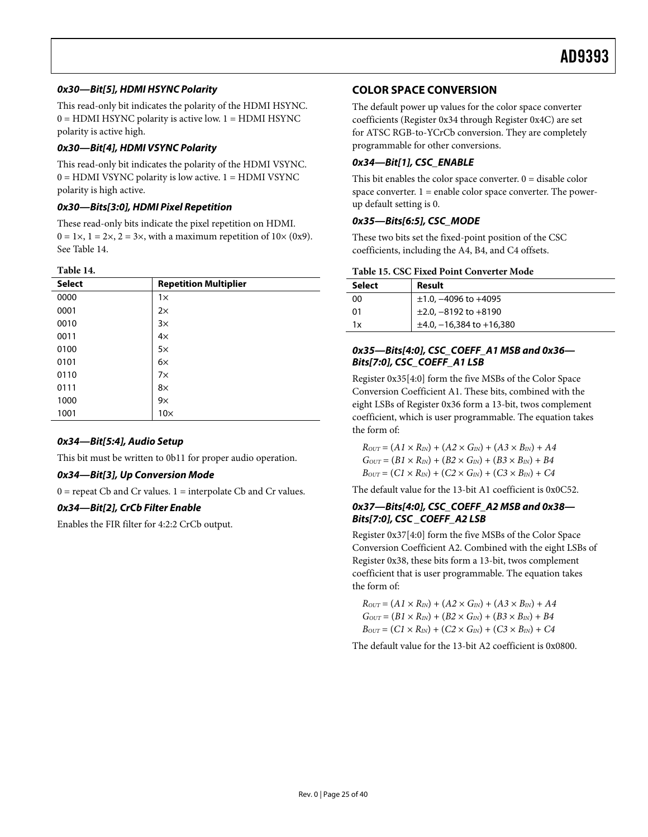# <span id="page-24-0"></span>**0x30—Bit[5], HDMI HSYNC Polarity**

This read-only bit indicates the polarity of the HDMI HSYNC.  $0 = HDMI$  HSYNC polarity is active low.  $1 = HDMI$  HSYNC polarity is active high.

# **0x30—Bit[4], HDMI VSYNC Polarity**

This read-only bit indicates the polarity of the HDMI VSYNC.  $0 = HDMI$  VSYNC polarity is low active.  $1 = HDMI$  VSYNC polarity is high active.

# **0x30—Bits[3:0], HDMI Pixel Repetition**

These read-only bits indicate the pixel repetition on HDMI.  $0 = 1 \times$ ,  $1 = 2 \times$ ,  $2 = 3 \times$ , with a maximum repetition of  $10 \times (0 \times 9)$ . See [Table 14](#page-24-1).

#### **Table 14.**

<span id="page-24-1"></span>

| <b>Select</b> | <b>Repetition Multiplier</b> |
|---------------|------------------------------|
| 0000          | $1\times$                    |
| 0001          | $2\times$                    |
| 0010          | $3\times$                    |
| 0011          | $4\times$                    |
| 0100          | $5\times$                    |
| 0101          | $6\times$                    |
| 0110          | $7\times$                    |
| 0111          | 8×                           |
| 1000          | $9\times$                    |
| 1001          | $10\times$                   |

## **0x34—Bit[5:4], Audio Setup**

This bit must be written to 0b11 for proper audio operation.

## **0x34—Bit[3], Up Conversion Mode**

 $0 =$  repeat Cb and Cr values.  $1 =$  interpolate Cb and Cr values.

## **0x34—Bit[2], CrCb Filter Enable**

Enables the FIR filter for 4:2:2 CrCb output.

# **COLOR SPACE CONVERSION**

The default power up values for the color space converter coefficients (Register 0x34 through Register 0x4C) are set for ATSC RGB-to-YCrCb conversion. They are completely programmable for other conversions.

# **0x34—Bit[1], CSC\_ENABLE**

This bit enables the color space converter.  $0 =$  disable color space converter.  $1 =$  enable color space converter. The powerup default setting is 0.

## **0x35—Bits[6:5], CSC\_MODE**

These two bits set the fixed-point position of the CSC coefficients, including the A4, B4, and C4 offsets.

|  |  | <b>Table 15. CSC Fixed Point Converter Mode</b> |  |
|--|--|-------------------------------------------------|--|
|--|--|-------------------------------------------------|--|

| <b>Select</b> | Result                            |
|---------------|-----------------------------------|
| 00            | $\pm 1.0$ , -4096 to +4095        |
| 01            | $\pm 2.0, -8192$ to $+8190$       |
| 1x            | $\pm 4.0, -16, 384$ to $+16, 380$ |

## **0x35—Bits[4:0], CSC\_COEFF\_A1 MSB and 0x36— Bits[7:0], CSC\_COEFF\_A1 LSB**

Register 0x35[4:0] form the five MSBs of the Color Space Conversion Coefficient A1. These bits, combined with the eight LSBs of Register 0x36 form a 13-bit, twos complement coefficient, which is user programmable. The equation takes the form of:

 $R_{OUT} = (A1 \times R_{IN}) + (A2 \times G_{IN}) + (A3 \times B_{IN}) + A4$  $G_{OUT} = (B1 \times R_{IN}) + (B2 \times G_{IN}) + (B3 \times B_{IN}) + B4$  $B_{OUT} = (C1 \times R_{IN}) + (C2 \times G_{IN}) + (C3 \times B_{IN}) + C4$ 

The default value for the 13-bit A1 coefficient is 0x0C52.

#### **0x37—Bits[4:0], CSC\_COEFF\_A2 MSB and 0x38—** Bits[7:0], CSC COEFF A2 LSB

Register 0x37[4:0] form the five MSBs of the Color Space Conversion Coefficient A2. Combined with the eight LSBs of Register 0x38, these bits form a 13-bit, twos complement coefficient that is user programmable. The equation takes the form of:

 $R_{OUT} = (A1 \times R_{IN}) + (A2 \times G_{IN}) + (A3 \times B_{IN}) + A4$  $G_{OUT} = (B1 \times R_{IN}) + (B2 \times G_{IN}) + (B3 \times B_{IN}) + B4$  $B_{OUT} = (C1 \times R_{IN}) + (C2 \times G_{IN}) + (C3 \times B_{IN}) + C4$ 

The default value for the 13-bit A2 coefficient is 0x0800.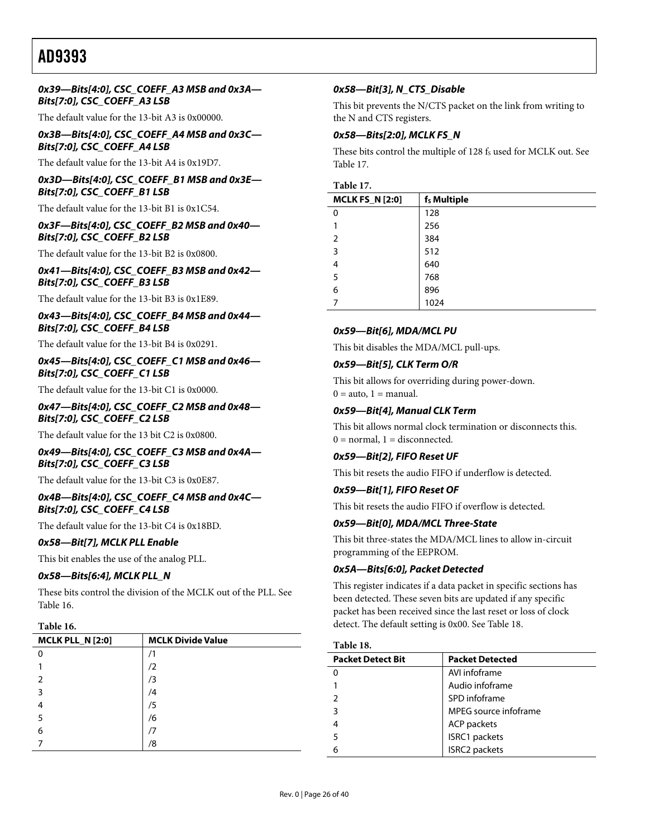#### **0x39—Bits[4:0], CSC\_COEFF\_A3 MSB and 0x3A— Bits[7:0], CSC\_COEFF\_A3 LSB**

The default value for the 13-bit A3 is 0x00000.

## **0x3B—Bits[4:0], CSC\_COEFF\_A4 MSB and 0x3C— Bits[7:0], CSC\_COEFF\_A4 LSB**

The default value for the 13-bit A4 is 0x19D7.

**0x3D—Bits[4:0], CSC\_COEFF\_B1 MSB and 0x3E— Bits[7:0], CSC\_COEFF\_B1 LSB** 

The default value for the 13-bit B1 is 0x1C54.

#### **0x3F—Bits[4:0], CSC\_COEFF\_B2 MSB and 0x40— Bits[7:0], CSC\_COEFF\_B2 LSB**

The default value for the 13-bit B2 is 0x0800.

#### **0x41—Bits[4:0], CSC\_COEFF\_B3 MSB and 0x42— Bits[7:0], CSC\_COEFF\_B3 LSB**

The default value for the 13-bit B3 is 0x1E89.

#### **0x43—Bits[4:0], CSC\_COEFF\_B4 MSB and 0x44— Bits[7:0], CSC\_COEFF\_B4 LSB**

The default value for the 13-bit B4 is 0x0291.

#### **0x45—Bits[4:0], CSC\_COEFF\_C1 MSB and 0x46— Bits[7:0], CSC\_COEFF\_C1 LSB**

The default value for the 13-bit C1 is 0x0000.

#### **0x47—Bits[4:0], CSC\_COEFF\_C2 MSB and 0x48— Bits[7:0], CSC\_COEFF\_C2 LSB**

The default value for the 13 bit C2 is 0x0800.

#### **0x49—Bits[4:0], CSC\_COEFF\_C3 MSB and 0x4A— Bits[7:0], CSC\_COEFF\_C3 LSB**

The default value for the 13-bit C3 is 0x0E87.

#### **0x4B—Bits[4:0], CSC\_COEFF\_C4 MSB and 0x4C— Bits[7:0], CSC\_COEFF\_C4 LSB**

The default value for the 13-bit C4 is 0x18BD.

#### **0x58—Bit[7], MCLK PLL Enable**

This bit enables the use of the analog PLL.

#### **0x58—Bits[6:4], MCLK PLL\_N**

These bits control the division of the MCLK out of the PLL. See [Table 16](#page-25-0).

#### **Table 16.**

<span id="page-25-1"></span><span id="page-25-0"></span>

| <b>MCLK PLL_N [2:0]</b> | <b>MCLK Divide Value</b> |
|-------------------------|--------------------------|
|                         |                          |
|                         | /2                       |
|                         | /3                       |
| 3                       | /4                       |
|                         | /5                       |
|                         | /6                       |
| 6                       |                          |
|                         | /8                       |

## **0x58—Bit[3], N\_CTS\_Disable**

This bit prevents the N/CTS packet on the link from writing to the N and CTS registers.

## **0x58—Bits[2:0], MCLK FS\_N**

These bits control the multiple of 128 fs used for MCLK out. See Table 17.

#### **Table 17.**

| <b>MCLK FS_N [2:0]</b> | f <sub>s</sub> Multiple |
|------------------------|-------------------------|
| 0                      | 128                     |
|                        | 256                     |
| $\mathfrak{p}$         | 384                     |
| 3                      | 512                     |
| 4                      | 640                     |
| 5                      | 768                     |
| 6                      | 896                     |
| 7                      | 1024                    |

#### **0x59—Bit[6], MDA/MCL PU**

This bit disables the MDA/MCL pull-ups.

#### **0x59—Bit[5], CLK Term O/R**

This bit allows for overriding during power-down.  $0 = auto, 1 = manual.$ 

#### **0x59—Bit[4], Manual CLK Term**

This bit allows normal clock termination or disconnects this.  $0 = normal$ ,  $1 = disconnected$ .

#### **0x59—Bit[2], FIFO Reset UF**

This bit resets the audio FIFO if underflow is detected.

#### **0x59—Bit[1], FIFO Reset OF**

This bit resets the audio FIFO if overflow is detected.

#### **0x59—Bit[0], MDA/MCL Three-State**

This bit three-states the MDA/MCL lines to allow in-circuit programming of the EEPROM.

#### **0x5A—Bits[6:0], Packet Detected**

This register indicates if a data packet in specific sections has been detected. These seven bits are updated if any specific packet has been received since the last reset or loss of clock detect. The default setting is 0x00. See [Table 18](#page-25-1).

#### **Table 18.**

| <b>Packet Detect Bit</b> | <b>Packet Detected</b> |
|--------------------------|------------------------|
|                          | AVI infoframe          |
|                          | Audio infoframe        |
|                          | SPD infoframe          |
|                          | MPEG source infoframe  |
|                          | <b>ACP</b> packets     |
| 5                        | ISRC1 packets          |
|                          | <b>ISRC2</b> packets   |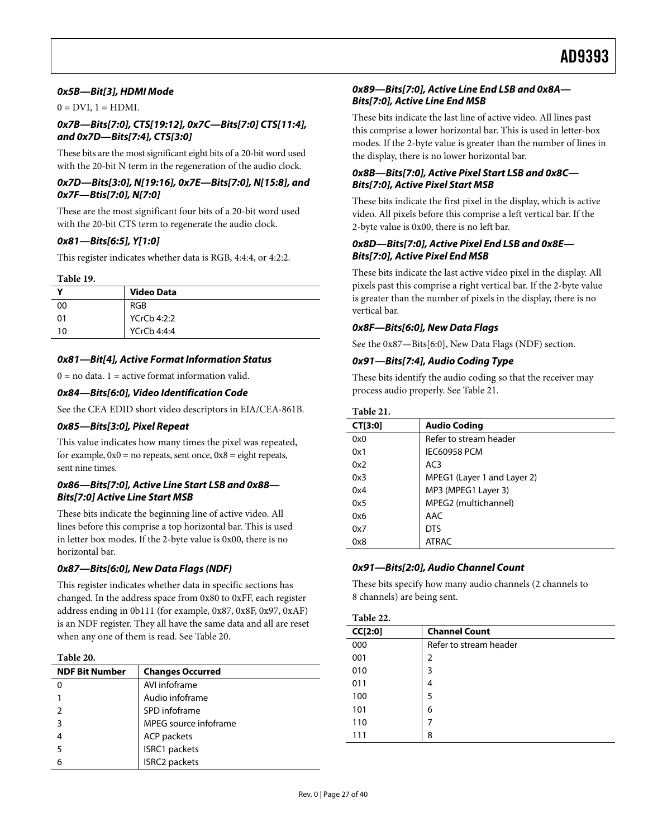## **0x5B—Bit[3], HDMI Mode**

 $0 = DVI$ ,  $1 = HDMI$ .

#### **0x7B—Bits[7:0], CTS[19:12], 0x7C—Bits[7:0] CTS[11:4], and 0x7D—Bits[7:4], CTS[3:0]**

These bits are the most significant eight bits of a 20-bit word used with the 20-bit N term in the regeneration of the audio clock.

#### **0x7D—Bits[3:0], N[19:16], 0x7E—Bits[7:0], N[15:8], and 0x7F—Btis[7:0], N[7:0]**

These are the most significant four bits of a 20-bit word used with the 20-bit CTS term to regenerate the audio clock.

#### **0x81—Bits[6:5], Y[1:0]**

This register indicates whether data is RGB, 4:4:4, or 4:2:2.

#### **Table 19.**

|    | <b>Video Data</b> |
|----|-------------------|
| 00 | RGB               |
| 01 | YCrCb 4:2:2       |
| 10 | YCrCb 4:4:4       |

#### **0x81—Bit[4], Active Format Information Status**

 $0 =$  no data.  $1 =$  active format information valid.

#### **0x84—Bits[6:0], Video Identification Code**

<span id="page-26-2"></span>See the CEA EDID short video descriptors in EIA/CEA-861B.

#### **0x85—Bits[3:0], Pixel Repeat**

This value indicates how many times the pixel was repeated, for example,  $0x0 = no$  repeats, sent once,  $0x8 =$  eight repeats, sent nine times.

#### **0x86—Bits[7:0], Active Line Start LSB and 0x88— Bits[7:0] Active Line Start MSB**

These bits indicate the beginning line of active video. All lines before this comprise a top horizontal bar. This is used in letter box modes. If the 2-byte value is 0x00, there is no horizontal bar.

## <span id="page-26-1"></span>**0x87—Bits[6:0], New Data Flags (NDF)**

This register indicates whether data in specific sections has changed. In the address space from 0x80 to 0xFF, each register address ending in 0b111 (for example, 0x87, 0x8F, 0x97, 0xAF) is an NDF register. They all have the same data and all are reset when any one of them is read. See [Table 20](#page-26-0).

#### **Table 20.**

<span id="page-26-0"></span>

| <b>NDF Bit Number</b> | <b>Changes Occurred</b> |
|-----------------------|-------------------------|
|                       | AVI infoframe           |
|                       | Audio infoframe         |
|                       | SPD infoframe           |
| З                     | MPEG source infoframe   |
|                       | <b>ACP</b> packets      |
|                       | ISRC1 packets           |
|                       | ISRC2 packets           |

#### **0x89—Bits[7:0], Active Line End LSB and 0x8A— Bits[7:0], Active Line End MSB**

These bits indicate the last line of active video. All lines past this comprise a lower horizontal bar. This is used in letter-box modes. If the 2-byte value is greater than the number of lines in the display, there is no lower horizontal bar.

#### **0x8B—Bits[7:0], Active Pixel Start LSB and 0x8C— Bits[7:0], Active Pixel Start MSB**

These bits indicate the first pixel in the display, which is active video. All pixels before this comprise a left vertical bar. If the 2-byte value is 0x00, there is no left bar.

## **0x8D—Bits[7:0], Active Pixel End LSB and 0x8E— Bits[7:0], Active Pixel End MSB**

These bits indicate the last active video pixel in the display. All pixels past this comprise a right vertical bar. If the 2-byte value is greater than the number of pixels in the display, there is no vertical bar.

#### **0x8F—Bits[6:0], New Data Flags**

See the [0x87—Bits\[6:0\], New Data Flags \(NDF\)](#page-26-1) section.

# **0x91—Bits[7:4], Audio Coding Type**

These bits identify the audio coding so that the receiver may process audio properly. See [Table 21](#page-26-2).

#### **Table 21.**

| CT[3:0] | <b>Audio Coding</b>         |
|---------|-----------------------------|
| 0x0     | Refer to stream header      |
| 0x1     | <b>IEC60958 PCM</b>         |
| 0x2     | AC <sub>3</sub>             |
| 0x3     | MPEG1 (Layer 1 and Layer 2) |
| 0x4     | MP3 (MPEG1 Layer 3)         |
| 0x5     | MPEG2 (multichannel)        |
| 0x6     | AAC                         |
| 0x7     | <b>DTS</b>                  |
| 0x8     | <b>ATRAC</b>                |

#### **0x91—Bits[2:0], Audio Channel Count**

These bits specify how many audio channels (2 channels to 8 channels) are being sent.

#### **Table 22.**

| CC[2:0] | <b>Channel Count</b>   |
|---------|------------------------|
| 000     | Refer to stream header |
| 001     | 2                      |
| 010     | 3                      |
| 011     | 4                      |
| 100     | 5                      |
| 101     | 6                      |
| 110     | 7                      |
| 111     | 8                      |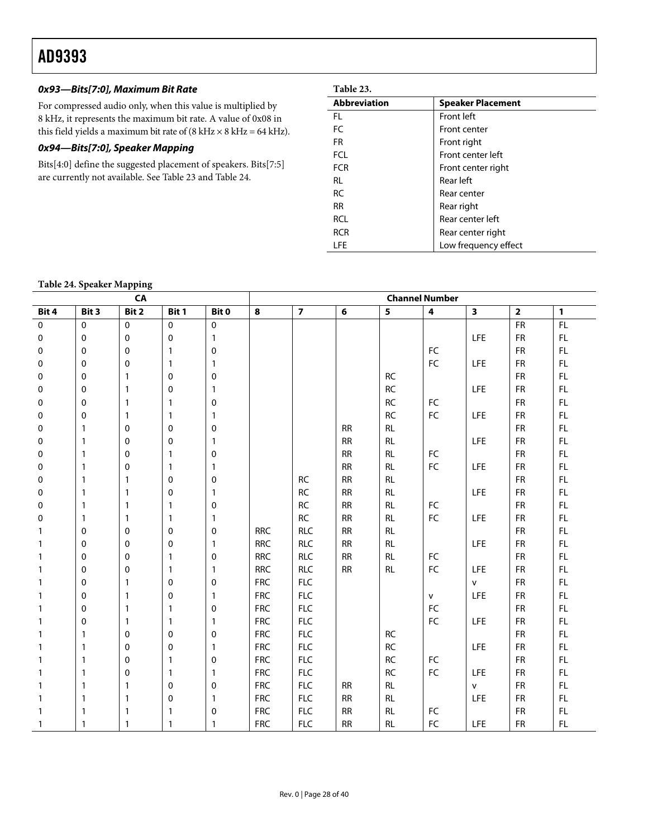# **0x93—Bits[7:0], Maximum Bit Rate**

For compressed audio only, when this value is multiplied by 8 kHz, it represents the maximum bit rate. A value of 0x08 in this field yields a maximum bit rate of  $(8 kHz \times 8 kHz = 64 kHz)$ .

# **0x94—Bits[7:0], Speaker Mapping**

Bits[4:0] define the suggested placement of speakers. Bits[7:5] are currently not available. See Table 23 and [Table 24](#page-27-0).

| <b>Abbreviation</b> | <b>Speaker Placement</b> |
|---------------------|--------------------------|
| FL.                 | Front left               |
| FC                  | Front center             |
| <b>FR</b>           | Front right              |
| <b>FCL</b>          | Front center left        |
| <b>FCR</b>          | Front center right       |
| RL                  | Rear left                |
| <b>RC</b>           | Rear center              |
| <b>RR</b>           | Rear right               |
| <b>RCL</b>          | Rear center left         |
| <b>RCR</b>          | Rear center right        |
| <b>LFE</b>          | Low frequency effect     |

# **Table 24. Speaker Mapping**

<span id="page-27-0"></span>

|           |              | $\mathbf{r}$<br>ັ<br>CA |              |              | <b>Channel Number</b> |                |            |               |                         |                         |                         |               |  |
|-----------|--------------|-------------------------|--------------|--------------|-----------------------|----------------|------------|---------------|-------------------------|-------------------------|-------------------------|---------------|--|
| Bit 4     | Bit 3        | Bit 2                   | Bit 1        | Bit 0        | 8                     | $\overline{7}$ | 6          | 5             | $\overline{\mathbf{4}}$ | $\overline{\mathbf{3}}$ | $\overline{\mathbf{2}}$ | $\mathbf{1}$  |  |
| $\pmb{0}$ | $\mathbf 0$  | $\pmb{0}$               | $\mathbf 0$  | $\mathbf 0$  |                       |                |            |               |                         |                         | <b>FR</b>               | FL            |  |
| 0         | $\mathbf 0$  | 0                       | 0            | $\mathbf{1}$ |                       |                |            |               |                         | <b>LFE</b>              | <b>FR</b>               | FL            |  |
| 0         | 0            | 0                       | 1            | 0            |                       |                |            |               | ${\sf FC}$              |                         | <b>FR</b>               | FL            |  |
| 0         | $\mathbf 0$  | $\mathbf 0$             | $\mathbf{1}$ | $\mathbf{1}$ |                       |                |            |               | ${\sf FC}$              | LFE                     | <b>FR</b>               | FL            |  |
| 0         | 0            | $\mathbf{1}$            | 0            | 0            |                       |                |            | $\mathsf{RC}$ |                         |                         | ${\sf FR}$              | $\mathsf{FL}$ |  |
| 0         | 0            | $\mathbf{1}$            | 0            | $\mathbf{1}$ |                       |                |            | $\mathsf{RC}$ |                         | LFE                     | <b>FR</b>               | FL            |  |
| 0         | 0            | $\mathbf{1}$            | $\mathbf{1}$ | $\pmb{0}$    |                       |                |            | $\mathsf{RC}$ | ${\sf FC}$              |                         | <b>FR</b>               | FL            |  |
| 0         | 0            | $\mathbf{1}$            | 1            | $\mathbf{1}$ |                       |                |            | RC            | ${\sf FC}$              | <b>LFE</b>              | <b>FR</b>               | FL            |  |
| 0         | $\mathbf{1}$ | 0                       | 0            | 0            |                       |                | RR         | RL            |                         |                         | <b>FR</b>               | FL            |  |
| 0         | $\mathbf{1}$ | $\mathbf 0$             | 0            | $\mathbf{1}$ |                       |                | ${\sf RR}$ | RL            |                         | LFE                     | <b>FR</b>               | $\mathsf{FL}$ |  |
| 0         | $\mathbf{1}$ | 0                       | 1            | 0            |                       |                | RR         | <b>RL</b>     | ${\sf FC}$              |                         | <b>FR</b>               | FL            |  |
| 0         | $\mathbf{1}$ | 0                       | $\mathbf{1}$ | $\mathbf{1}$ |                       |                | RR         | <b>RL</b>     | ${\sf FC}$              | LFE                     | <b>FR</b>               | FL            |  |
| 0         | $\mathbf{1}$ | 1                       | 0            | 0            |                       | $\sf RC$       | RR         | RL            |                         |                         | <b>FR</b>               | FL            |  |
| 0         | $\mathbf{1}$ | $\mathbf{1}$            | 0            | $\mathbf{1}$ |                       | RC             | <b>RR</b>  | <b>RL</b>     |                         | <b>LFE</b>              | <b>FR</b>               | FL            |  |
| 0         | $\mathbf{1}$ | $\mathbf{1}$            | $\mathbf{1}$ | 0            |                       | RC             | RR         | <b>RL</b>     | ${\sf FC}$              |                         | <b>FR</b>               | $\mathsf{FL}$ |  |
| 0         | $\mathbf{1}$ | $\mathbf{1}$            | $\mathbf{1}$ | $\mathbf{1}$ |                       | $\mathsf{RC}$  | RR         | RL            | ${\sf FC}$              | <b>LFE</b>              | ${\sf FR}$              | FL            |  |
|           | $\mathbf 0$  | 0                       | 0            | 0            | <b>RRC</b>            | <b>RLC</b>     | RR         | <b>RL</b>     |                         |                         | <b>FR</b>               | FL            |  |
|           | $\mathbf 0$  | $\mathbf 0$             | 0            | $\mathbf{1}$ | <b>RRC</b>            | <b>RLC</b>     | <b>RR</b>  | <b>RL</b>     |                         | LFE                     | <b>FR</b>               | FL            |  |
|           | 0            | 0                       | $\mathbf{1}$ | 0            | <b>RRC</b>            | <b>RLC</b>     | RR         | RL            | ${\sf FC}$              |                         | <b>FR</b>               | FL            |  |
|           | 0            | 0                       | $\mathbf{1}$ | $\mathbf{1}$ | <b>RRC</b>            | <b>RLC</b>     | <b>RR</b>  | <b>RL</b>     | FC                      | <b>LFE</b>              | <b>FR</b>               | FL            |  |
| 1         | $\mathbf 0$  | $\mathbf{1}$            | 0            | 0            | <b>FRC</b>            | ${\sf FLC}$    |            |               |                         | $\mathsf{v}$            | <b>FR</b>               | FL.           |  |
|           | 0            | $\mathbf{1}$            | 0            | $\mathbf{1}$ | <b>FRC</b>            | ${\sf FLC}$    |            |               | $\mathsf{v}$            | <b>LFE</b>              | ${\sf FR}$              | FL            |  |
|           | 0            | $\mathbf{1}$            | 1            | 0            | <b>FRC</b>            | FLC            |            |               | FC                      |                         | <b>FR</b>               | FL            |  |
|           | 0            | $\mathbf{1}$            | 1            | $\mathbf{1}$ | <b>FRC</b>            | FLC            |            |               | ${\sf FC}$              | LFE                     | <b>FR</b>               | FL            |  |
|           | $\mathbf{1}$ | 0                       | 0            | 0            | <b>FRC</b>            | FLC            |            | $\sf RC$      |                         |                         | <b>FR</b>               | FL            |  |
|           | $\mathbf{1}$ | 0                       | 0            | $\mathbf{1}$ | <b>FRC</b>            | FLC            |            | $\mathsf{RC}$ |                         | <b>LFE</b>              | <b>FR</b>               | FL            |  |
|           | $\mathbf{1}$ | $\mathbf 0$             | 1            | 0            | <b>FRC</b>            | ${\sf FLC}$    |            | $\mathsf{RC}$ | $\mathsf{FC}$           |                         | <b>FR</b>               | FL            |  |
|           | $\mathbf{1}$ | 0                       | 1            | $\mathbf{1}$ | <b>FRC</b>            | FLC            |            | RC            | FC                      | LFE                     | <b>FR</b>               | FL            |  |
|           | $\mathbf{1}$ | $\mathbf{1}$            | 0            | 0            | <b>FRC</b>            | <b>FLC</b>     | <b>RR</b>  | <b>RL</b>     |                         | V                       | <b>FR</b>               | FL            |  |
|           | $\mathbf{1}$ | $\mathbf{1}$            | 0            | $\mathbf{1}$ | <b>FRC</b>            | FLC            | RR         | RL            |                         | <b>LFE</b>              | <b>FR</b>               | FL            |  |
|           | $\mathbf{1}$ | $\mathbf{1}$            | $\mathbf{1}$ | 0            | <b>FRC</b>            | <b>FLC</b>     | <b>RR</b>  | <b>RL</b>     | FC                      |                         | <b>FR</b>               | FL            |  |
| 1         | $\mathbf{1}$ | $\mathbf{1}$            | $\mathbf{1}$ | $\mathbf{1}$ | <b>FRC</b>            | <b>FLC</b>     | <b>RR</b>  | <b>RL</b>     | FC                      | <b>LFE</b>              | <b>FR</b>               | $\mathsf{FL}$ |  |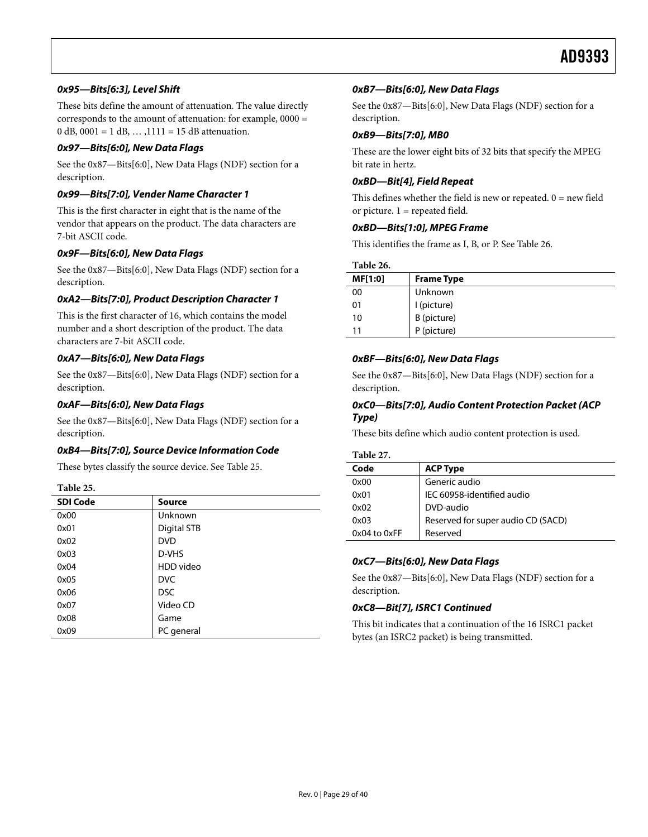## **0x95—Bits[6:3], Level Shift**

These bits define the amount of attenuation. The value directly corresponds to the amount of attenuation: for example, 0000 = 0 dB, 0001 = 1 dB, ...,  $1111 = 15$  dB attenuation.

#### **0x97—Bits[6:0], New Data Flags**

See the [0x87—Bits\[6:0\], New Data Flags \(NDF\)](#page-26-1) section for a description.

## **0x99—Bits[7:0], Vender Name Character 1**

This is the first character in eight that is the name of the vendor that appears on the product. The data characters are 7-bit ASCII code.

#### **0x9F—Bits[6:0], New Data Flags**

<span id="page-28-1"></span>See the [0x87—Bits\[6:0\], New Data Flags \(NDF\)](#page-26-1) section for a description.

## **0xA2—Bits[7:0], Product Description Character 1**

This is the first character of 16, which contains the model number and a short description of the product. The data characters are 7-bit ASCII code.

#### **0xA7—Bits[6:0], New Data Flags**

See the [0x87—Bits\[6:0\], New Data Flags \(NDF\)](#page-26-1) section for a description.

#### **0xAF—Bits[6:0], New Data Flags**

See the [0x87—Bits\[6:0\], New Data Flags \(NDF\)](#page-26-1) section for a description.

## **0xB4—Bits[7:0], Source Device Information Code**

These bytes classify the source device. See [Table 25](#page-28-0).

# **Table 25.**

<span id="page-28-0"></span>

| <b>SDI Code</b> | <b>Source</b> |
|-----------------|---------------|
| 0x00            | Unknown       |
| 0x01            | Digital STB   |
| 0x02            | <b>DVD</b>    |
| 0x03            | D-VHS         |
| 0x04            | HDD video     |
| 0x05            | <b>DVC</b>    |
| 0x06            | <b>DSC</b>    |
| 0x07            | Video CD      |
| 0x08            | Game          |
| 0x09            | PC general    |

#### **0xB7—Bits[6:0], New Data Flags**

See the [0x87—Bits\[6:0\], New Data Flags \(NDF\)](#page-26-1) section for a description.

#### **0xB9—Bits[7:0], MB0**

These are the lower eight bits of 32 bits that specify the MPEG bit rate in hertz.

#### **0xBD—Bit[4], Field Repeat**

This defines whether the field is new or repeated.  $0 = new$  field or picture.  $1$  = repeated field.

#### **0xBD—Bits[1:0], MPEG Frame**

This identifies the frame as I, B, or P. See [Table 26](#page-28-1).

| Table 26. |                                           |
|-----------|-------------------------------------------|
| MF[1:0]   | <b>Frame Type</b>                         |
| 00        | Unknown                                   |
| 01        |                                           |
| 10        | l (picture)<br>B (picture)<br>P (picture) |
| 11        |                                           |

#### **0xBF—Bits[6:0], New Data Flags**

See the [0x87—Bits\[6:0\], New Data Flags \(NDF\)](#page-26-1) section for a description.

#### **0xC0—Bits[7:0], Audio Content Protection Packet (ACP Type)**

These bits define which audio content protection is used.

**Table 27.** 

| Code             | <b>ACP Type</b>                    |
|------------------|------------------------------------|
| 0x00             | Generic audio                      |
| 0x01             | IEC 60958-identified audio         |
| 0x02             | DVD-audio                          |
| 0x03             | Reserved for super audio CD (SACD) |
| $0x04$ to $0xFF$ | Reserved                           |

#### **0xC7—Bits[6:0], New Data Flags**

See the [0x87—Bits\[6:0\], New Data Flags \(NDF\)](#page-26-1) section for a description.

## **0xC8—Bit[7], ISRC1 Continued**

This bit indicates that a continuation of the 16 ISRC1 packet bytes (an ISRC2 packet) is being transmitted.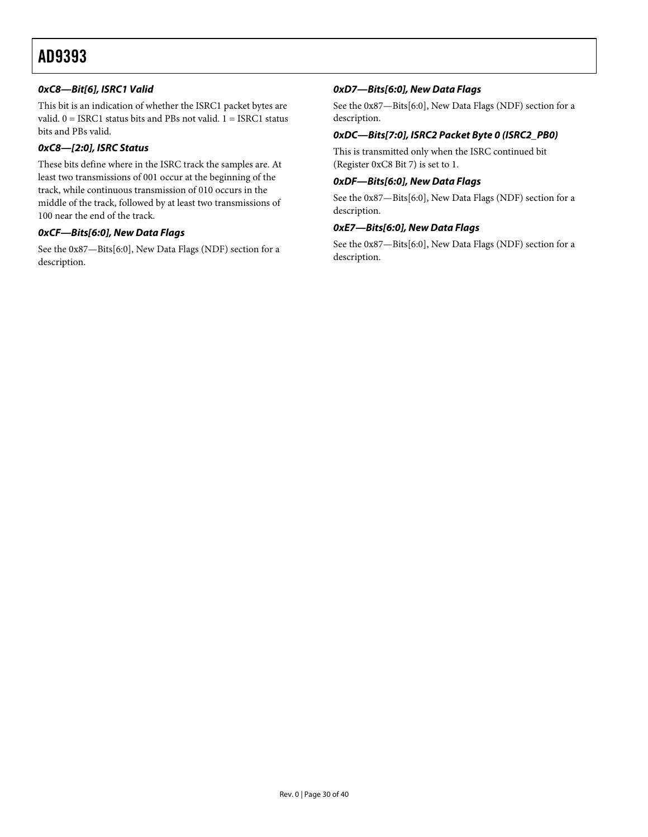# **0xC8—Bit[6], ISRC1 Valid**

This bit is an indication of whether the ISRC1 packet bytes are valid. 0 = ISRC1 status bits and PBs not valid. 1 = ISRC1 status bits and PBs valid.

# **0xC8—[2:0], ISRC Status**

These bits define where in the ISRC track the samples are. At least two transmissions of 001 occur at the beginning of the track, while continuous transmission of 010 occurs in the middle of the track, followed by at least two transmissions of 100 near the end of the track.

# **0xCF—Bits[6:0], New Data Flags**

See the [0x87—Bits\[6:0\], New Data Flags \(NDF\)](#page-26-1) section for a description.

# **0xD7—Bits[6:0], New Data Flags**

See the [0x87—Bits\[6:0\], New Data Flags \(NDF\)](#page-26-1) section for a description.

# **0xDC—Bits[7:0], ISRC2 Packet Byte 0 (ISRC2\_PB0)**

This is transmitted only when the ISRC continued bit (Register 0xC8 Bit 7) is set to 1.

## **0xDF—Bits[6:0], New Data Flags**

See the [0x87—Bits\[6:0\], New Data Flags \(NDF\)](#page-26-1) section for a description.

#### **0xE7—Bits[6:0], New Data Flags**

See the [0x87—Bits\[6:0\], New Data Flags \(NDF\)](#page-26-1) section for a description.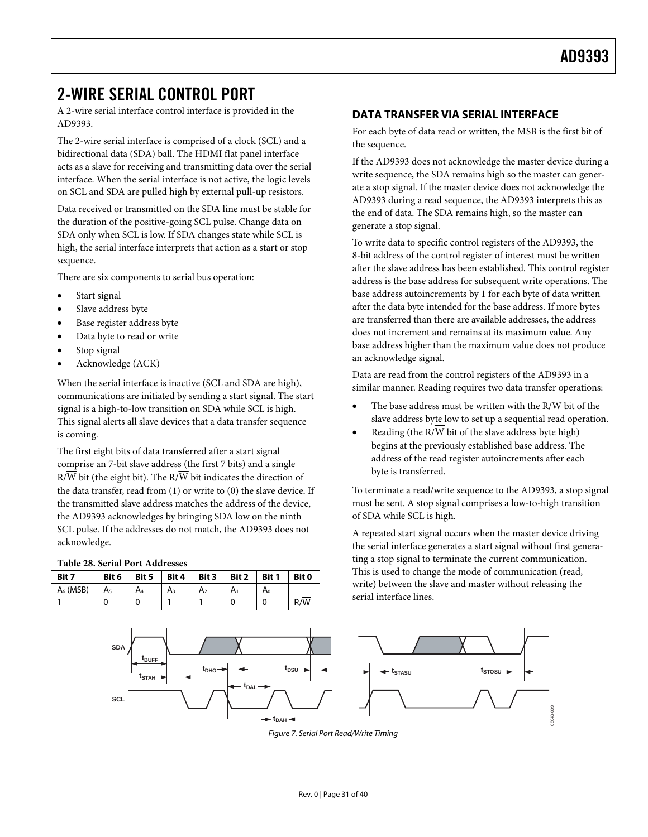# <span id="page-30-0"></span>2-WIRE SERIAL CONTROL PORT

A 2-wire serial interface control interface is provided in the AD9393.

The 2-wire serial interface is comprised of a clock (SCL) and a bidirectional data (SDA) ball. The HDMI flat panel interface acts as a slave for receiving and transmitting data over the serial interface. When the serial interface is not active, the logic levels on SCL and SDA are pulled high by external pull-up resistors.

Data received or transmitted on the SDA line must be stable for the duration of the positive-going SCL pulse. Change data on SDA only when SCL is low. If SDA changes state while SCL is high, the serial interface interprets that action as a start or stop sequence.

There are six components to serial bus operation:

- Start signal
- Slave address byte
- Base register address byte
- Data byte to read or write
- Stop signal
- Acknowledge (ACK)

When the serial interface is inactive (SCL and SDA are high), communications are initiated by sending a start signal. The start signal is a high-to-low transition on SDA while SCL is high. This signal alerts all slave devices that a data transfer sequence is coming.

The first eight bits of data transferred after a start signal comprise an 7-bit slave address (the first 7 bits) and a single  $R/\overline{W}$  bit (the eight bit). The  $R/\overline{W}$  bit indicates the direction of the data transfer, read from (1) or write to (0) the slave device. If the transmitted slave address matches the address of the device, the AD9393 acknowledges by bringing SDA low on the ninth SCL pulse. If the addresses do not match, the AD9393 does not acknowledge.

#### **Table 28. Serial Port Addresses**

| Bit 7       | Bit 6          | Bit 5          | Bit 4 | Bit 3<br>$\blacksquare$ | Bit 2 | Bit 1 | Bit 0 |
|-------------|----------------|----------------|-------|-------------------------|-------|-------|-------|
| $A_6$ (MSB) | A <sub>5</sub> | A <sub>4</sub> | Aз    | A <sub>2</sub>          | A۱    | A٥    |       |
|             |                |                |       |                         |       |       | R/W   |

# **DATA TRANSFER VIA SERIAL INTERFACE**

For each byte of data read or written, the MSB is the first bit of the sequence.

If the AD9393 does not acknowledge the master device during a write sequence, the SDA remains high so the master can generate a stop signal. If the master device does not acknowledge the AD9393 during a read sequence, the AD9393 interprets this as the end of data. The SDA remains high, so the master can generate a stop signal.

To write data to specific control registers of the AD9393, the 8-bit address of the control register of interest must be written after the slave address has been established. This control register address is the base address for subsequent write operations. The base address autoincrements by 1 for each byte of data written after the data byte intended for the base address. If more bytes are transferred than there are available addresses, the address does not increment and remains at its maximum value. Any base address higher than the maximum value does not produce an acknowledge signal.

Data are read from the control registers of the AD9393 in a similar manner. Reading requires two data transfer operations:

- The base address must be written with the R/W bit of the slave address byte low to set up a sequential read operation.
- Reading (the R/W bit of the slave address byte high) begins at the previously established base address. The address of the read register autoincrements after each byte is transferred.

To terminate a read/write sequence to the AD9393, a stop signal must be sent. A stop signal comprises a low-to-high transition of SDA while SCL is high.

A repeated start signal occurs when the master device driving the serial interface generates a start signal without first generating a stop signal to terminate the current communication. This is used to change the mode of communication (read, write) between the slave and master without releasing the serial interface lines.



Figure 7. Serial Port Read/Write Timing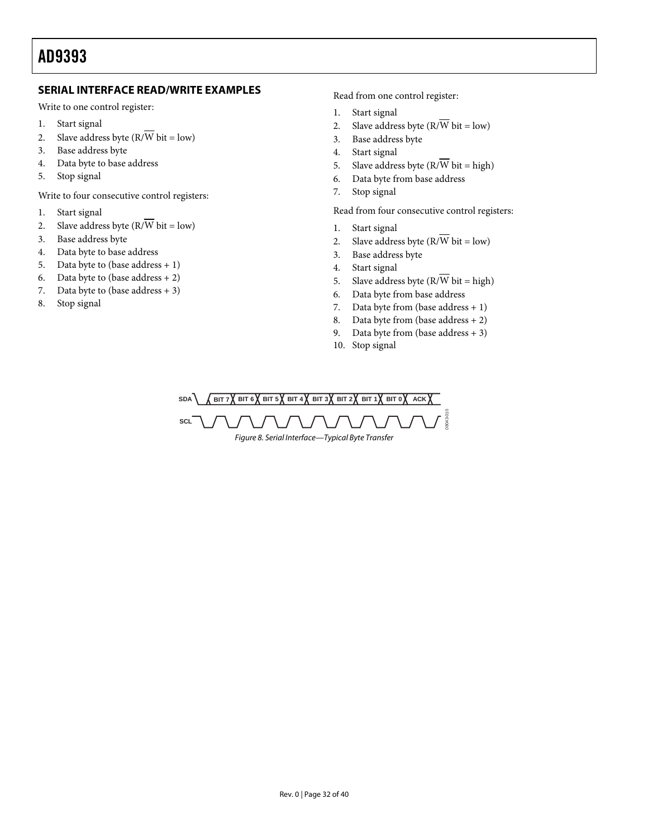# <span id="page-31-0"></span>**SERIAL INTERFACE READ/WRITE EXAMPLES**

Write to one control register:

- 1. Start signal
- 2. Slave address byte  $(R/\overline{W})$  bit = low)
- 3. Base address byte
- 4. Data byte to base address
- 5. Stop signal

Write to four consecutive control registers:

- 1. Start signal
- 2. Slave address byte  $(R/\overline{W})$  bit = low)
- 3. Base address byte
- 4. Data byte to base address
- 5. Data byte to (base address  $+1$ )
- 6. Data byte to (base address  $+ 2$ )
- 7. Data byte to (base address  $+3$ )
- 8. Stop signal

Read from one control register:

- 1. Start signal
- 2. Slave address byte  $(R/\overline{W})$  bit = low)
- 3. Base address byte
- 4. Start signal
- 5. Slave address byte  $(R/\overline{W})$  bit = high)
- 6. Data byte from base address
- 7. Stop signal

Read from four consecutive control registers:

- 1. Start signal
- 2. Slave address byte  $(R/\overline{W})$  bit = low)
- 3. Base address byte
- 4. Start signal
- 5. Slave address byte  $(R/\overline{W}$  bit = high)
- 6. Data byte from base address
- 7. Data byte from (base address + 1)
- 8. Data byte from (base address + 2)
- 9. Data byte from (base address  $+3$ )
- 10. Stop signal

 $SBA$   $\left($  BIT 7 $\right)$  BIT 6 $\left\{$  BIT 5 $\right\}$  BIT 4 $\left\{$  BIT 3 $\right\}$  BIT 2 $\left\{$  BIT 1 $\right\}$  BIT 0 $\left\{$  ACK $\right\}$ **SCL** 08043-010 Figure 8. Serial Interface—Typical Byte Transfer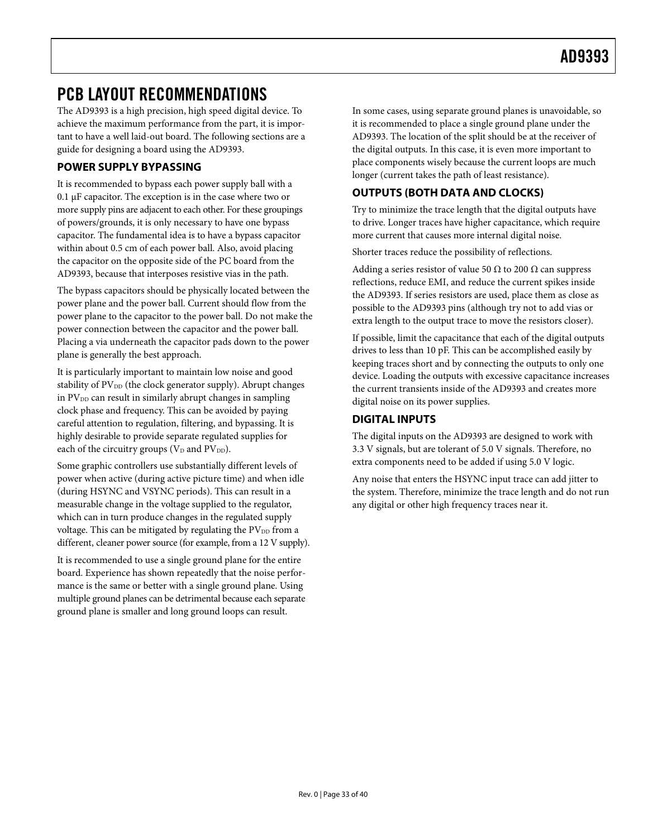# <span id="page-32-2"></span><span id="page-32-1"></span><span id="page-32-0"></span>PCB LAYOUT RECOMMENDATIONS

The AD9393 is a high precision, high speed digital device. To achieve the maximum performance from the part, it is important to have a well laid-out board. The following sections are a guide for designing a board using the AD9393.

# **POWER SUPPLY BYPASSING**

It is recommended to bypass each power supply ball with a 0.1 μF capacitor. The exception is in the case where two or more supply pins are adjacent to each other. For these groupings of powers/grounds, it is only necessary to have one bypass capacitor. The fundamental idea is to have a bypass capacitor within about 0.5 cm of each power ball. Also, avoid placing the capacitor on the opposite side of the PC board from the AD9393, because that interposes resistive vias in the path.

The bypass capacitors should be physically located between the power plane and the power ball. Current should flow from the power plane to the capacitor to the power ball. Do not make the power connection between the capacitor and the power ball. Placing a via underneath the capacitor pads down to the power plane is generally the best approach.

It is particularly important to maintain low noise and good stability of PV<sub>DD</sub> (the clock generator supply). Abrupt changes in  $PV<sub>DD</sub>$  can result in similarly abrupt changes in sampling clock phase and frequency. This can be avoided by paying careful attention to regulation, filtering, and bypassing. It is highly desirable to provide separate regulated supplies for each of the circuitry groups ( $V_D$  and  $PV_{DD}$ ).

Some graphic controllers use substantially different levels of power when active (during active picture time) and when idle (during HSYNC and VSYNC periods). This can result in a measurable change in the voltage supplied to the regulator, which can in turn produce changes in the regulated supply voltage. This can be mitigated by regulating the  $PV<sub>DD</sub>$  from a different, cleaner power source (for example, from a 12 V supply).

It is recommended to use a single ground plane for the entire board. Experience has shown repeatedly that the noise performance is the same or better with a single ground plane. Using multiple ground planes can be detrimental because each separate ground plane is smaller and long ground loops can result.

In some cases, using separate ground planes is unavoidable, so it is recommended to place a single ground plane under the AD9393. The location of the split should be at the receiver of the digital outputs. In this case, it is even more important to place components wisely because the current loops are much longer (current takes the path of least resistance).

# **OUTPUTS (BOTH DATA AND CLOCKS)**

Try to minimize the trace length that the digital outputs have to drive. Longer traces have higher capacitance, which require more current that causes more internal digital noise.

Shorter traces reduce the possibility of reflections.

Adding a series resistor of value 50  $\Omega$  to 200  $\Omega$  can suppress reflections, reduce EMI, and reduce the current spikes inside the AD9393. If series resistors are used, place them as close as possible to the AD9393 pins (although try not to add vias or extra length to the output trace to move the resistors closer).

If possible, limit the capacitance that each of the digital outputs drives to less than 10 pF. This can be accomplished easily by keeping traces short and by connecting the outputs to only one device. Loading the outputs with excessive capacitance increases the current transients inside of the AD9393 and creates more digital noise on its power supplies.

# **DIGITAL INPUTS**

The digital inputs on the AD9393 are designed to work with 3.3 V signals, but are tolerant of 5.0 V signals. Therefore, no extra components need to be added if using 5.0 V logic.

Any noise that enters the HSYNC input trace can add jitter to the system. Therefore, minimize the trace length and do not run any digital or other high frequency traces near it.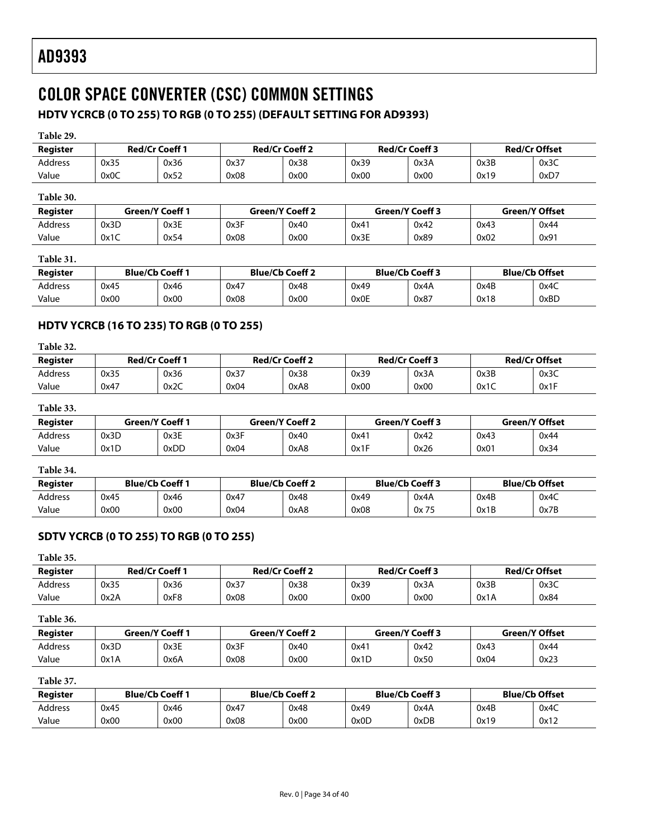# <span id="page-33-3"></span><span id="page-33-1"></span><span id="page-33-0"></span>COLOR SPACE CONVERTER (CSC) COMMON SETTINGS

# **HDTV YCRCB (0 TO 255) TO RGB (0 TO 255) (DEFAULT SETTING FOR AD9393)**

<span id="page-33-2"></span>

| Table 29. |                       |                        |                        |                       |                        |                       |                       |                      |
|-----------|-----------------------|------------------------|------------------------|-----------------------|------------------------|-----------------------|-----------------------|----------------------|
| Register  | <b>Red/Cr Coeff 1</b> |                        |                        | <b>Red/Cr Coeff 2</b> |                        | <b>Red/Cr Coeff 3</b> |                       | <b>Red/Cr Offset</b> |
| Address   | 0x35                  | 0x36                   | 0x37                   | 0x38                  | 0x39                   | 0x3A                  | 0x3B                  | 0x3C                 |
| Value     | 0x0C                  | 0x52                   | 0x08                   | 0x00                  | 0x00                   | 0x00                  | 0x19                  | 0xD7                 |
| Table 30. |                       |                        |                        |                       |                        |                       |                       |                      |
| Register  |                       | <b>Green/Y Coeff 1</b> | <b>Green/Y Coeff 2</b> |                       | <b>Green/Y Coeff 3</b> |                       | <b>Green/Y Offset</b> |                      |
| Address   | 0x3D                  | 0x3E                   | 0x3F                   | 0x40                  | 0x41                   | 0x42                  | 0x43                  | 0x44                 |
| Value     | 0x1C                  | 0x54                   | 0x08                   | 0x00                  | 0x3E                   | 0x89                  | 0x02                  | 0x91                 |
| Table 31. |                       |                        |                        |                       |                        |                       |                       |                      |
| Register  |                       | <b>Blue/Cb Coeff 1</b> | <b>Blue/Cb Coeff 2</b> |                       | <b>Blue/Cb Coeff 3</b> |                       | <b>Blue/Cb Offset</b> |                      |
| Address   | 0x45                  | 0x46                   | 0x47                   | 0x48                  | 0x49                   | 0x4A                  | 0x4B                  | 0x4C                 |
| Value     | 0x00                  | 0x00                   | 0x08                   | 0x00                  | 0x0E                   | 0x87                  | 0x18                  | 0xBD                 |

# **HDTV YCRCB (16 TO 235) TO RGB (0 TO 255)**

| adu |  |
|-----|--|
|-----|--|

| Register       |      | <b>Red/Cr Coeff 1</b> |      | <b>Red/Cr Coeff 2</b> | <b>Red/Cr Coeff 3</b> |      | <b>Red/Cr Offset</b> |      |
|----------------|------|-----------------------|------|-----------------------|-----------------------|------|----------------------|------|
| <b>Address</b> | 0x35 | 0x36                  | 0x37 | 0x38                  | 0x39                  | 0x3A | 0x3B                 | 0x3C |
| Value          | 0x47 | 0x2C                  | 0x04 | 0xA8                  | 0x00                  | 0x00 | 0x1C                 | 0x1F |

#### **Table 33.**

| Register       | <b>Green/Y Coeff 1</b> |      | <b>Green/Y Coeff 2</b> |      | <b>Green/Y Coeff 3</b> |      | <b>Green/Y Offset</b> |      |
|----------------|------------------------|------|------------------------|------|------------------------|------|-----------------------|------|
| <b>Address</b> | 0x3D                   | 0x3E | 0x3F                   | 0x40 | 0x41                   | 0x42 | 0x43                  | 0x44 |
| Value          | 0x1D                   | 0xDD | 0x04                   | 0xA8 | 0x1F                   | 0x26 | 0x01                  | 0x34 |

### **Table 34.**

| Register       | <b>Blue/Cb Coeff 1</b> |      | <b>Blue/Cb Coeff 2</b> |      | <b>Blue/Cb Coeff 3</b> |       | <b>Blue/Cb Offset</b> |      |
|----------------|------------------------|------|------------------------|------|------------------------|-------|-----------------------|------|
| <b>Address</b> | 0x45                   | 0x46 | 0x47                   | 0x48 | 0x49                   | 0x4A  | 0x4B                  | 0x4C |
| Value          | 0x00                   | 0x00 | 0x04                   | 0xA8 | 0x08                   | 0x 75 | 0x1B                  | 0x7B |

# **SDTV YCRCB (0 TO 255) TO RGB (0 TO 255)**

## **Table 35.**

| Register       | <b>Red/Cr Coeff 1</b> |      | <b>Red/Cr Coeff 2</b> |      | <b>Red/Cr Coeff 3</b> |      | <b>Red/Cr Offset</b> |      |
|----------------|-----------------------|------|-----------------------|------|-----------------------|------|----------------------|------|
| <b>Address</b> | 0x35                  | 0x36 | 0x37                  | 0x38 | 0x39                  | 0x3A | 0x3B                 | 0x3C |
| Value          | 0x2A                  | 0xF8 | 0x08                  | 0x00 | 0x00                  | 0x00 | 0x1A                 | 0x84 |

| Table 36. |  |
|-----------|--|
|-----------|--|

| Register       | Green/Y Coeff <sup>1</sup> |      | Green/Y Coeff 2 |      | <b>Green/Y Coeff 3</b> |      | <b>Green/Y Offset</b> |      |
|----------------|----------------------------|------|-----------------|------|------------------------|------|-----------------------|------|
| <b>Address</b> | 0x3D                       | 0x3E | 0x3F            | 0x40 | 0x41                   | 0x42 | 0x43                  | 0x44 |
| Value          | 0x1A                       | 0x6A | 0x08            | 0x00 | 0x1D                   | 0x50 | 0x04                  | 0x23 |

**Table 37.** 

| Reaister | <b>Blue/Cb Coeff 1</b> |      | <b>Blue/Cb Coeff 2</b> |      | <b>Blue/Cb Coeff 3</b> |      | <b>Blue/Cb Offset</b> |      |
|----------|------------------------|------|------------------------|------|------------------------|------|-----------------------|------|
| Address  | 0x45                   | 0x46 | 0x47                   | 0x48 | 0x49                   | 0x4A | 0x4B                  | 0x4C |
| Value    | 0x00                   | 0x00 | 0x08                   | 0x00 | 0x0D                   | 0xDB | 0x19                  | 0x12 |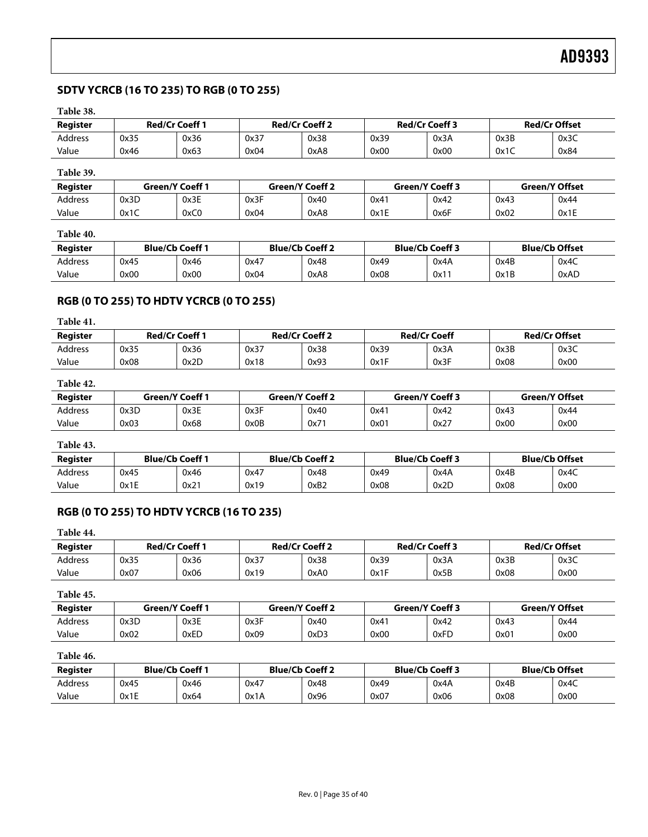# <span id="page-34-1"></span><span id="page-34-0"></span>**SDTV YCRCB (16 TO 235) TO RGB (0 TO 255)**

# **Table 38.**

| Register       | <b>Red/Cr Coeff 1</b> |      | <b>Red/Cr Coeff 2</b> |      | <b>Red/Cr Coeff 3</b> |      | <b>Red/Cr Offset</b> |      |
|----------------|-----------------------|------|-----------------------|------|-----------------------|------|----------------------|------|
| <b>Address</b> | 0x35                  | 0x36 | 0x37                  | 0x38 | 0x39                  | 0x3A | 0x3B                 | 0x3C |
| Value          | 0x46                  | 0x63 | 0x04                  | 0xA8 | 0x00                  | 0x00 | 0x1C                 | 0x84 |

# **Table 39.**

| Register       | <b>Green/Y Coeff 1</b> |      | <b>Green/Y Coeff 2</b> |      | Green/Y Coeff 3 |      | <b>Green/Y Offset</b> |      |
|----------------|------------------------|------|------------------------|------|-----------------|------|-----------------------|------|
| <b>Address</b> | 0x3D                   | 0x3E | 0x3F                   | 0x40 | 0x41            | 0x42 | 0x43                  | 0x44 |
| Value          | 0x1C                   | 0xC0 | 0x04                   | 0xA8 | 0x1E            | 0x6F | 0x02                  | 0x1E |

## **Table 40.**

| Register | <b>Blue/Cb Coeff 1</b> |      | <b>Blue/Cb Coeff 2</b> |      | <b>Blue/Cb Coeff 3</b> |      | <b>Blue/Cb Offset</b> |      |
|----------|------------------------|------|------------------------|------|------------------------|------|-----------------------|------|
| Address  | 0x45                   | 0x46 | 0x47                   | 0x48 | 0x49                   | 0x4A | 0x4B                  | 0x4C |
| Value    | 0x00                   | 0x00 | 0x04                   | 0xA8 | 0x08                   | 0x11 | 0x1B                  | 0xAD |

# **RGB (0 TO 255) TO HDTV YCRCB (0 TO 255)**

## **Table 41.**

| Register       | <b>Red/Cr Coeff 1</b> |      | <b>Red/Cr Coeff 2</b> |      | <b>Red/Cr Coeff</b> |      | <b>Red/Cr Offset</b> |      |
|----------------|-----------------------|------|-----------------------|------|---------------------|------|----------------------|------|
| <b>Address</b> | 0x35                  | 0x36 | 0x37                  | 0x38 | 0x39                | 0x3A | 0x3B                 | 0x3C |
| Value          | 0x08                  | 0x2D | 0x18                  | 0x93 | 0x1F                | 0x3F | 0x08                 | 0x00 |

# **Table 42.**

| Reaister | Green/Y Coeff 1 |      | <b>Green/Y Coeff 2</b> |      | Green/Y Coeff 3 |      | <b>Green/Y Offset</b> |      |
|----------|-----------------|------|------------------------|------|-----------------|------|-----------------------|------|
| Address  | 0x3D            | 0x3E | 0x3F                   | 0x40 | 0x41            | 0x42 | 0x43                  | 0x44 |
| Value    | 0x03            | 0x68 | 0x0B                   | 0x71 | 0x01            | 0x27 | 0x00                  | 0x00 |

# **Table 43.**

| Register       | <b>Blue/Cb Coeff 1</b> |      | <b>Blue/Cb Coeff 2</b> |      | <b>Blue/Cb Coeff 3</b> |      | <b>Blue/Cb Offset</b> |      |
|----------------|------------------------|------|------------------------|------|------------------------|------|-----------------------|------|
| <b>Address</b> | 0x45                   | 0x46 | 0x47                   | 0x48 | 0x49                   | 0x4A | 0x4B                  | 0x4C |
| Value          | 0x1E                   | 0x21 | 0x19                   | 0xB2 | 0x08                   | 0x2D | 0x08                  | 0x00 |

# **RGB (0 TO 255) TO HDTV YCRCB (16 TO 235)**

| Table 44. |      |                       |      |                       |      |                       |      |                      |
|-----------|------|-----------------------|------|-----------------------|------|-----------------------|------|----------------------|
| Register  |      | <b>Red/Cr Coeff 1</b> |      | <b>Red/Cr Coeff 2</b> |      | <b>Red/Cr Coeff 3</b> |      | <b>Red/Cr Offset</b> |
| Address   | 0x35 | 0x36                  | 0x37 | 0x38                  | 0x39 | 0x3A                  | 0x3B | 0x3C                 |
| Value     | 0x07 | 0x06                  | 0x19 | 0xA0                  | 0x1F | 0x5B                  | 0x08 | 0x00                 |

#### **Table 45.**

| Register | Green/Y Coeff 1 |      | <b>Green/Y Coeff 2</b> |      | Green/Y Coeff 3 |      | <b>Green/Y Offset</b> |      |
|----------|-----------------|------|------------------------|------|-----------------|------|-----------------------|------|
| Address  | 0x3D            | 0x3E | 0x3F                   | 0x40 | 0x41            | 0x42 | 0x43                  | 0x44 |
| Value    | 0x02            | 0xED | 0x09                   | 0xD3 | 0x00            | 0xFD | 0x01                  | 0x00 |

### **Table 46.**

| Register | <b>Blue/Cb Coeff 1</b> |      | <b>Blue/Cb Coeff 2</b> |      | <b>Blue/Cb Coeff 3</b> |      | <b>Blue/Cb Offset</b> |      |
|----------|------------------------|------|------------------------|------|------------------------|------|-----------------------|------|
| Address  | 0x45                   | 0x46 | 0x47                   | 0x48 | 0x49                   | 0x4A | 0x4B                  | 0x4C |
| Value    | 0x1E                   | 0x64 | 0x1A                   | 0x96 | 0x07                   | 0x06 | 0x08                  | 0x00 |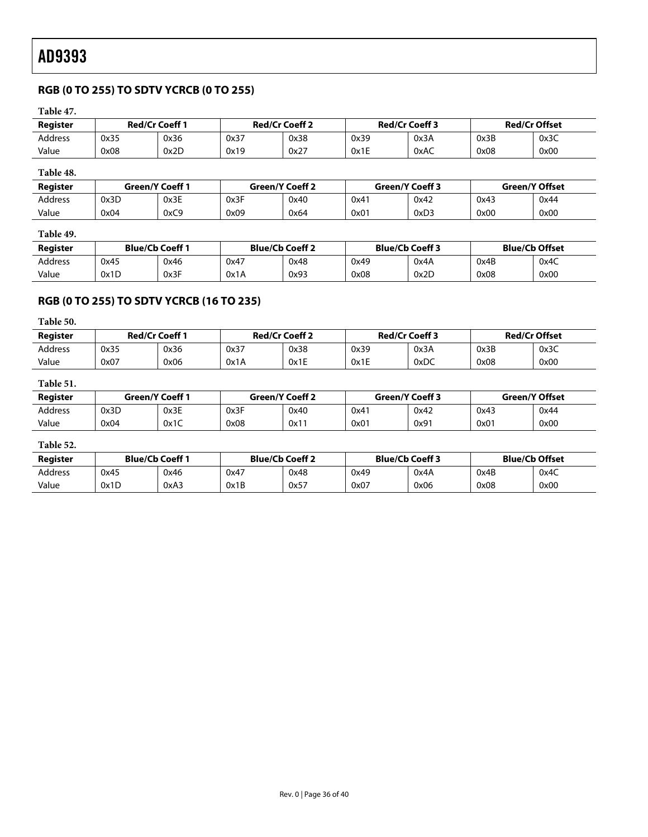# <span id="page-35-1"></span><span id="page-35-0"></span>**RGB (0 TO 255) TO SDTV YCRCB (0 TO 255)**

# **Table 47.**

| Register  | <b>Red/Cr Coeff 1</b> |                        | <b>Red/Cr Coeff 2</b> |      | <b>Red/Cr Coeff 3</b> |                        | <b>Red/Cr Offset</b> |                       |
|-----------|-----------------------|------------------------|-----------------------|------|-----------------------|------------------------|----------------------|-----------------------|
| Address   | 0x35                  | 0x36                   | 0x37                  | 0x38 | 0x39                  | 0x3A                   | 0x3B                 | 0x3C                  |
| Value     | 0x08                  | 0x2D                   | 0x19                  | 0x27 | 0x1E                  | 0xAC                   | 0x08                 | 0x00                  |
| Table 48. |                       |                        |                       |      |                       |                        |                      |                       |
| Reaister  |                       | <b>Green/Y Coeff 1</b> | Green/Y Coeff 2       |      |                       | <b>Green/Y Coeff 3</b> |                      | <b>Green/Y Offset</b> |
| Address   | 0x3D                  | 0x3E                   | 0x3F                  | 0x40 | 0x41                  | 0x42                   | 0x43                 | 0x44                  |

#### **Table 49.**

| Register       | <b>Blue/Cb Coeff 1</b> |      | <b>Blue/Cb Coeff 2</b> |      | <b>Blue/Cb Coeff 3</b> |      | <b>Blue/Cb Offset</b> |      |
|----------------|------------------------|------|------------------------|------|------------------------|------|-----------------------|------|
| <b>Address</b> | 0x45                   | 0x46 | 0x47                   | 0x48 | 0x49                   | 0x4A | 0x4B                  | 0x4C |
| Value          | 0x1D                   | 0x3F | 0x1A                   | 0x93 | 0x08                   | 0x2D | 0x08                  | 0x00 |

Value | 0x04 | 0xC9 | 0x09 | 0x64 | 0x01 | 0xD3 | 0x00 | 0x00

# **RGB (0 TO 255) TO SDTV YCRCB (16 TO 235)**

## **Table 50.**

| Register       | <b>Red/Cr Coeff 1</b> |      | <b>Red/Cr Coeff 2</b> |      | <b>Red/Cr Coeff 3</b> |      | <b>Red/Cr Offset</b> |      |
|----------------|-----------------------|------|-----------------------|------|-----------------------|------|----------------------|------|
| <b>Address</b> | 0x35                  | 0x36 | 0x37                  | 0x38 | 0x39                  | 0x3A | 0x3B                 | 0x3C |
| Value          | 0x07                  | 0x06 | 0x1A                  | 0x1E | 0x1E                  | 0xDC | 0x08                 | 0x00 |

# **Table 51.**

| Reaister       | <b>Green/Y Coeff 1</b> |      | <b>Green/Y Coeff 2</b> |      | <b>Green/Y Coeff 3</b> |      | Green/Y Offset |      |
|----------------|------------------------|------|------------------------|------|------------------------|------|----------------|------|
| <b>Address</b> | 0x3D                   | 0x3E | 0x3F                   | 0x40 | 0x41                   | 0x42 | 0x43           | 0x44 |
| Value          | 0x04                   | 0x1C | 0x08                   | 0x11 | 0x01                   | 0x91 | 0x01           | 0x00 |

# **Table 52.**

<span id="page-35-2"></span>

| Register | <b>Blue/Cb Coeff 1</b> |      | <b>Blue/Cb Coeff 2</b> |      | <b>Blue/Cb Coeff 3</b> |      | <b>Blue/Cb Offset</b> |      |
|----------|------------------------|------|------------------------|------|------------------------|------|-----------------------|------|
| Address  | 0x45                   | 0x46 | 0x47                   | 0x48 | 0x49                   | 0x4A | 0x4B                  | 0x4C |
| Value    | 0x1D                   | 0xA3 | 0x1B                   | 0x57 | 0x07                   | 0x06 | 0x08                  | 0x00 |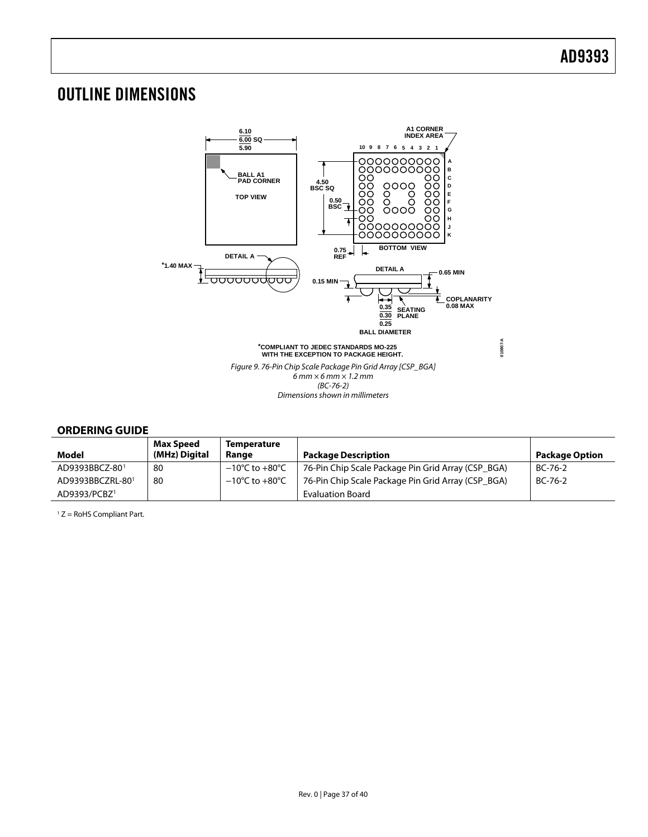# <span id="page-36-1"></span><span id="page-36-0"></span>OUTLINE DIMENSIONS



# **ORDERING GUIDE**

| Model                    | <b>Max Speed</b><br>(MHz) Digital | <b>Temperature</b><br>Range        | <b>Package Description</b>                         | <b>Package Option</b> |
|--------------------------|-----------------------------------|------------------------------------|----------------------------------------------------|-----------------------|
| AD9393BBCZ-801           | 80                                | $-10^{\circ}$ C to $+80^{\circ}$ C | 76-Pin Chip Scale Package Pin Grid Array (CSP BGA) | $BC-76-2$             |
| AD9393BBCZRL-801         | 80                                | $-10^{\circ}$ C to $+80^{\circ}$ C | 76-Pin Chip Scale Package Pin Grid Array (CSP BGA) | $BC-76-2$             |
| AD9393/PCBZ <sup>1</sup> |                                   |                                    | Evaluation Board                                   |                       |

 $1 Z =$  RoHS Compliant Part.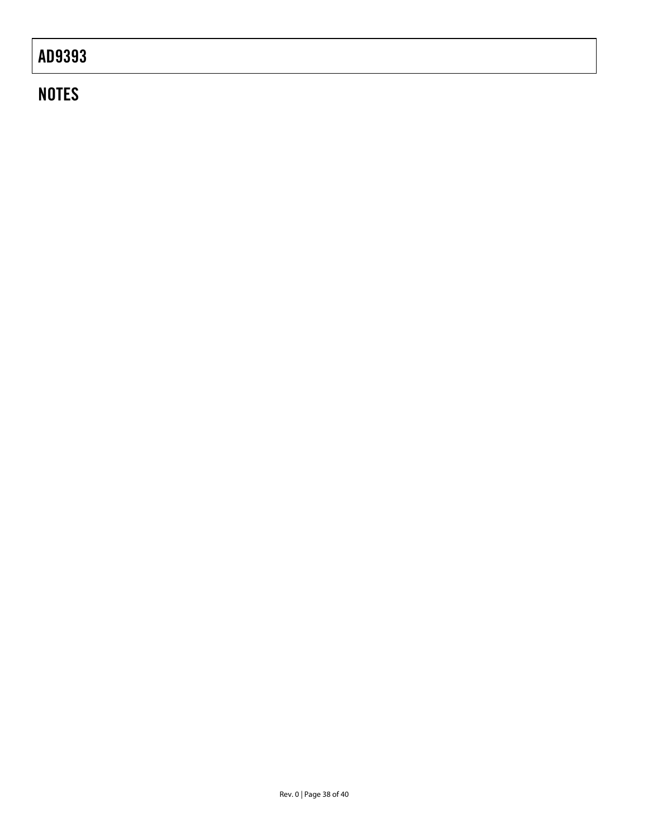# **NOTES**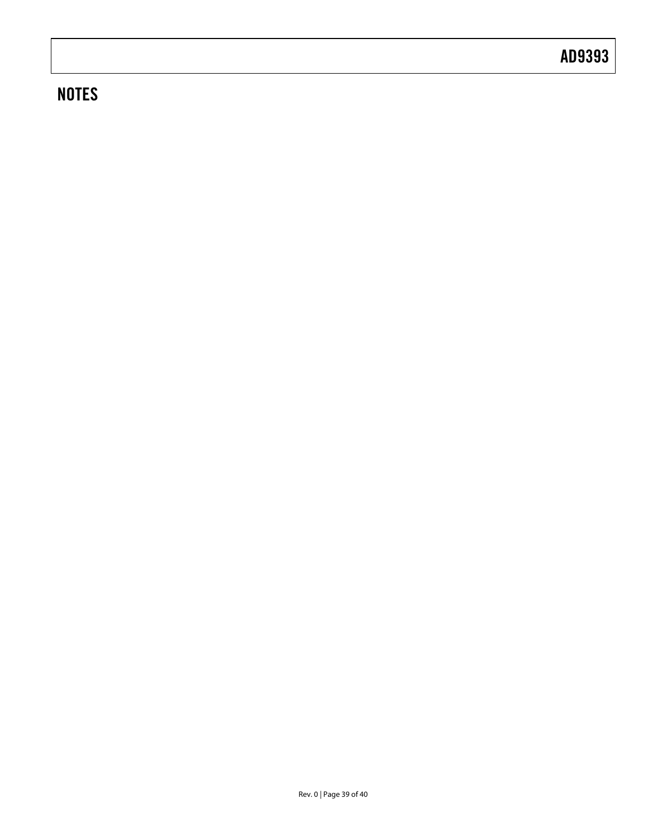# **NOTES**